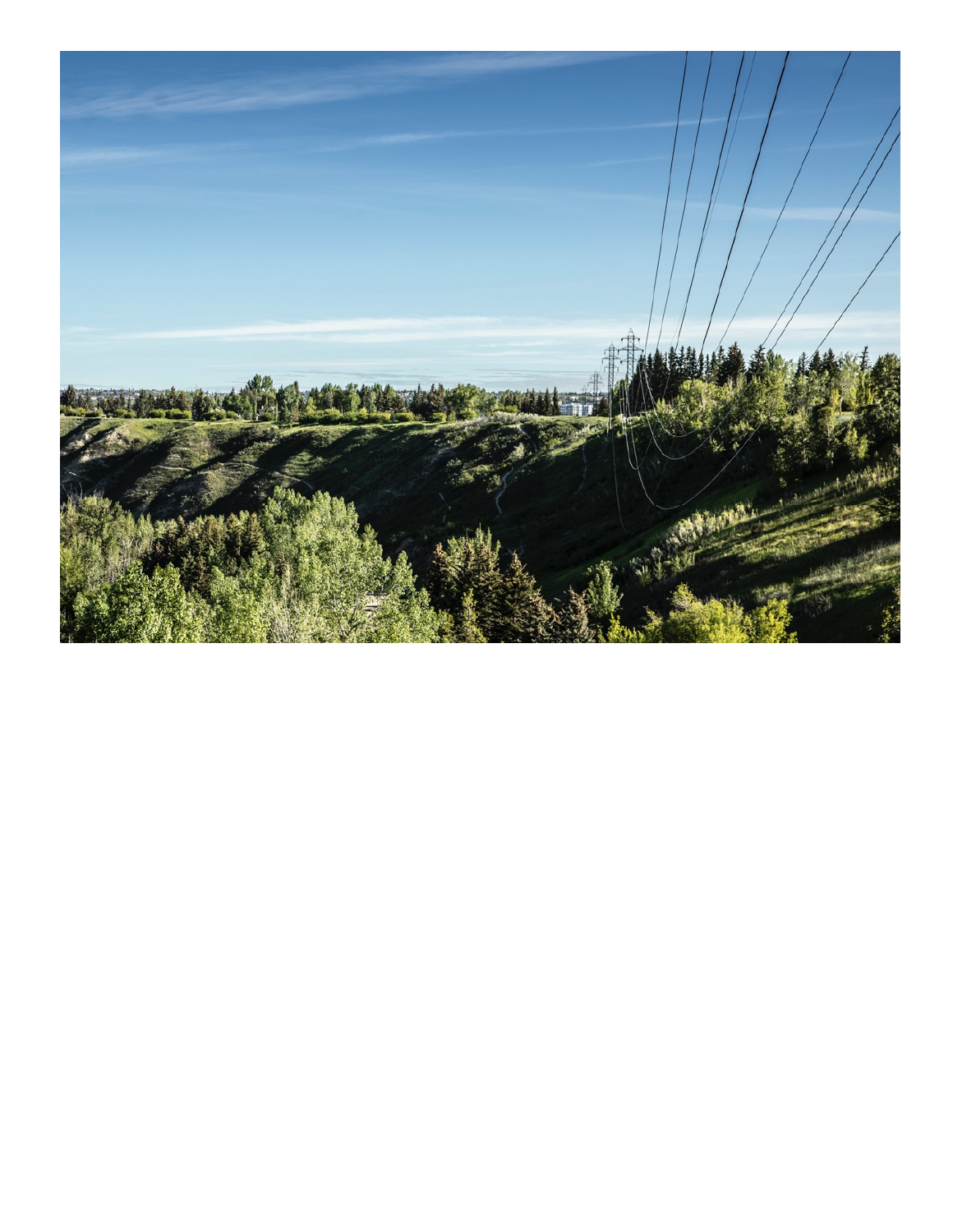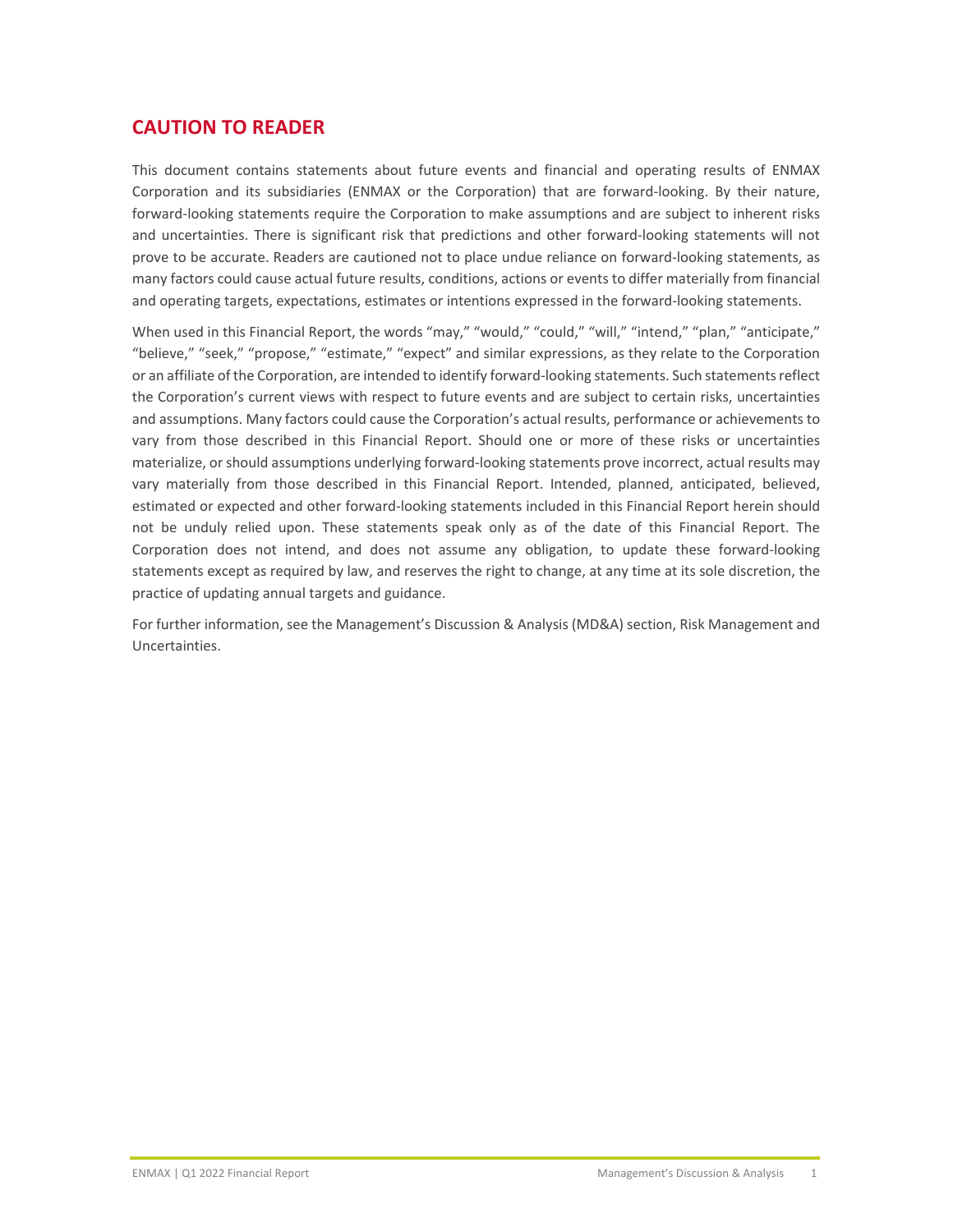# **CAUTION TO READER**

This document contains statements about future events and financial and operating results of ENMAX Corporation and its subsidiaries (ENMAX or the Corporation) that are forward‐looking. By their nature, forward-looking statements require the Corporation to make assumptions and are subject to inherent risks and uncertainties. There is significant risk that predictions and other forward‐looking statements will not prove to be accurate. Readers are cautioned not to place undue reliance on forward‐looking statements, as many factors could cause actual future results, conditions, actions or events to differ materially from financial and operating targets, expectations, estimates or intentions expressed in the forward-looking statements.

When used in this Financial Report, the words "may," "would," "could," "will," "intend," "plan," "anticipate," "believe," "seek," "propose," "estimate," "expect" and similar expressions, as they relate to the Corporation or an affiliate of the Corporation, are intended to identify forward-looking statements. Such statements reflect the Corporation's current views with respect to future events and are subject to certain risks, uncertainties and assumptions. Many factors could cause the Corporation's actual results, performance or achievements to vary from those described in this Financial Report. Should one or more of these risks or uncertainties materialize, or should assumptions underlying forward-looking statements prove incorrect, actual results may vary materially from those described in this Financial Report. Intended, planned, anticipated, believed, estimated or expected and other forward‐looking statements included in this Financial Report herein should not be unduly relied upon. These statements speak only as of the date of this Financial Report. The Corporation does not intend, and does not assume any obligation, to update these forward‐looking statements except as required by law, and reserves the right to change, at any time at its sole discretion, the practice of updating annual targets and guidance.

For further information, see the Management's Discussion & Analysis (MD&A) section, Risk Management and Uncertainties.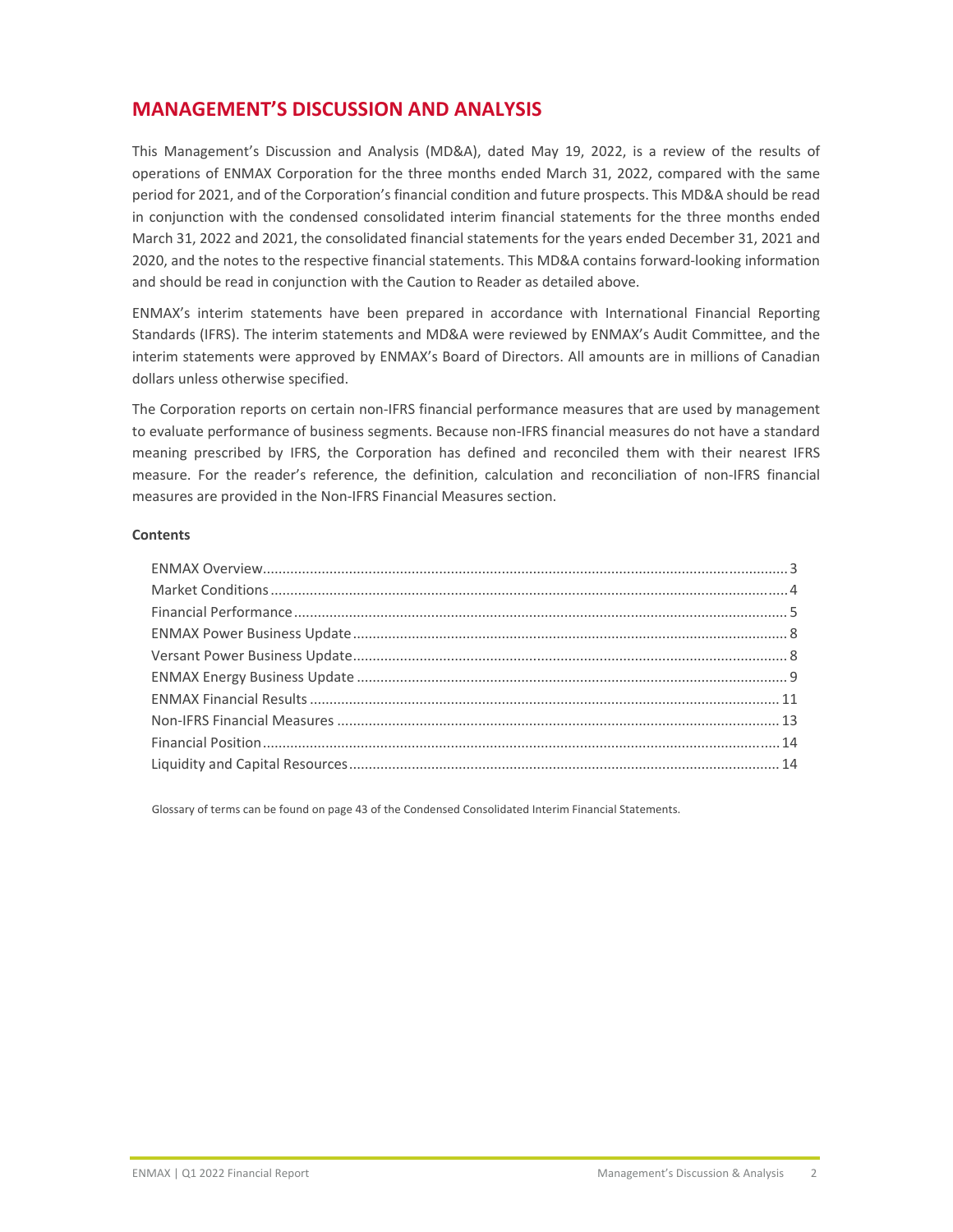# **MANAGEMENT'S DISCUSSION AND ANALYSIS**

This Management's Discussion and Analysis (MD&A), dated May 19, 2022, is a review of the results of operations of ENMAX Corporation for the three months ended March 31, 2022, compared with the same period for 2021, and of the Corporation's financial condition and future prospects. This MD&A should be read in conjunction with the condensed consolidated interim financial statements for the three months ended March 31, 2022 and 2021, the consolidated financial statements for the years ended December 31, 2021 and 2020, and the notes to the respective financial statements. This MD&A contains forward‐looking information and should be read in conjunction with the Caution to Reader as detailed above.

ENMAX's interim statements have been prepared in accordance with International Financial Reporting Standards (IFRS). The interim statements and MD&A were reviewed by ENMAX's Audit Committee, and the interim statements were approved by ENMAX's Board of Directors. All amounts are in millions of Canadian dollars unless otherwise specified.

The Corporation reports on certain non-IFRS financial performance measures that are used by management to evaluate performance of business segments. Because non-IFRS financial measures do not have a standard meaning prescribed by IFRS, the Corporation has defined and reconciled them with their nearest IFRS measure. For the reader's reference, the definition, calculation and reconciliation of non‐IFRS financial measures are provided in the Non‐IFRS Financial Measures section.

#### **Contents**

Glossary of terms can be found on page 43 of the Condensed Consolidated Interim Financial Statements.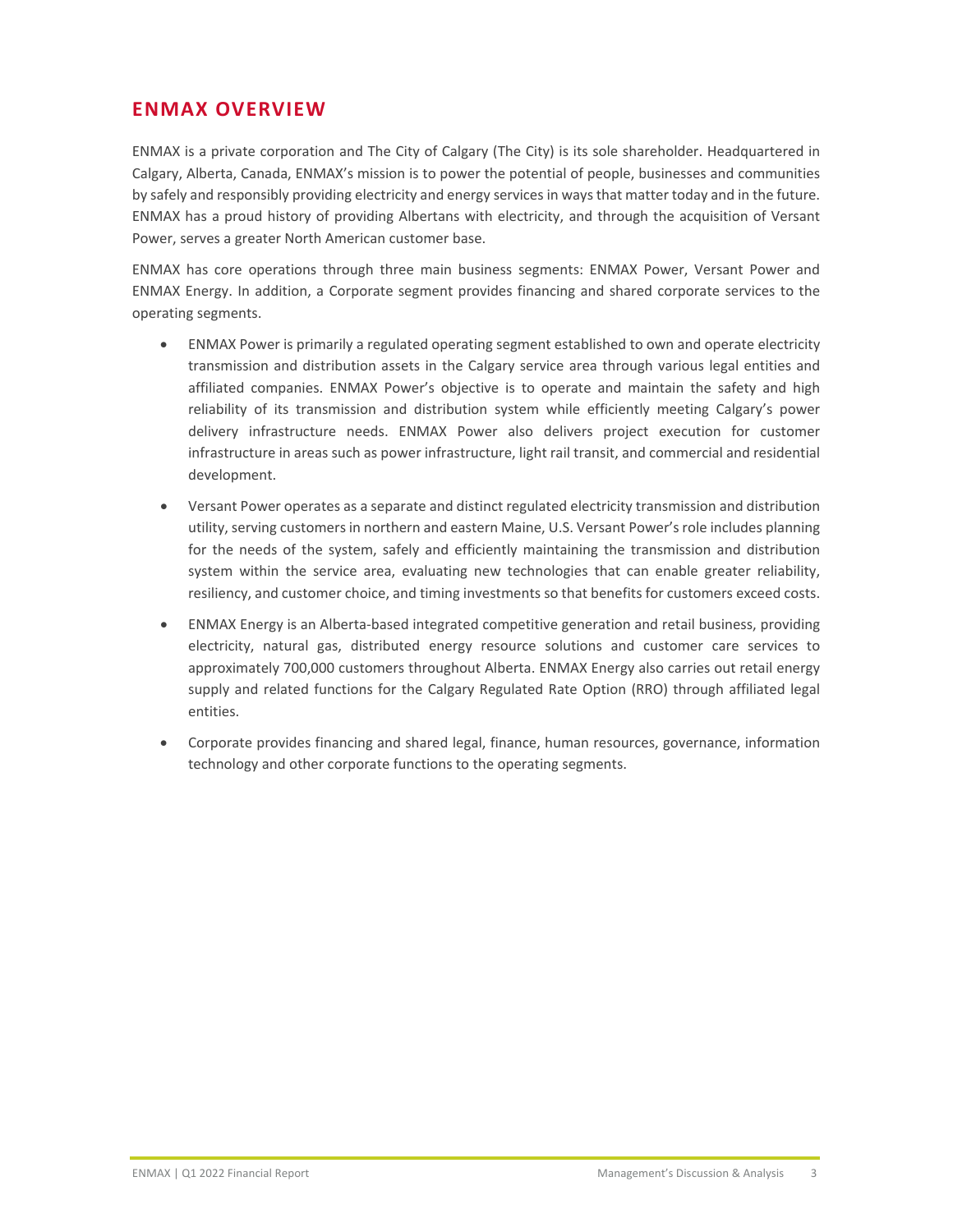# **ENMAX OVERVIEW**

ENMAX is a private corporation and The City of Calgary (The City) is its sole shareholder. Headquartered in Calgary, Alberta, Canada, ENMAX's mission is to power the potential of people, businesses and communities by safely and responsibly providing electricity and energy servicesin waysthat matter today and in the future. ENMAX has a proud history of providing Albertans with electricity, and through the acquisition of Versant Power, serves a greater North American customer base.

ENMAX has core operations through three main business segments: ENMAX Power, Versant Power and ENMAX Energy. In addition, a Corporate segment provides financing and shared corporate services to the operating segments.

- ENMAX Power is primarily a regulated operating segment established to own and operate electricity transmission and distribution assets in the Calgary service area through various legal entities and affiliated companies. ENMAX Power's objective is to operate and maintain the safety and high reliability of its transmission and distribution system while efficiently meeting Calgary's power delivery infrastructure needs. ENMAX Power also delivers project execution for customer infrastructure in areas such as power infrastructure, light rail transit, and commercial and residential development.
- Versant Power operates as a separate and distinct regulated electricity transmission and distribution utility, serving customers in northern and eastern Maine, U.S. Versant Power'srole includes planning for the needs of the system, safely and efficiently maintaining the transmission and distribution system within the service area, evaluating new technologies that can enable greater reliability, resiliency, and customer choice, and timing investments so that benefits for customers exceed costs.
- ENMAX Energy is an Alberta‐based integrated competitive generation and retail business, providing electricity, natural gas, distributed energy resource solutions and customer care services to approximately 700,000 customers throughout Alberta. ENMAX Energy also carries out retail energy supply and related functions for the Calgary Regulated Rate Option (RRO) through affiliated legal entities.
- Corporate provides financing and shared legal, finance, human resources, governance, information technology and other corporate functions to the operating segments.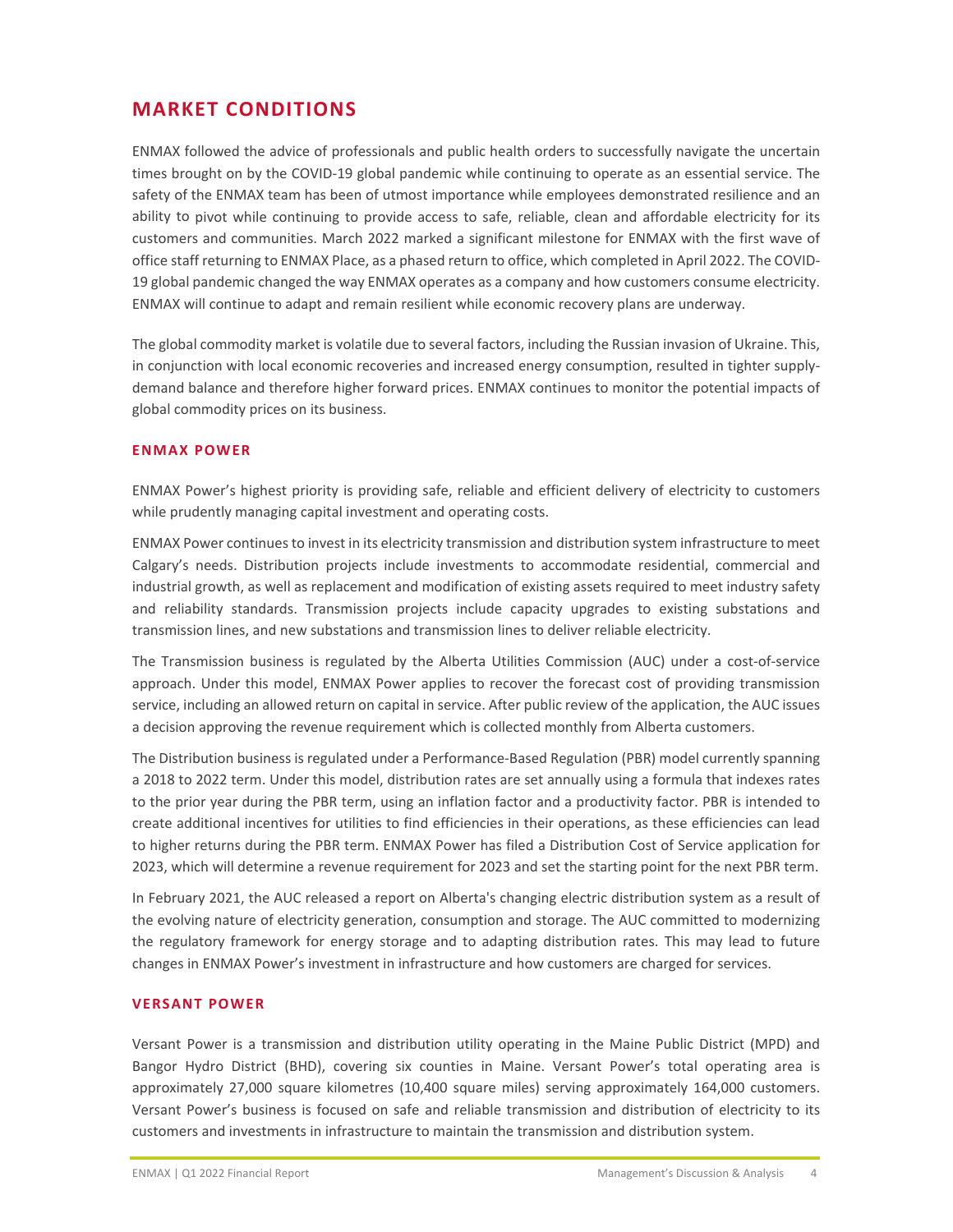# **MARKET CONDITIONS**

ENMAX followed the advice of professionals and public health orders to successfully navigate the uncertain times brought on by the COVID‐19 global pandemic while continuing to operate as an essential service. The safety of the ENMAX team has been of utmost importance while employees demonstrated resilience and an ability to pivot while continuing to provide access to safe, reliable, clean and affordable electricity for its customers and communities. March 2022 marked a significant milestone for ENMAX with the first wave of office staff returning to ENMAX Place, as a phased return to office, which completed in April 2022. The COVID‐ 19 global pandemic changed the way ENMAX operates as a company and how customers consume electricity. ENMAX will continue to adapt and remain resilient while economic recovery plans are underway.

The global commodity market is volatile due to several factors, including the Russian invasion of Ukraine. This, in conjunction with local economic recoveries and increased energy consumption, resulted in tighter supplydemand balance and therefore higher forward prices. ENMAX continues to monitor the potential impacts of global commodity prices on its business.

#### **ENMAX POWER**

ENMAX Power's highest priority is providing safe, reliable and efficient delivery of electricity to customers while prudently managing capital investment and operating costs.

ENMAX Power continuesto invest in its electricity transmission and distribution system infrastructure to meet Calgary's needs. Distribution projects include investments to accommodate residential, commercial and industrial growth, as well as replacement and modification of existing assets required to meet industry safety and reliability standards. Transmission projects include capacity upgrades to existing substations and transmission lines, and new substations and transmission lines to deliver reliable electricity.

The Transmission business is regulated by the Alberta Utilities Commission (AUC) under a cost‐of‐service approach. Under this model, ENMAX Power applies to recover the forecast cost of providing transmission service, including an allowed return on capital in service. After public review of the application, the AUC issues a decision approving the revenue requirement which is collected monthly from Alberta customers.

The Distribution business is regulated under a Performance‐Based Regulation (PBR) model currently spanning a 2018 to 2022 term. Under this model, distribution rates are set annually using a formula that indexes rates to the prior year during the PBR term, using an inflation factor and a productivity factor. PBR is intended to create additional incentives for utilities to find efficiencies in their operations, as these efficiencies can lead to higher returns during the PBR term. ENMAX Power has filed a Distribution Cost of Service application for 2023, which will determine a revenue requirement for 2023 and set the starting point for the next PBR term.

In February 2021, the AUC released a report on Alberta's changing electric distribution system as a result of the evolving nature of electricity generation, consumption and storage. The AUC committed to modernizing the regulatory framework for energy storage and to adapting distribution rates. This may lead to future changes in ENMAX Power's investment in infrastructure and how customers are charged for services.

#### **VERSANT POWER**

Versant Power is a transmission and distribution utility operating in the Maine Public District (MPD) and Bangor Hydro District (BHD), covering six counties in Maine. Versant Power's total operating area is approximately 27,000 square kilometres (10,400 square miles) serving approximately 164,000 customers. Versant Power's business is focused on safe and reliable transmission and distribution of electricity to its customers and investments in infrastructure to maintain the transmission and distribution system.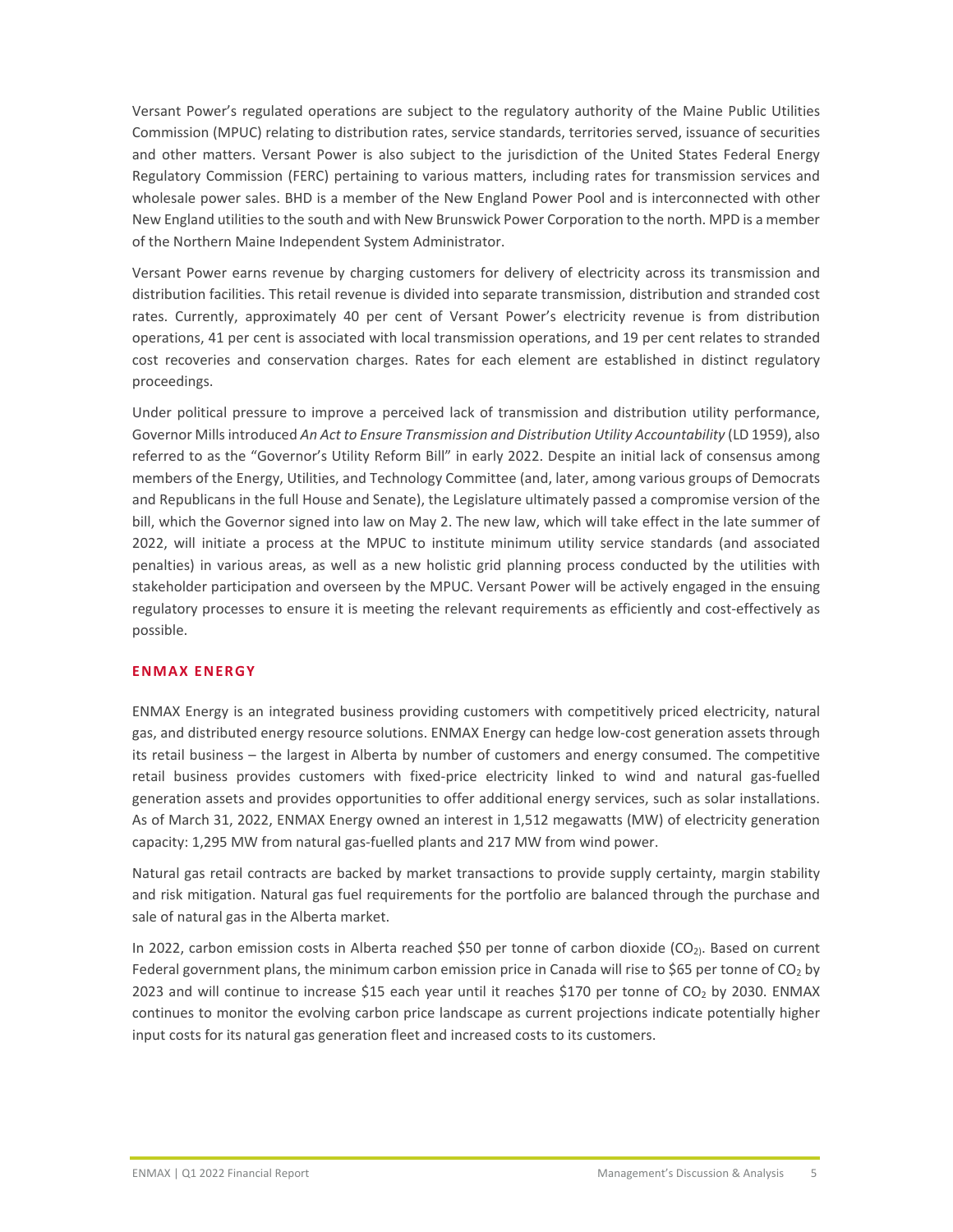Versant Power's regulated operations are subject to the regulatory authority of the Maine Public Utilities Commission (MPUC) relating to distribution rates, service standards, territories served, issuance of securities and other matters. Versant Power is also subject to the jurisdiction of the United States Federal Energy Regulatory Commission (FERC) pertaining to various matters, including rates for transmission services and wholesale power sales. BHD is a member of the New England Power Pool and is interconnected with other New England utilitiesto the south and with New Brunswick Power Corporation to the north. MPD is a member of the Northern Maine Independent System Administrator.

Versant Power earns revenue by charging customers for delivery of electricity across its transmission and distribution facilities. This retail revenue is divided into separate transmission, distribution and stranded cost rates. Currently, approximately 40 per cent of Versant Power's electricity revenue is from distribution operations, 41 per cent is associated with local transmission operations, and 19 per cent relates to stranded cost recoveries and conservation charges. Rates for each element are established in distinct regulatory proceedings.

Under political pressure to improve a perceived lack of transmission and distribution utility performance, Governor Millsintroduced *An Act to Ensure Transmission and Distribution Utility Accountability* (LD 1959), also referred to as the "Governor's Utility Reform Bill" in early 2022. Despite an initial lack of consensus among members of the Energy, Utilities, and Technology Committee (and, later, among various groups of Democrats and Republicans in the full House and Senate), the Legislature ultimately passed a compromise version of the bill, which the Governor signed into law on May 2. The new law, which will take effect in the late summer of 2022, will initiate a process at the MPUC to institute minimum utility service standards (and associated penalties) in various areas, as well as a new holistic grid planning process conducted by the utilities with stakeholder participation and overseen by the MPUC. Versant Power will be actively engaged in the ensuing regulatory processes to ensure it is meeting the relevant requirements as efficiently and cost‐effectively as possible.

#### **ENMAX ENERGY**

ENMAX Energy is an integrated business providing customers with competitively priced electricity, natural gas, and distributed energy resource solutions. ENMAX Energy can hedge low‐cost generation assets through its retail business – the largest in Alberta by number of customers and energy consumed. The competitive retail business provides customers with fixed-price electricity linked to wind and natural gas-fuelled generation assets and provides opportunities to offer additional energy services, such as solar installations. As of March 31, 2022, ENMAX Energy owned an interest in 1,512 megawatts (MW) of electricity generation capacity: 1,295 MW from natural gas-fuelled plants and 217 MW from wind power.

Natural gas retail contracts are backed by market transactions to provide supply certainty, margin stability and risk mitigation. Natural gas fuel requirements for the portfolio are balanced through the purchase and sale of natural gas in the Alberta market.

In 2022, carbon emission costs in Alberta reached \$50 per tonne of carbon dioxide (CO<sub>2</sub>). Based on current Federal government plans, the minimum carbon emission price in Canada will rise to \$65 per tonne of  $CO<sub>2</sub>$  by 2023 and will continue to increase \$15 each year until it reaches \$170 per tonne of  $CO<sub>2</sub>$  by 2030. ENMAX continues to monitor the evolving carbon price landscape as current projections indicate potentially higher input costs for its natural gas generation fleet and increased costs to its customers.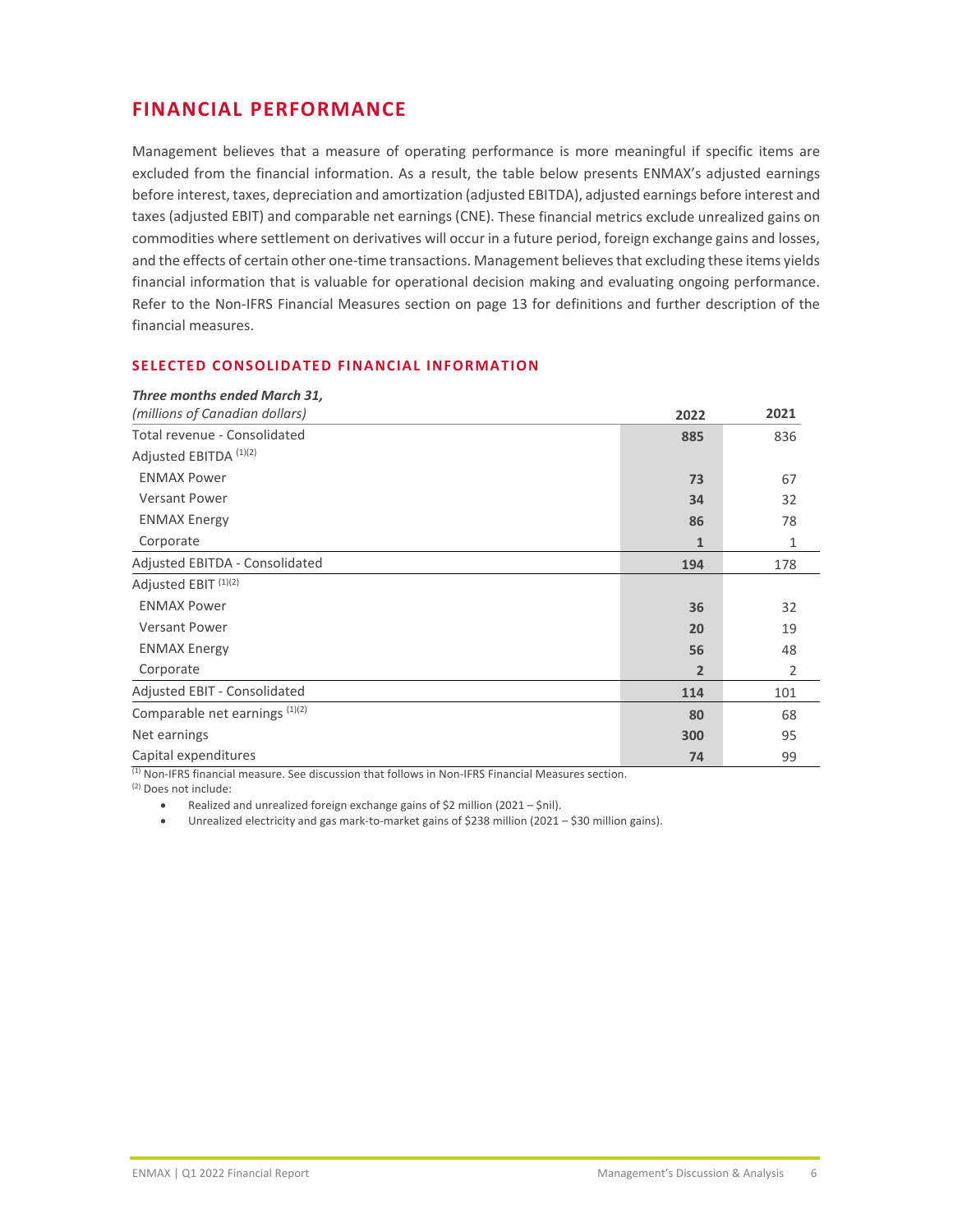# **FINANCIAL PERFORMANCE**

Management believes that a measure of operating performance is more meaningful if specific items are excluded from the financial information. As a result, the table below presents ENMAX's adjusted earnings before interest, taxes, depreciation and amortization (adjusted EBITDA), adjusted earnings before interest and taxes (adjusted EBIT) and comparable net earnings (CNE). These financial metrics exclude unrealized gains on commodities where settlement on derivatives will occur in a future period, foreign exchange gains and losses, and the effects of certain other one-time transactions. Management believes that excluding these items yields financial information that is valuable for operational decision making and evaluating ongoing performance. Refer to the Non‐IFRS Financial Measures section on page 13 for definitions and further description of the financial measures.

#### **SELECTED CONSOLIDATED FINANCIAL INFORMATION**

| Three months ended March 31,      |                |              |
|-----------------------------------|----------------|--------------|
| (millions of Canadian dollars)    | 2022           | 2021         |
| Total revenue - Consolidated      | 885            | 836          |
| Adjusted EBITDA <sup>(1)(2)</sup> |                |              |
| <b>ENMAX Power</b>                | 73             | 67           |
| <b>Versant Power</b>              | 34             | 32           |
| <b>ENMAX Energy</b>               | 86             | 78           |
| Corporate                         | $\mathbf{1}$   | $\mathbf{1}$ |
| Adjusted EBITDA - Consolidated    | 194            | 178          |
| Adjusted EBIT <sup>(1)(2)</sup>   |                |              |
| <b>ENMAX Power</b>                | 36             | 32           |
| <b>Versant Power</b>              | 20             | 19           |
| <b>ENMAX Energy</b>               | 56             | 48           |
| Corporate                         | $\overline{2}$ | 2            |
| Adjusted EBIT - Consolidated      | 114            | 101          |
| Comparable net earnings (1)(2)    | 80             | 68           |
| Net earnings                      | 300            | 95           |
| Capital expenditures              | 74             | 99           |

 $^{(1)}$  Non-IFRS financial measure. See discussion that follows in Non-IFRS Financial Measures section.

(2) Does not include:

Realized and unrealized foreign exchange gains of \$2 million (2021 – \$nil).

Unrealized electricity and gas mark-to-market gains of \$238 million (2021 – \$30 million gains).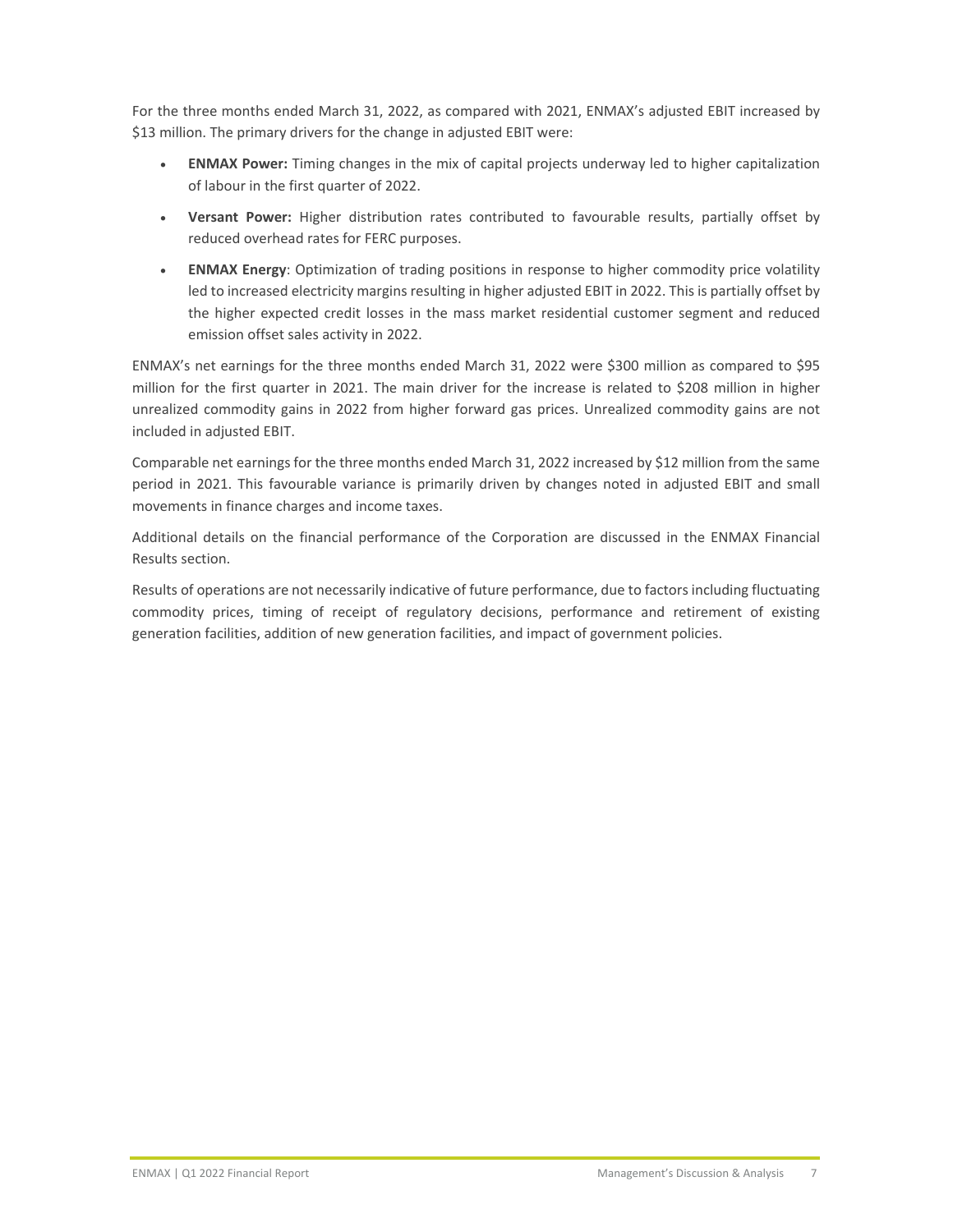For the three months ended March 31, 2022, as compared with 2021, ENMAX's adjusted EBIT increased by \$13 million. The primary drivers for the change in adjusted EBIT were:

- **ENMAX Power:** Timing changes in the mix of capital projects underway led to higher capitalization of labour in the first quarter of 2022.
- **Versant Power:** Higher distribution rates contributed to favourable results, partially offset by reduced overhead rates for FERC purposes.
- **ENMAX Energy**: Optimization of trading positions in response to higher commodity price volatility led to increased electricity margins resulting in higher adjusted EBIT in 2022. This is partially offset by the higher expected credit losses in the mass market residential customer segment and reduced emission offset sales activity in 2022.

ENMAX's net earnings for the three months ended March 31, 2022 were \$300 million as compared to \$95 million for the first quarter in 2021. The main driver for the increase is related to \$208 million in higher unrealized commodity gains in 2022 from higher forward gas prices. Unrealized commodity gains are not included in adjusted EBIT.

Comparable net earnings for the three months ended March 31, 2022 increased by \$12 million from the same period in 2021. This favourable variance is primarily driven by changes noted in adjusted EBIT and small movements in finance charges and income taxes.

Additional details on the financial performance of the Corporation are discussed in the ENMAX Financial Results section.

Results of operations are not necessarily indicative of future performance, due to factors including fluctuating commodity prices, timing of receipt of regulatory decisions, performance and retirement of existing generation facilities, addition of new generation facilities, and impact of government policies.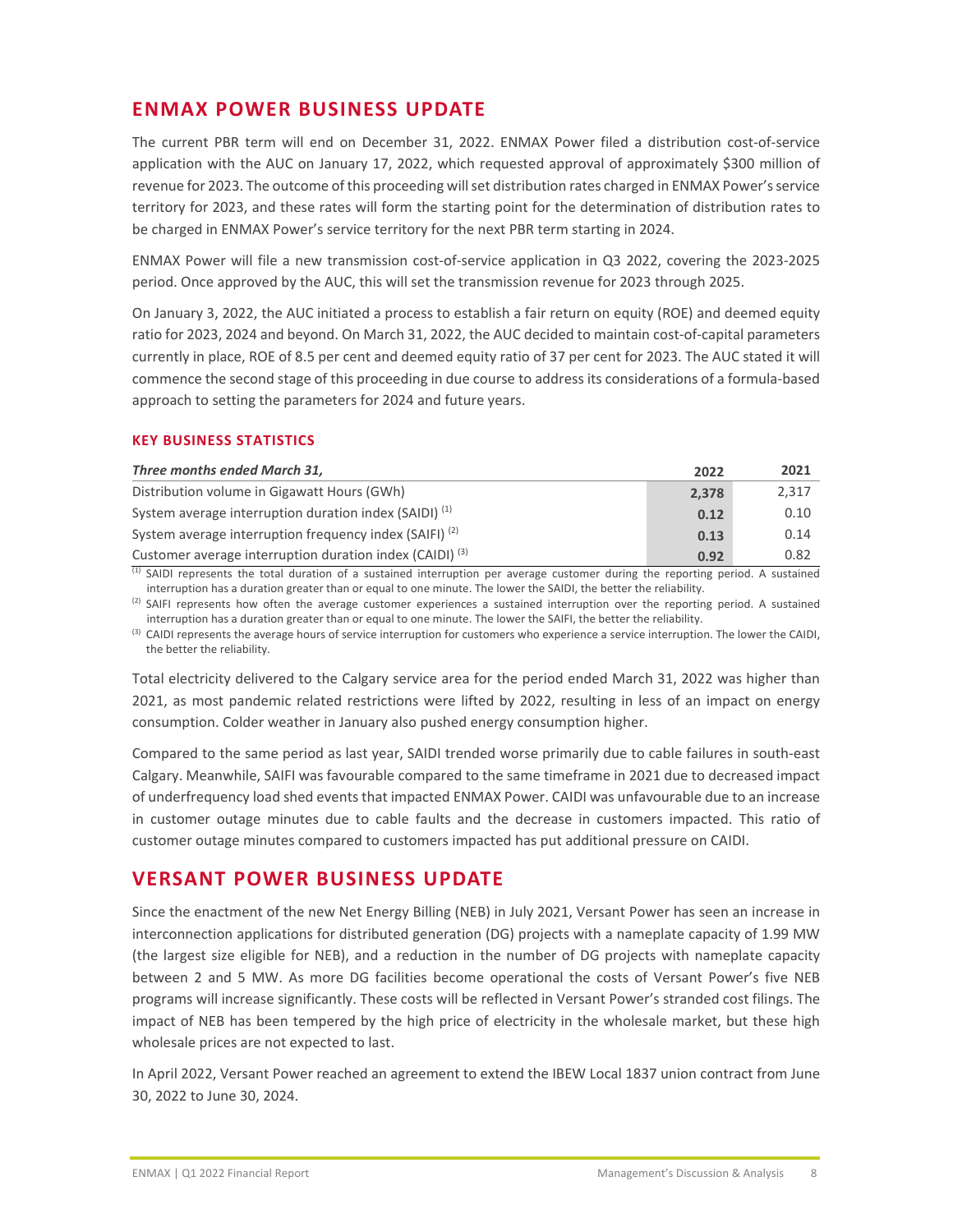# **ENMAX POWER BUSINESS UPDATE**

The current PBR term will end on December 31, 2022. ENMAX Power filed a distribution cost‐of‐service application with the AUC on January 17, 2022, which requested approval of approximately \$300 million of revenue for 2023. The outcome of this proceeding will set distribution rates charged in ENMAX Power's service territory for 2023, and these rates will form the starting point for the determination of distribution rates to be charged in ENMAX Power's service territory for the next PBR term starting in 2024.

ENMAX Power will file a new transmission cost‐of‐service application in Q3 2022, covering the 2023‐2025 period. Once approved by the AUC, this will set the transmission revenue for 2023 through 2025.

On January 3, 2022, the AUC initiated a process to establish a fair return on equity (ROE) and deemed equity ratio for 2023, 2024 and beyond. On March 31, 2022, the AUC decided to maintain cost-of-capital parameters currently in place, ROE of 8.5 per cent and deemed equity ratio of 37 per cent for 2023. The AUC stated it will commence the second stage of this proceeding in due course to address its considerations of a formula‐based approach to setting the parameters for 2024 and future years.

#### **KEY BUSINESS STATISTICS**

| Three months ended March 31,                                        | 2022  | 2021  |
|---------------------------------------------------------------------|-------|-------|
| Distribution volume in Gigawatt Hours (GWh)                         | 2,378 | 2,317 |
| System average interruption duration index (SAIDI) <sup>(1)</sup>   | 0.12  | 0.10  |
| System average interruption frequency index (SAIFI) <sup>(2)</sup>  | 0.13  | 0.14  |
| Customer average interruption duration index (CAIDI) <sup>(3)</sup> | 0.92  | 0.82  |

<sup>(1)</sup> SAIDI represents the total duration of a sustained interruption per average customer during the reporting period. A sustained interruption has a duration greater than or equal to one minute. The lower the SAIDI, the better the reliability.

<sup>(2)</sup> SAIFI represents how often the average customer experiences a sustained interruption over the reporting period. A sustained interruption has a duration greater than or equal to one minute. The lower the SAIFI, the better the reliability.

<sup>(3)</sup> CAIDI represents the average hours of service interruption for customers who experience a service interruption. The lower the CAIDI, the better the reliability.

Total electricity delivered to the Calgary service area for the period ended March 31, 2022 was higher than 2021, as most pandemic related restrictions were lifted by 2022, resulting in less of an impact on energy consumption. Colder weather in January also pushed energy consumption higher.

Compared to the same period as last year, SAIDI trended worse primarily due to cable failures in south‐east Calgary. Meanwhile, SAIFI was favourable compared to the same timeframe in 2021 due to decreased impact of underfrequency load shed events that impacted ENMAX Power. CAIDI was unfavourable due to an increase in customer outage minutes due to cable faults and the decrease in customers impacted. This ratio of customer outage minutes compared to customers impacted has put additional pressure on CAIDI.

# **VERSANT POWER BUSINESS UPDATE**

Since the enactment of the new Net Energy Billing (NEB) in July 2021, Versant Power has seen an increase in interconnection applications for distributed generation (DG) projects with a nameplate capacity of 1.99 MW (the largest size eligible for NEB), and a reduction in the number of DG projects with nameplate capacity between 2 and 5 MW. As more DG facilities become operational the costs of Versant Power's five NEB programs will increase significantly. These costs will be reflected in Versant Power's stranded cost filings. The impact of NEB has been tempered by the high price of electricity in the wholesale market, but these high wholesale prices are not expected to last.

In April 2022, Versant Power reached an agreement to extend the IBEW Local 1837 union contract from June 30, 2022 to June 30, 2024.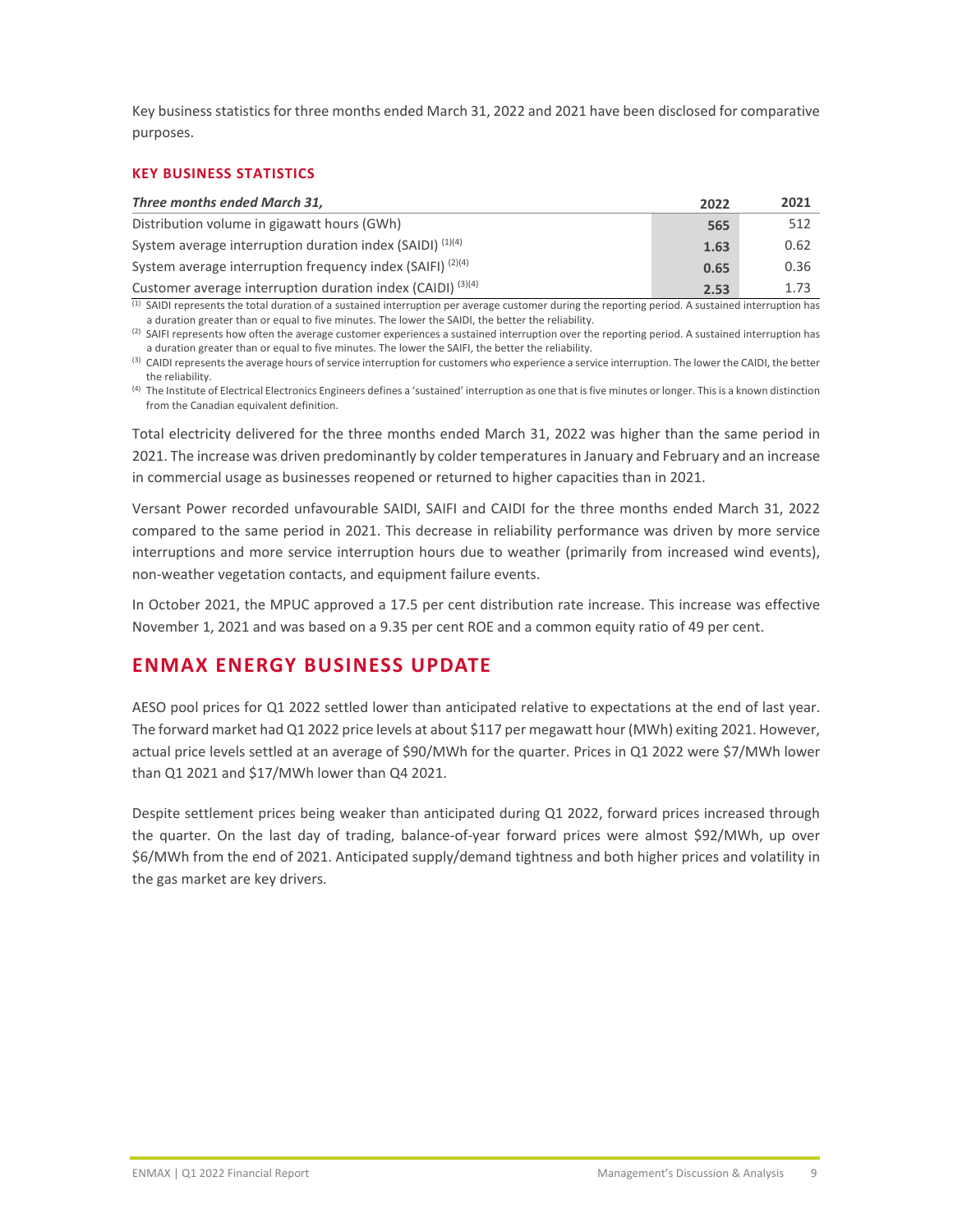Key business statistics for three months ended March 31, 2022 and 2021 have been disclosed for comparative purposes.

#### **KEY BUSINESS STATISTICS**

| Three months ended March 31,                                         | 2022 | 2021 |
|----------------------------------------------------------------------|------|------|
| Distribution volume in gigawatt hours (GWh)                          | 565  | 512  |
| System average interruption duration index (SAIDI) <sup>(1)(4)</sup> | 1.63 | 0.62 |
| System average interruption frequency index (SAIFI) (2)(4)           | 0.65 | 0.36 |
| Customer average interruption duration index (CAIDI) $(3)(4)$        | 2.53 | 1.73 |
| $\mathcal{L} \times \mathcal{L}$                                     |      |      |

<sup>(1)</sup> SAIDI represents the total duration of a sustained interruption per average customer during the reporting period. A sustained interruption has a duration greater than or equal to five minutes. The lower the SAIDI, the better the reliability.

(2) SAIFI represents how often the average customer experiences a sustained interruption over the reporting period. A sustained interruption has a duration greater than or equal to five minutes. The lower the SAIFI, the better the reliability.

(3) CAIDI represents the average hours of service interruption for customers who experience a service interruption. The lower the CAIDI, the better the reliability.

<sup>(4)</sup> The Institute of Electrical Electronics Engineers defines a 'sustained' interruption as one that is five minutes or longer. This is a known distinction from the Canadian equivalent definition.

Total electricity delivered for the three months ended March 31, 2022 was higher than the same period in 2021. The increase was driven predominantly by colder temperaturesin January and February and an increase in commercial usage as businesses reopened or returned to higher capacities than in 2021.

Versant Power recorded unfavourable SAIDI, SAIFI and CAIDI for the three months ended March 31, 2022 compared to the same period in 2021. This decrease in reliability performance was driven by more service interruptions and more service interruption hours due to weather (primarily from increased wind events), non‐weather vegetation contacts, and equipment failure events.

In October 2021, the MPUC approved a 17.5 per cent distribution rate increase. This increase was effective November 1, 2021 and was based on a 9.35 per cent ROE and a common equity ratio of 49 per cent.

# **ENMAX ENERGY BUSINESS UPDATE**

AESO pool prices for Q1 2022 settled lower than anticipated relative to expectations at the end of last year. The forward market had Q1 2022 price levels at about \$117 per megawatt hour(MWh) exiting 2021. However, actual price levels settled at an average of \$90/MWh for the quarter. Prices in Q1 2022 were \$7/MWh lower than Q1 2021 and \$17/MWh lower than Q4 2021.

Despite settlement prices being weaker than anticipated during Q1 2022, forward prices increased through the quarter. On the last day of trading, balance-of-year forward prices were almost \$92/MWh, up over \$6/MWh from the end of 2021. Anticipated supply/demand tightness and both higher prices and volatility in the gas market are key drivers.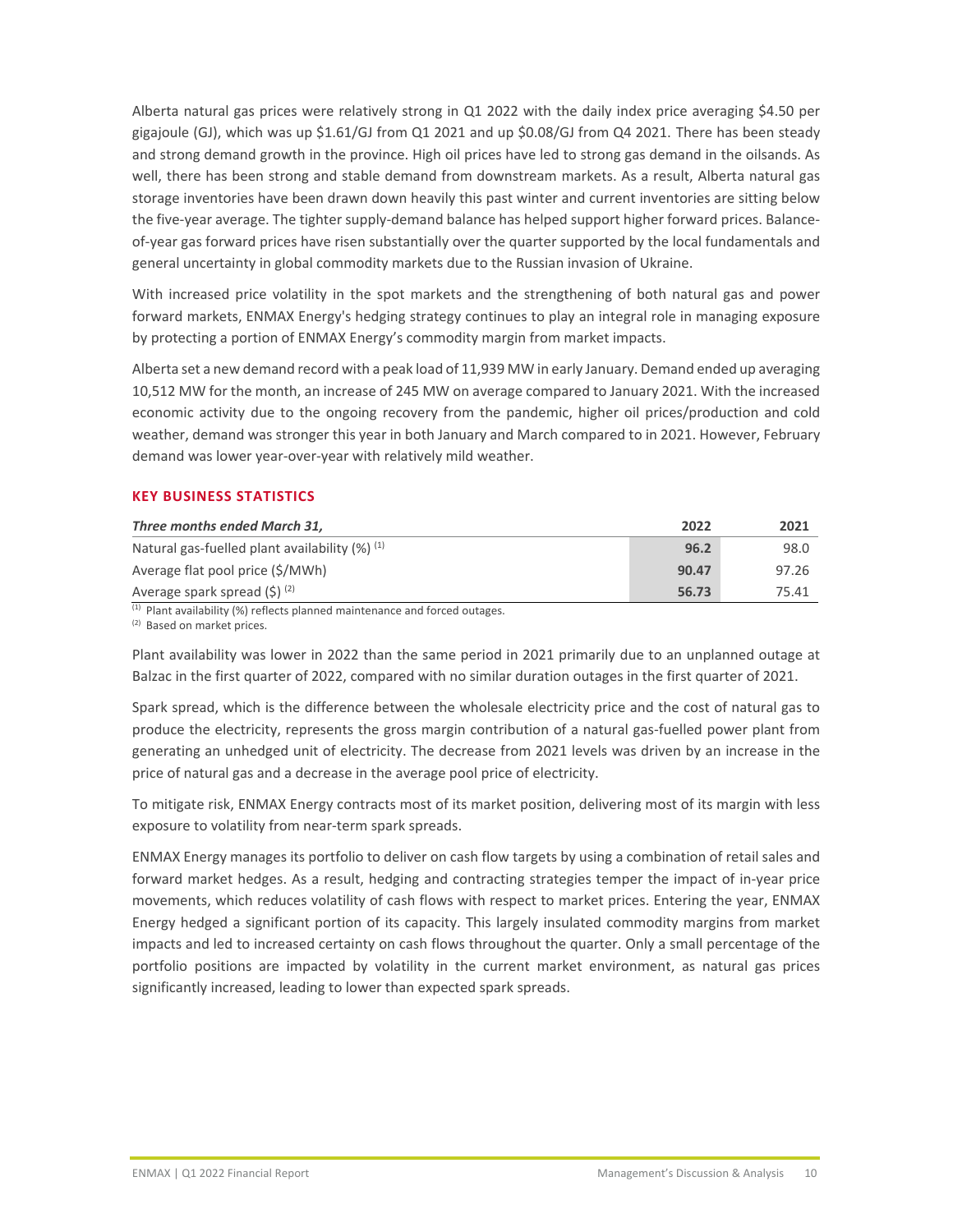Alberta natural gas prices were relatively strong in Q1 2022 with the daily index price averaging \$4.50 per gigajoule (GJ), which was up \$1.61/GJ from Q1 2021 and up \$0.08/GJ from Q4 2021. There has been steady and strong demand growth in the province. High oil prices have led to strong gas demand in the oilsands. As well, there has been strong and stable demand from downstream markets. As a result, Alberta natural gas storage inventories have been drawn down heavily this past winter and current inventories are sitting below the five-year average. The tighter supply-demand balance has helped support higher forward prices. Balanceof‐year gas forward prices have risen substantially over the quarter supported by the local fundamentals and general uncertainty in global commodity markets due to the Russian invasion of Ukraine.

With increased price volatility in the spot markets and the strengthening of both natural gas and power forward markets, ENMAX Energy's hedging strategy continues to play an integral role in managing exposure by protecting a portion of ENMAX Energy's commodity margin from market impacts.

Alberta set a new demand record with a peak load of 11,939 MW in early January. Demand ended up averaging 10,512 MW for the month, an increase of 245 MW on average compared to January 2021. With the increased economic activity due to the ongoing recovery from the pandemic, higher oil prices/production and cold weather, demand was stronger this year in both January and March compared to in 2021. However, February demand was lower year‐over‐year with relatively mild weather.

#### **KEY BUSINESS STATISTICS**

| 2022  | 2021  |
|-------|-------|
| 96.2  | 98.0  |
| 90.47 | 97.26 |
|       | 75.41 |
|       | 56.73 |

 $(1)$  Plant availability (%) reflects planned maintenance and forced outages.

(2) Based on market prices.

Plant availability was lower in 2022 than the same period in 2021 primarily due to an unplanned outage at Balzac in the first quarter of 2022, compared with no similar duration outages in the first quarter of 2021.

Spark spread, which is the difference between the wholesale electricity price and the cost of natural gas to produce the electricity, represents the gross margin contribution of a natural gas-fuelled power plant from generating an unhedged unit of electricity. The decrease from 2021 levels was driven by an increase in the price of natural gas and a decrease in the average pool price of electricity.

To mitigate risk, ENMAX Energy contracts most of its market position, delivering most of its margin with less exposure to volatility from near-term spark spreads.

ENMAX Energy manages its portfolio to deliver on cash flow targets by using a combination of retail sales and forward market hedges. As a result, hedging and contracting strategies temper the impact of in‐year price movements, which reduces volatility of cash flows with respect to market prices. Entering the year, ENMAX Energy hedged a significant portion of its capacity. This largely insulated commodity margins from market impacts and led to increased certainty on cash flows throughout the quarter. Only a small percentage of the portfolio positions are impacted by volatility in the current market environment, as natural gas prices significantly increased, leading to lower than expected spark spreads.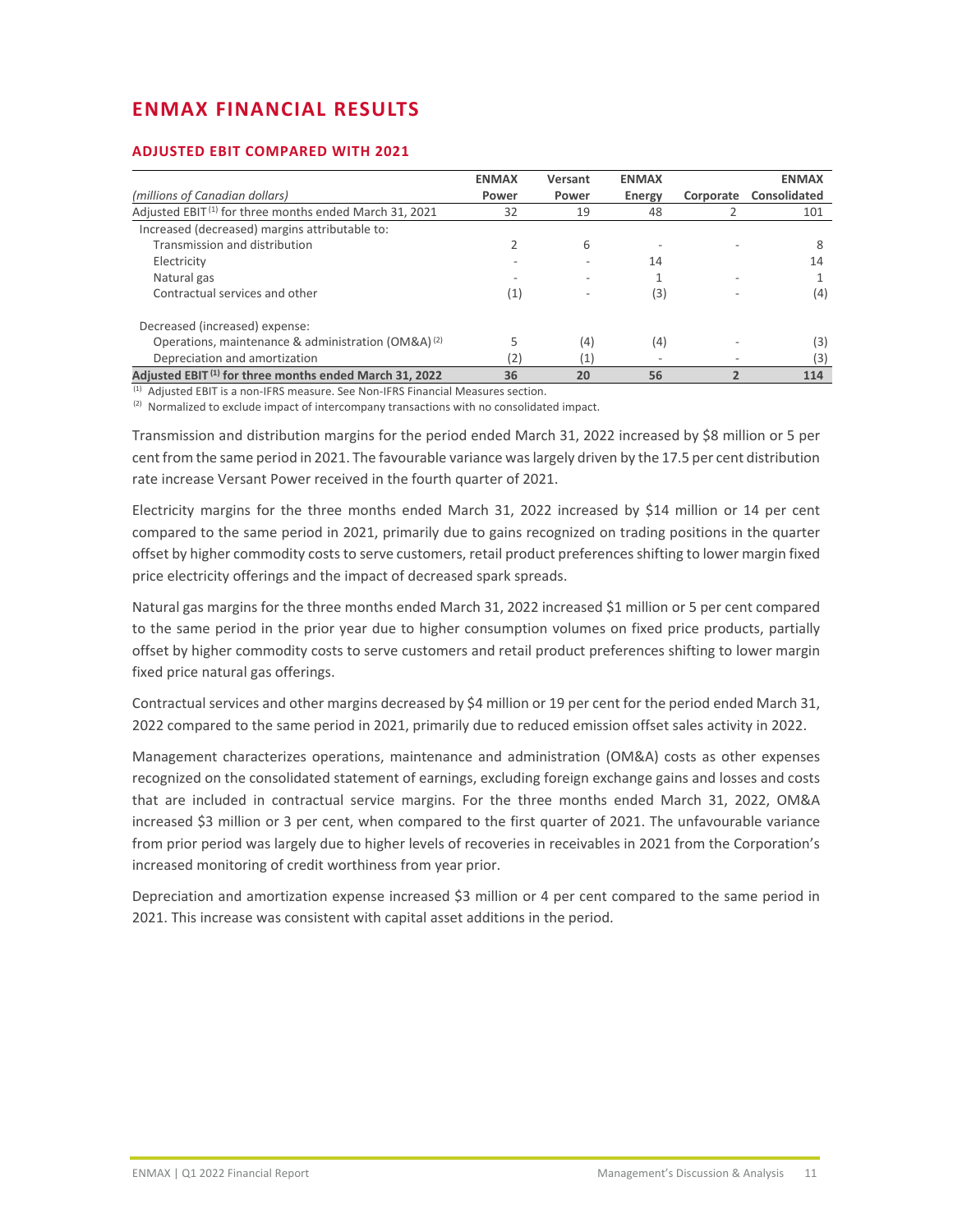# **ENMAX FINANCIAL RESULTS**

#### **ADJUSTED EBIT COMPARED WITH 2021**

|                                                                    | <b>ENMAX</b>      | Versant           | <b>ENMAX</b>             |           | <b>ENMAX</b> |
|--------------------------------------------------------------------|-------------------|-------------------|--------------------------|-----------|--------------|
| (millions of Canadian dollars)                                     | Power             | Power             | Energy                   | Corporate | Consolidated |
| Adjusted EBIT <sup>(1)</sup> for three months ended March 31, 2021 | 32                | 19                | 48                       |           | 101          |
| Increased (decreased) margins attributable to:                     |                   |                   |                          |           |              |
| Transmission and distribution                                      |                   | 6                 |                          |           | 8            |
| Electricity                                                        |                   |                   | 14                       |           | 14           |
| Natural gas                                                        |                   |                   |                          |           |              |
| Contractual services and other                                     | $\left( 1\right)$ |                   | (3)                      |           | (4)          |
| Decreased (increased) expense:                                     |                   |                   |                          |           |              |
| Operations, maintenance & administration (OM&A) <sup>(2)</sup>     |                   | (4)               | (4)                      |           | (3)          |
| Depreciation and amortization                                      | (2)               | $\left( 1\right)$ | $\overline{\phantom{a}}$ |           | (3)          |
| Adjusted EBIT <sup>(1)</sup> for three months ended March 31, 2022 | 36                | 20                | 56                       | ∍         | 114          |

(1) Adjusted EBIT is a non-IFRS measure. See Non-IFRS Financial Measures section.

 $(2)$  Normalized to exclude impact of intercompany transactions with no consolidated impact.

Transmission and distribution margins for the period ended March 31, 2022 increased by \$8 million or 5 per centfrom the same period in 2021. The favourable variance waslargely driven by the 17.5 per cent distribution rate increase Versant Power received in the fourth quarter of 2021.

Electricity margins for the three months ended March 31, 2022 increased by \$14 million or 14 per cent compared to the same period in 2021, primarily due to gains recognized on trading positions in the quarter offset by higher commodity costs to serve customers, retail product preferences shifting to lower margin fixed price electricity offerings and the impact of decreased spark spreads.

Natural gas margins for the three months ended March 31, 2022 increased \$1 million or 5 per cent compared to the same period in the prior year due to higher consumption volumes on fixed price products, partially offset by higher commodity costs to serve customers and retail product preferences shifting to lower margin fixed price natural gas offerings.

Contractual services and other margins decreased by \$4 million or 19 per cent for the period ended March 31, 2022 compared to the same period in 2021, primarily due to reduced emission offset sales activity in 2022.

Management characterizes operations, maintenance and administration (OM&A) costs as other expenses recognized on the consolidated statement of earnings, excluding foreign exchange gains and losses and costs that are included in contractual service margins. For the three months ended March 31, 2022, OM&A increased \$3 million or 3 per cent, when compared to the first quarter of 2021. The unfavourable variance from prior period was largely due to higher levels of recoveries in receivables in 2021 from the Corporation's increased monitoring of credit worthiness from year prior.

Depreciation and amortization expense increased \$3 million or 4 per cent compared to the same period in 2021. This increase was consistent with capital asset additions in the period.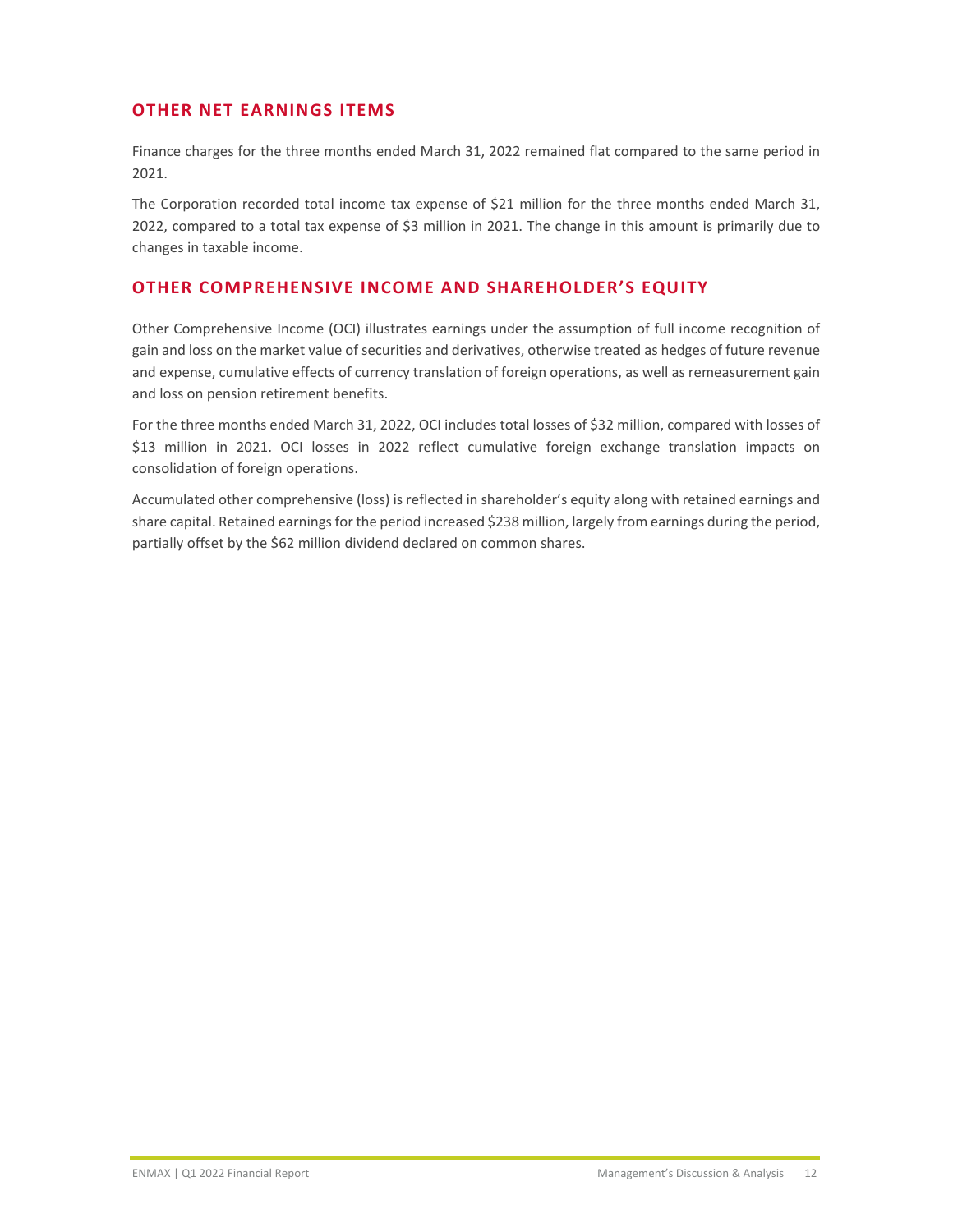#### **OTHER NET EARNINGS ITEMS**

Finance charges for the three months ended March 31, 2022 remained flat compared to the same period in 2021.

The Corporation recorded total income tax expense of \$21 million for the three months ended March 31, 2022, compared to a total tax expense of \$3 million in 2021. The change in this amount is primarily due to changes in taxable income.

#### **OTHER COMPREHENSIVE INCOME AND SHAREHOLDER'S EQUITY**

Other Comprehensive Income (OCI) illustrates earnings under the assumption of full income recognition of gain and loss on the market value of securities and derivatives, otherwise treated as hedges of future revenue and expense, cumulative effects of currency translation of foreign operations, as well as remeasurement gain and loss on pension retirement benefits.

For the three months ended March 31, 2022, OCI includes total losses of \$32 million, compared with losses of \$13 million in 2021. OCI losses in 2022 reflect cumulative foreign exchange translation impacts on consolidation of foreign operations.

Accumulated other comprehensive (loss) is reflected in shareholder's equity along with retained earnings and share capital. Retained earnings for the period increased \$238 million, largely from earnings during the period, partially offset by the \$62 million dividend declared on common shares.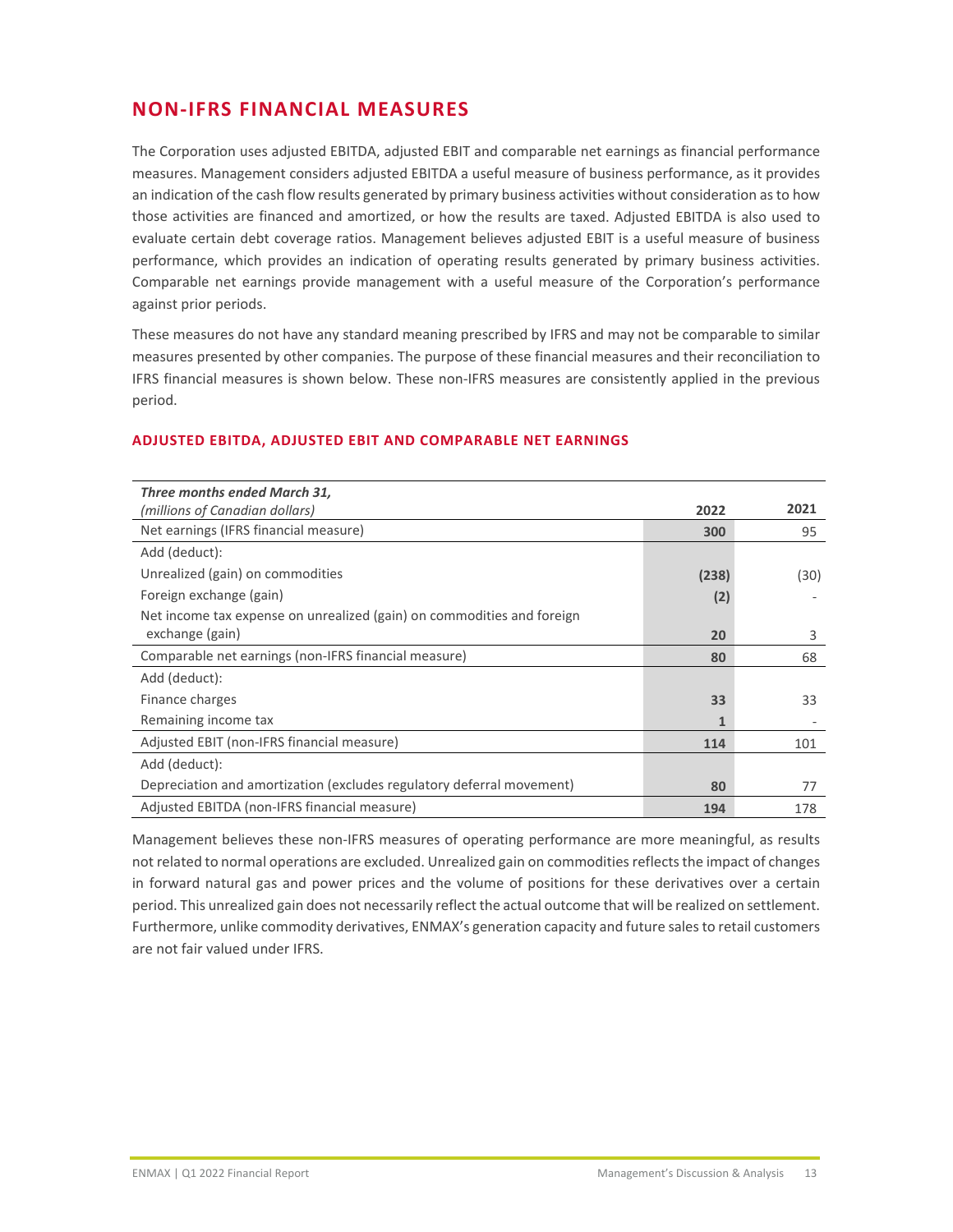# **NON‐IFRS FINANCIAL MEASURES**

The Corporation uses adjusted EBITDA, adjusted EBIT and comparable net earnings as financial performance measures. Management considers adjusted EBITDA a useful measure of business performance, as it provides an indication of the cash flow results generated by primary business activities without consideration asto how those activities are financed and amortized, or how the results are taxed. Adjusted EBITDA is also used to evaluate certain debt coverage ratios. Management believes adjusted EBIT is a useful measure of business performance, which provides an indication of operating results generated by primary business activities. Comparable net earnings provide management with a useful measure of the Corporation's performance against prior periods.

These measures do not have any standard meaning prescribed by IFRS and may not be comparable to similar measures presented by other companies. The purpose of these financial measures and their reconciliation to IFRS financial measures is shown below. These non‐IFRS measures are consistently applied in the previous period.

| Three months ended March 31,                                           |       |      |
|------------------------------------------------------------------------|-------|------|
| (millions of Canadian dollars)                                         | 2022  | 2021 |
| Net earnings (IFRS financial measure)                                  | 300   | 95   |
| Add (deduct):                                                          |       |      |
| Unrealized (gain) on commodities                                       | (238) | (30) |
| Foreign exchange (gain)                                                | (2)   |      |
| Net income tax expense on unrealized (gain) on commodities and foreign |       |      |
| exchange (gain)                                                        | 20    | 3    |
| Comparable net earnings (non-IFRS financial measure)                   | 80    | 68   |
| Add (deduct):                                                          |       |      |
| Finance charges                                                        | 33    | 33   |
| Remaining income tax                                                   |       |      |
| Adjusted EBIT (non-IFRS financial measure)                             | 114   | 101  |
| Add (deduct):                                                          |       |      |
| Depreciation and amortization (excludes regulatory deferral movement)  | 80    | 77   |
| Adjusted EBITDA (non-IFRS financial measure)                           | 194   | 178  |

#### **ADJUSTED EBITDA, ADJUSTED EBIT AND COMPARABLE NET EARNINGS**

Management believes these non‐IFRS measures of operating performance are more meaningful, as results not related to normal operations are excluded. Unrealized gain on commodities reflects the impact of changes in forward natural gas and power prices and the volume of positions for these derivatives over a certain period. This unrealized gain does not necessarily reflect the actual outcome that will be realized on settlement. Furthermore, unlike commodity derivatives, ENMAX's generation capacity and future salesto retail customers are not fair valued under IFRS.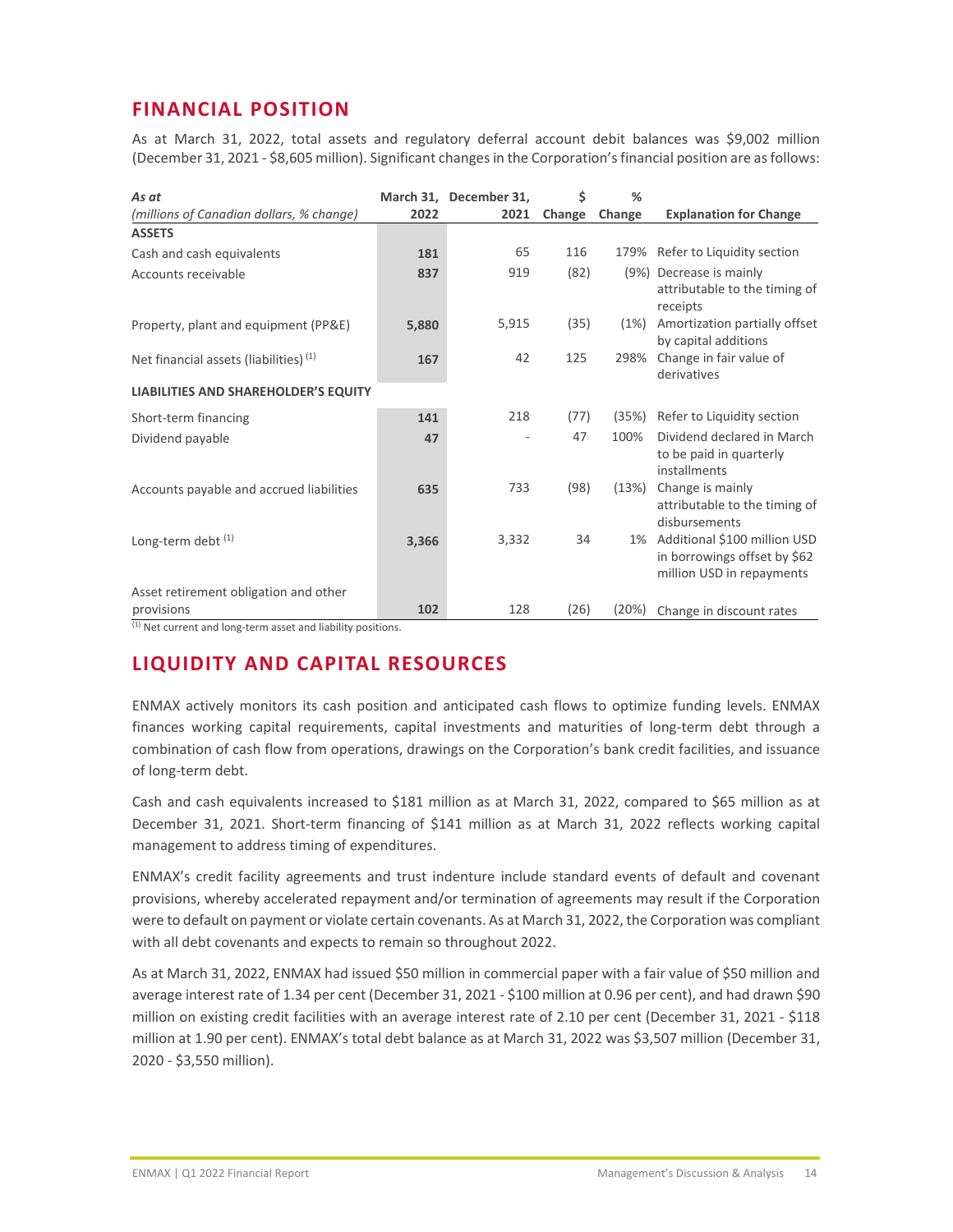# **FINANCIAL POSITION**

As at March 31, 2022, total assets and regulatory deferral account debit balances was \$9,002 million (December 31, 2021 ‐ \$8,605 million). Significant changesin the Corporation'sfinancial position are asfollows:

| As at                                             |       | March 31, December 31, | \$     | %      |                                                                                              |
|---------------------------------------------------|-------|------------------------|--------|--------|----------------------------------------------------------------------------------------------|
| (millions of Canadian dollars, % change)          | 2022  | 2021                   | Change | Change | <b>Explanation for Change</b>                                                                |
| <b>ASSETS</b>                                     |       |                        |        |        |                                                                                              |
| Cash and cash equivalents                         | 181   | 65                     | 116    |        | 179% Refer to Liquidity section                                                              |
| Accounts receivable                               | 837   | 919                    | (82)   |        | (9%) Decrease is mainly<br>attributable to the timing of<br>receipts                         |
| Property, plant and equipment (PP&E)              | 5,880 | 5,915                  | (35)   | (1%)   | Amortization partially offset<br>by capital additions                                        |
| Net financial assets (liabilities) <sup>(1)</sup> | 167   | 42                     | 125    | 298%   | Change in fair value of<br>derivatives                                                       |
| <b>LIABILITIES AND SHAREHOLDER'S EQUITY</b>       |       |                        |        |        |                                                                                              |
| Short-term financing                              | 141   | 218                    | (77)   | (35%)  | Refer to Liquidity section                                                                   |
| Dividend payable                                  | 47    |                        | 47     | 100%   | Dividend declared in March<br>to be paid in quarterly<br>installments                        |
| Accounts payable and accrued liabilities          | 635   | 733                    | (98)   | (13%)  | Change is mainly<br>attributable to the timing of<br>disbursements                           |
| Long-term debt $(1)$                              | 3,366 | 3,332                  | 34     |        | 1% Additional \$100 million USD<br>in borrowings offset by \$62<br>million USD in repayments |
| Asset retirement obligation and other             |       |                        |        |        |                                                                                              |
| provisions                                        | 102   | 128                    | (26)   | (20%)  | Change in discount rates                                                                     |

 $(1)$  Net current and long-term asset and liability positions.

# **LIQUIDITY AND CAPITAL RESOURCES**

ENMAX actively monitors its cash position and anticipated cash flows to optimize funding levels. ENMAX finances working capital requirements, capital investments and maturities of long-term debt through a combination of cash flow from operations, drawings on the Corporation's bank credit facilities, and issuance of long‐term debt.

Cash and cash equivalents increased to \$181 million as at March 31, 2022, compared to \$65 million as at December 31, 2021. Short-term financing of \$141 million as at March 31, 2022 reflects working capital management to address timing of expenditures.

ENMAX's credit facility agreements and trust indenture include standard events of default and covenant provisions, whereby accelerated repayment and/or termination of agreements may result if the Corporation were to default on payment or violate certain covenants. As at March 31, 2022, the Corporation was compliant with all debt covenants and expects to remain so throughout 2022.

As at March 31, 2022, ENMAX had issued \$50 million in commercial paper with a fair value of \$50 million and average interest rate of 1.34 per cent (December 31, 2021 ‐ \$100 million at 0.96 per cent), and had drawn \$90 million on existing credit facilities with an average interest rate of 2.10 per cent (December 31, 2021 ‐ \$118 million at 1.90 per cent). ENMAX's total debt balance as at March 31, 2022 was \$3,507 million (December 31, 2020 ‐ \$3,550 million).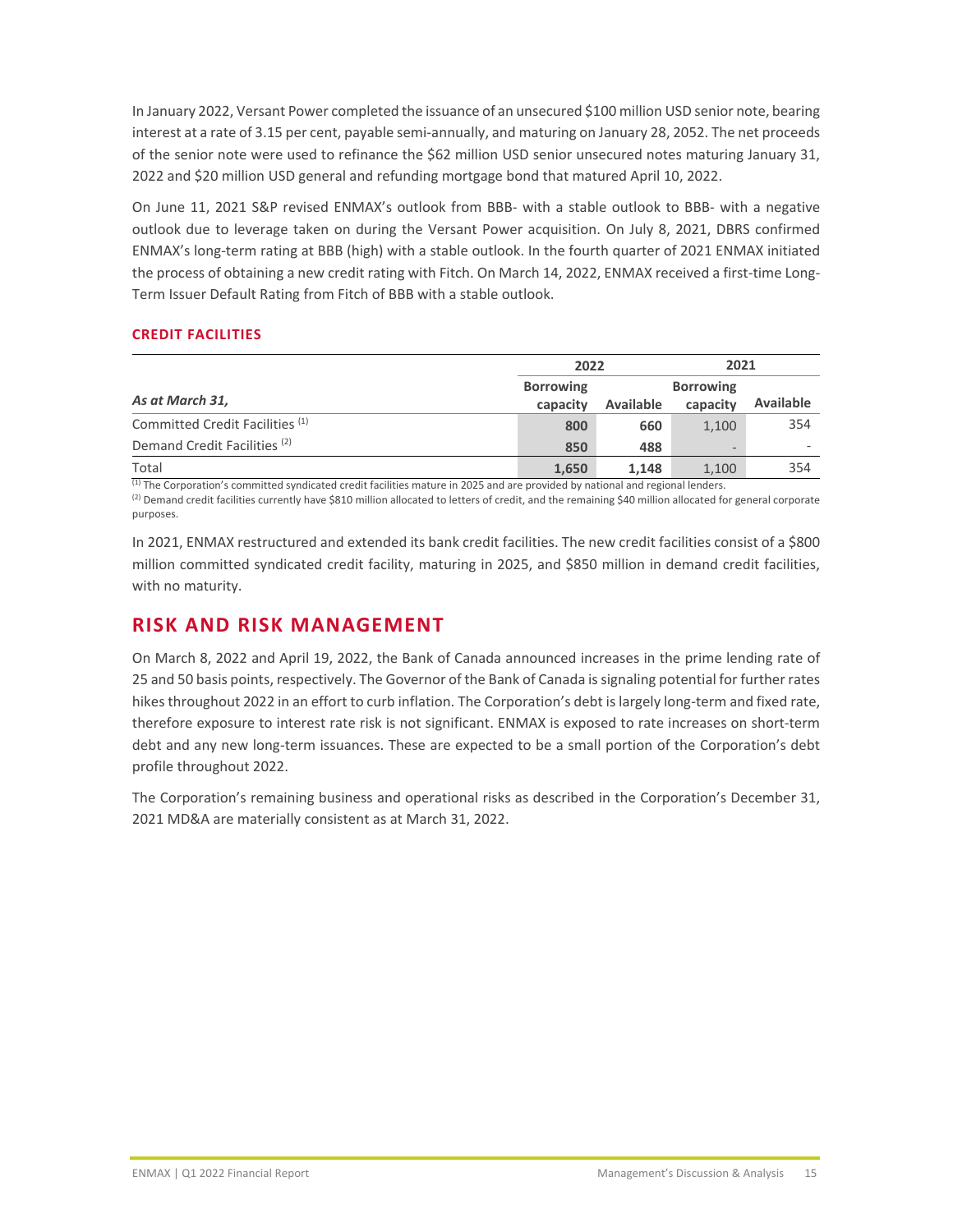In January 2022, Versant Power completed the issuance of an unsecured \$100 million USD senior note, bearing interest at a rate of 3.15 per cent, payable semi‐annually, and maturing on January 28, 2052. The net proceeds of the senior note were used to refinance the \$62 million USD senior unsecured notes maturing January 31, 2022 and \$20 million USD general and refunding mortgage bond that matured April 10, 2022.

On June 11, 2021 S&P revised ENMAX's outlook from BBB‐ with a stable outlook to BBB‐ with a negative outlook due to leverage taken on during the Versant Power acquisition. On July 8, 2021, DBRS confirmed ENMAX's long‐term rating at BBB (high) with a stable outlook. In the fourth quarter of 2021 ENMAX initiated the process of obtaining a new credit rating with Fitch. On March 14, 2022, ENMAX received a first-time Long-Term Issuer Default Rating from Fitch of BBB with a stable outlook.

#### **CREDIT FACILITIES**

|                                         | 2022             |           | 2021                     |           |
|-----------------------------------------|------------------|-----------|--------------------------|-----------|
|                                         | <b>Borrowing</b> |           | <b>Borrowing</b>         |           |
| As at March 31,                         | capacity         | Available | capacity                 | Available |
| Committed Credit Facilities (1)         | 800              | 660       | 1,100                    | 354       |
| Demand Credit Facilities <sup>(2)</sup> | 850              | 488       | $\overline{\phantom{0}}$ |           |
| Total                                   | 1,650            | 1.148     | 1,100                    | 354       |

 $<sup>(1)</sup>$  The Corporation's committed syndicated credit facilities mature in 2025 and are provided by national and regional lenders.</sup>

 $^{(2)}$  Demand credit facilities currently have \$810 million allocated to letters of credit, and the remaining \$40 million allocated for general corporate purposes.

In 2021, ENMAX restructured and extended its bank credit facilities. The new credit facilities consist of a \$800 million committed syndicated credit facility, maturing in 2025, and \$850 million in demand credit facilities, with no maturity.

# **RISK AND RISK MANAGEMENT**

On March 8, 2022 and April 19, 2022, the Bank of Canada announced increases in the prime lending rate of 25 and 50 basis points, respectively. The Governor of the Bank of Canada issignaling potential for further rates hikes throughout 2022 in an effort to curb inflation. The Corporation's debt is largely long-term and fixed rate, therefore exposure to interest rate risk is not significant. ENMAX is exposed to rate increases on short‐term debt and any new long-term issuances. These are expected to be a small portion of the Corporation's debt profile throughout 2022.

The Corporation's remaining business and operational risks as described in the Corporation's December 31, 2021 MD&A are materially consistent as at March 31, 2022.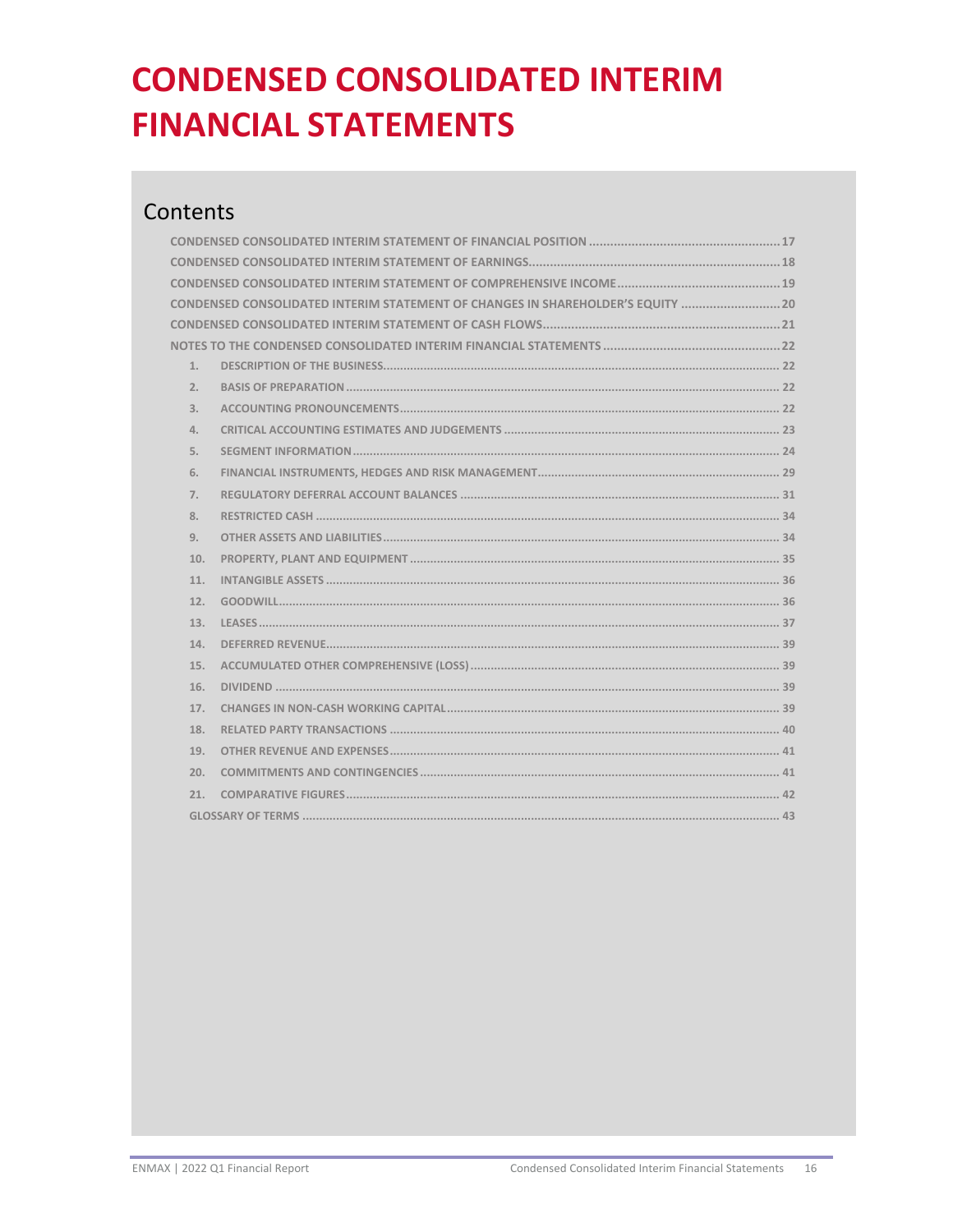# **CONDENSED CONSOLIDATED INTERIM FINANCIAL STATEMENTS**

# Contents

| 1.  |  |
|-----|--|
| 2.  |  |
| 3.  |  |
| 4.  |  |
| 5.  |  |
| 6.  |  |
| 7.  |  |
| 8.  |  |
| 9.  |  |
| 10. |  |
| 11. |  |
| 12. |  |
| 13. |  |
| 14. |  |
| 15. |  |
| 16. |  |
| 17. |  |
| 18. |  |
| 19. |  |
| 20. |  |
| 21. |  |
|     |  |
|     |  |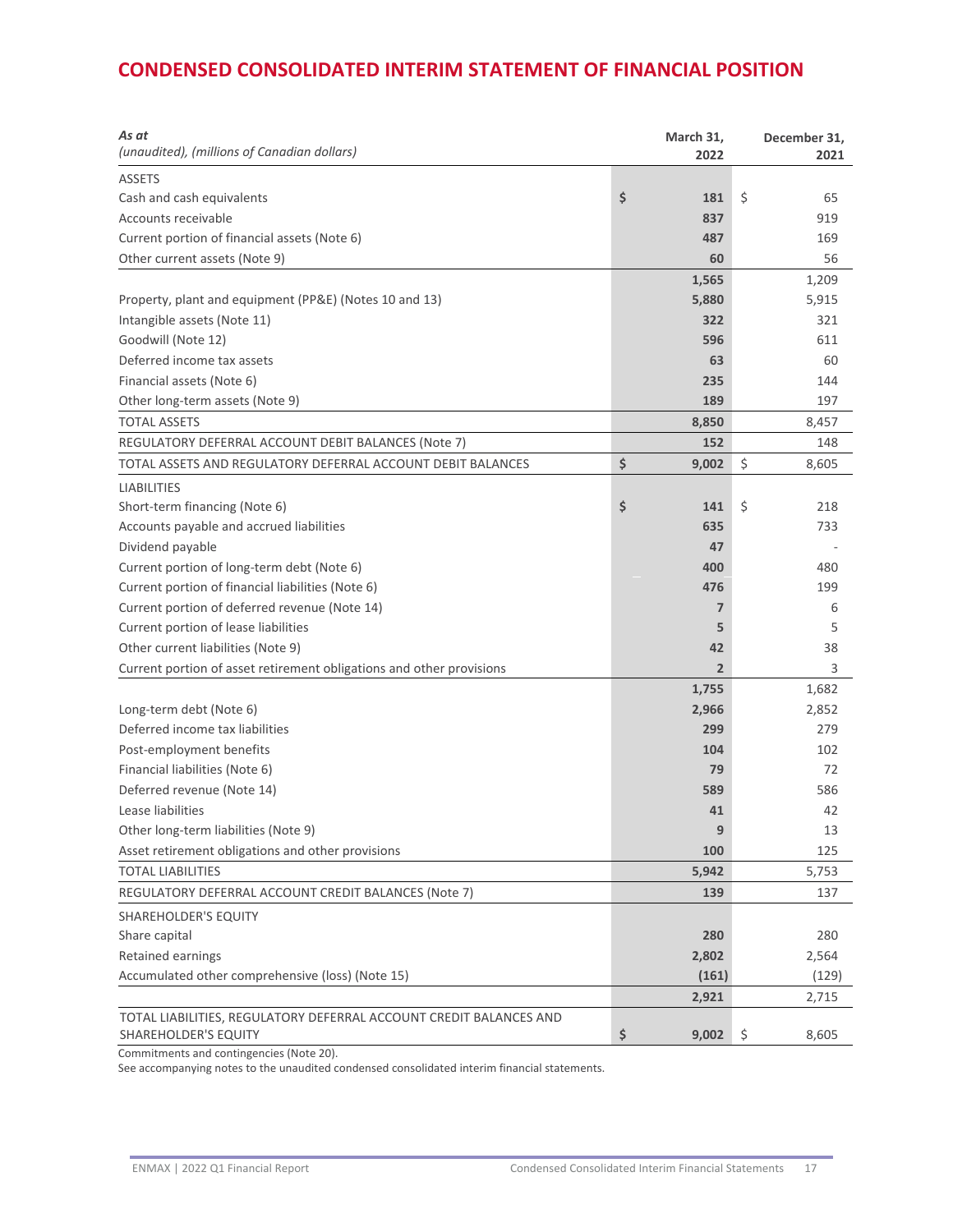# **CONDENSED CONSOLIDATED INTERIM STATEMENT OF FINANCIAL POSITION**

| As at<br>(unaudited), (millions of Canadian dollars)                 | March 31,<br>2022 | December 31,<br>2021 |
|----------------------------------------------------------------------|-------------------|----------------------|
| <b>ASSETS</b>                                                        |                   |                      |
| Cash and cash equivalents                                            | \$<br>181         | \$<br>65             |
| Accounts receivable                                                  | 837               | 919                  |
| Current portion of financial assets (Note 6)                         | 487               | 169                  |
| Other current assets (Note 9)                                        | 60                | 56                   |
|                                                                      | 1,565             | 1,209                |
| Property, plant and equipment (PP&E) (Notes 10 and 13)               | 5,880             | 5,915                |
| Intangible assets (Note 11)                                          | 322               | 321                  |
| Goodwill (Note 12)                                                   | 596               | 611                  |
| Deferred income tax assets                                           | 63                | 60                   |
| Financial assets (Note 6)                                            | 235               | 144                  |
| Other long-term assets (Note 9)                                      | 189               | 197                  |
| <b>TOTAL ASSETS</b>                                                  | 8,850             | 8,457                |
| REGULATORY DEFERRAL ACCOUNT DEBIT BALANCES (Note 7)                  | 152               | 148                  |
| TOTAL ASSETS AND REGULATORY DEFERRAL ACCOUNT DEBIT BALANCES          | \$<br>9,002       | \$<br>8,605          |
| <b>LIABILITIES</b>                                                   |                   |                      |
| Short-term financing (Note 6)                                        | \$<br>141         | \$<br>218            |
| Accounts payable and accrued liabilities                             | 635               | 733                  |
| Dividend payable                                                     | 47                |                      |
| Current portion of long-term debt (Note 6)                           | 400               | 480                  |
| Current portion of financial liabilities (Note 6)                    | 476               | 199                  |
| Current portion of deferred revenue (Note 14)                        | 7                 | 6                    |
| Current portion of lease liabilities                                 | 5                 | 5                    |
| Other current liabilities (Note 9)                                   | 42                | 38                   |
| Current portion of asset retirement obligations and other provisions | $\overline{2}$    | 3                    |
|                                                                      | 1,755             | 1,682                |
| Long-term debt (Note 6)                                              | 2,966             | 2,852                |
| Deferred income tax liabilities                                      | 299               | 279                  |
| Post-employment benefits                                             | 104               | 102                  |
| Financial liabilities (Note 6)                                       | 79                | 72                   |
| Deferred revenue (Note 14)                                           | 589               | 586                  |
| Lease liabilities                                                    | 41                | 42                   |
| Other long-term liabilities (Note 9)                                 | 9                 | 13                   |
| Asset retirement obligations and other provisions                    | 100               | 125                  |
| <b>TOTAL LIABILITIES</b>                                             | 5,942             | 5,753                |
| REGULATORY DEFERRAL ACCOUNT CREDIT BALANCES (Note 7)                 | 139               | 137                  |
| SHAREHOLDER'S EQUITY                                                 |                   |                      |
| Share capital                                                        | 280               | 280                  |
| Retained earnings                                                    | 2,802             | 2,564                |
| Accumulated other comprehensive (loss) (Note 15)                     | (161)             | (129)                |
|                                                                      | 2,921             | 2,715                |
| TOTAL LIABILITIES, REGULATORY DEFERRAL ACCOUNT CREDIT BALANCES AND   |                   |                      |
| SHAREHOLDER'S EQUITY                                                 | \$<br>9,002       | \$<br>8,605          |

Commitments and contingencies (Note 20).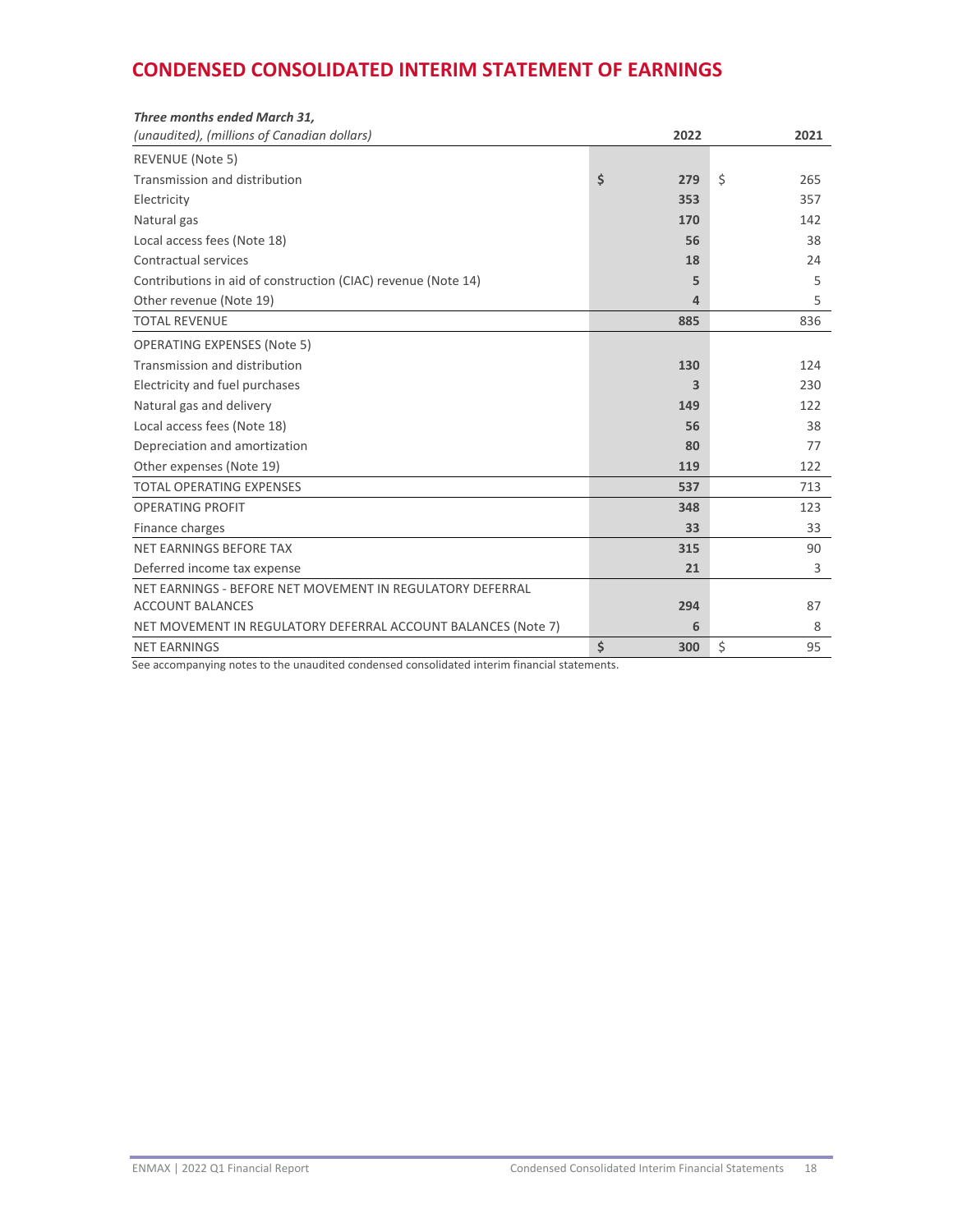# **CONDENSED CONSOLIDATED INTERIM STATEMENT OF EARNINGS**

| Three months ended March 31,                                  |           |           |
|---------------------------------------------------------------|-----------|-----------|
| (unaudited), (millions of Canadian dollars)                   | 2022      | 2021      |
| REVENUE (Note 5)                                              |           |           |
| Transmission and distribution                                 | \$<br>279 | \$<br>265 |
| Electricity                                                   | 353       | 357       |
| Natural gas                                                   | 170       | 142       |
| Local access fees (Note 18)                                   | 56        | 38        |
| Contractual services                                          | 18        | 24        |
| Contributions in aid of construction (CIAC) revenue (Note 14) | 5         | 5         |
| Other revenue (Note 19)                                       | 4         | 5         |
| <b>TOTAL REVENUE</b>                                          | 885       | 836       |
| <b>OPERATING EXPENSES (Note 5)</b>                            |           |           |
| Transmission and distribution                                 | 130       | 124       |
| Electricity and fuel purchases                                | 3         | 230       |
| Natural gas and delivery                                      | 149       | 122       |
| Local access fees (Note 18)                                   | 56        | 38        |
| Depreciation and amortization                                 | 80        | 77        |
| Other expenses (Note 19)                                      | 119       | 122       |
| <b>TOTAL OPERATING EXPENSES</b>                               | 537       | 713       |
| <b>OPERATING PROFIT</b>                                       | 348       | 123       |
| Finance charges                                               | 33        | 33        |
| NET EARNINGS BEFORE TAX                                       | 315       | 90        |
| Deferred income tax expense                                   | 21        | 3         |
| NET EARNINGS - BEFORE NET MOVEMENT IN REGULATORY DEFERRAL     |           |           |
| <b>ACCOUNT BALANCES</b>                                       | 294       | 87        |
| NET MOVEMENT IN REGULATORY DEFERRAL ACCOUNT BALANCES (Note 7) | 6         | 8         |
| <b>NET EARNINGS</b>                                           | \$<br>300 | \$<br>95  |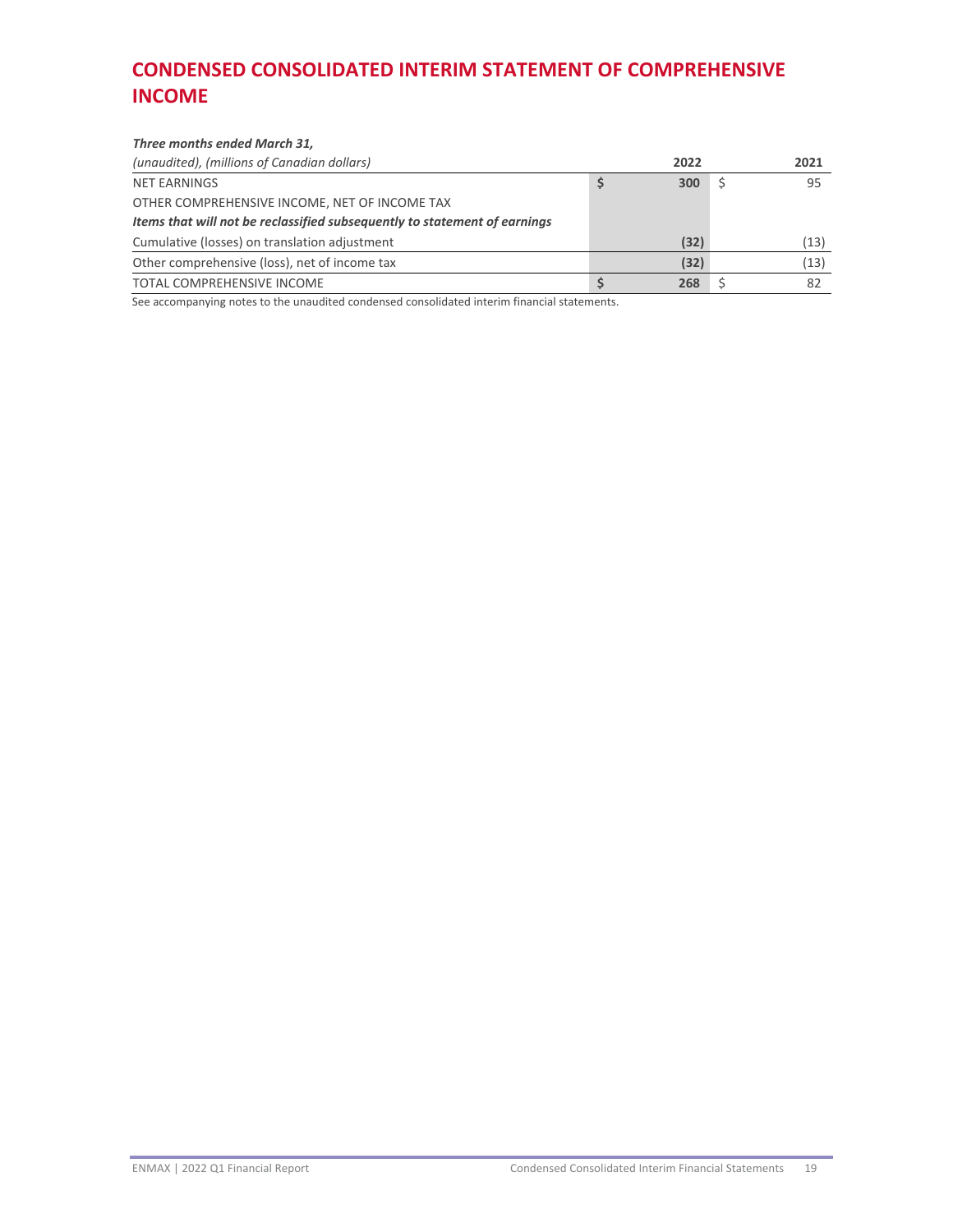# **CONDENSED CONSOLIDATED INTERIM STATEMENT OF COMPREHENSIVE INCOME**

| Three months ended March 31,                                              |      |      |
|---------------------------------------------------------------------------|------|------|
| (unaudited), (millions of Canadian dollars)                               | 2022 | 2021 |
| <b>NET EARNINGS</b>                                                       | 300  | 95   |
| OTHER COMPREHENSIVE INCOME, NET OF INCOME TAX                             |      |      |
| Items that will not be reclassified subsequently to statement of earnings |      |      |
| Cumulative (losses) on translation adjustment                             | (32) | (13) |
| Other comprehensive (loss), net of income tax                             | (32) | (13) |
| TOTAL COMPREHENSIVE INCOME                                                | 268  | 82   |
|                                                                           |      |      |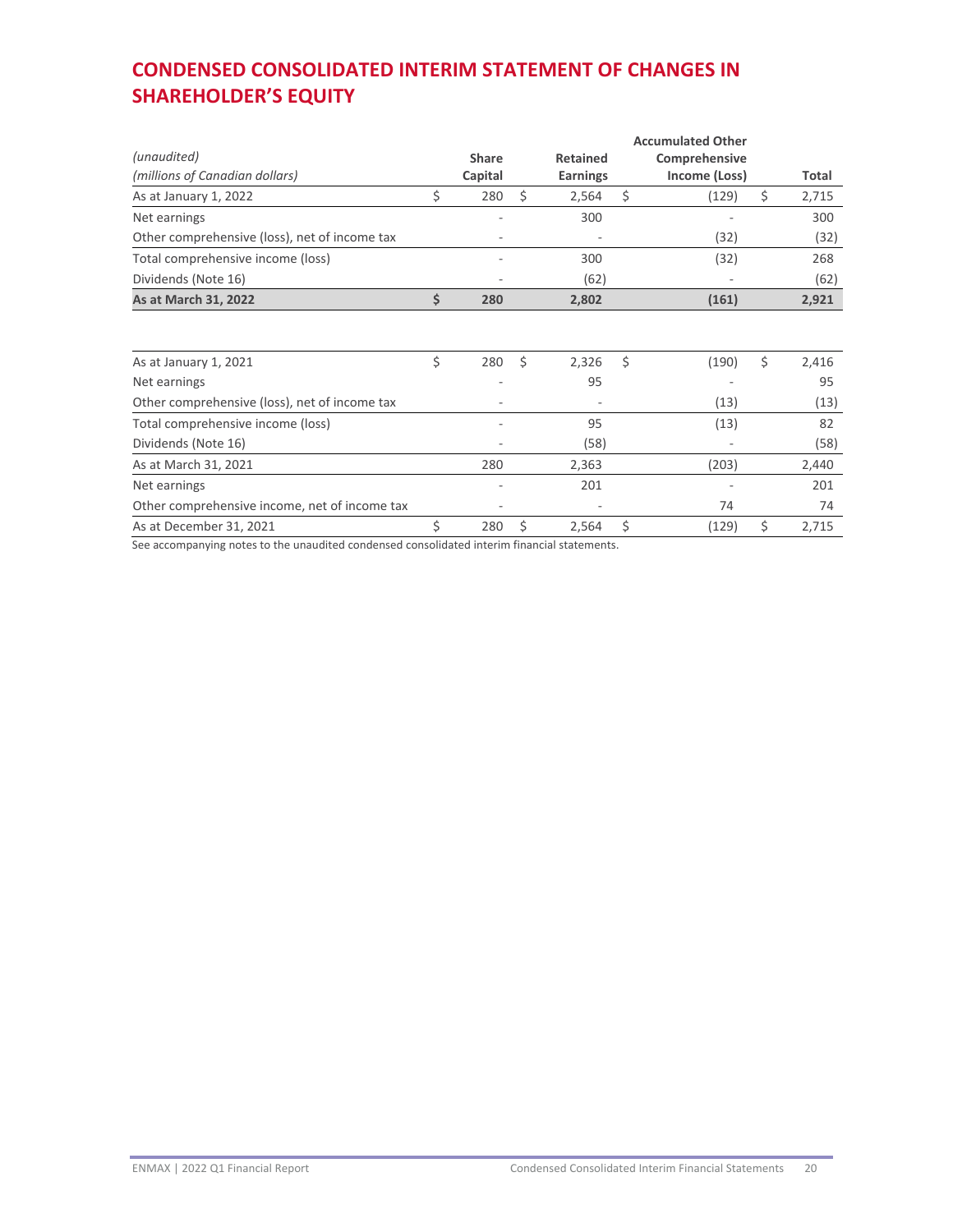# **CONDENSED CONSOLIDATED INTERIM STATEMENT OF CHANGES IN SHAREHOLDER'S EQUITY**

|                                               |    |              |    |                 |    | <b>Accumulated Other</b> |             |
|-----------------------------------------------|----|--------------|----|-----------------|----|--------------------------|-------------|
| (unaudited)                                   |    | <b>Share</b> |    | Retained        |    | Comprehensive            |             |
| (millions of Canadian dollars)                |    | Capital      |    | <b>Earnings</b> |    | Income (Loss)            | Total       |
| As at January 1, 2022                         | \$ | 280          | \$ | 2,564           | \$ | (129)                    | \$<br>2,715 |
| Net earnings                                  |    |              |    | 300             |    |                          | 300         |
| Other comprehensive (loss), net of income tax |    |              |    |                 |    | (32)                     | (32)        |
| Total comprehensive income (loss)             |    |              |    | 300             |    | (32)                     | 268         |
| Dividends (Note 16)                           |    |              |    | (62)            |    |                          | (62)        |
| As at March 31, 2022                          | Ś. | 280          |    | 2,802           |    | (161)                    | 2,921       |
|                                               |    |              |    |                 |    |                          |             |
| As at January 1, 2021                         | \$ | 280          | Ś  | 2,326           | Ś. | (190)                    | \$<br>2,416 |
| Net earnings                                  |    |              |    | 95              |    |                          | 95          |
| Other comprehensive (loss), net of income tax |    |              |    |                 |    | (13)                     | (13)        |
| Total comprehensive income (loss)             |    |              |    | 95              |    | (13)                     | 82          |
| Dividends (Note 16)                           |    |              |    | (58)            |    |                          | (58)        |
| As at March 31, 2021                          |    | 280          |    | 2,363           |    | (203)                    | 2,440       |
| Net earnings                                  |    |              |    | 201             |    |                          | 201         |
| Other comprehensive income, net of income tax |    |              |    |                 |    | 74                       | 74          |
| As at December 31, 2021                       | \$ | 280          | Ś  | 2,564           | \$ | (129)                    | \$<br>2,715 |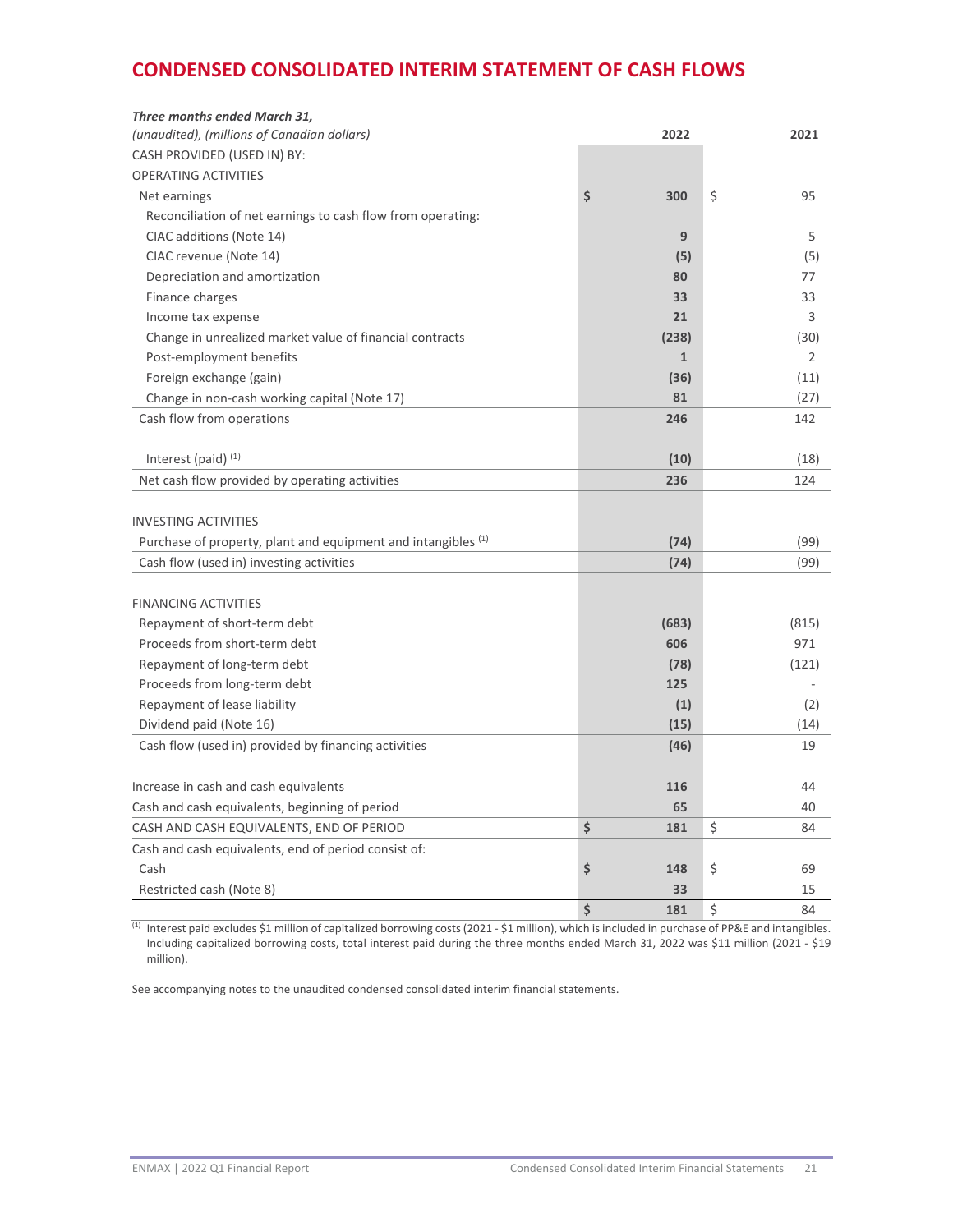# **CONDENSED CONSOLIDATED INTERIM STATEMENT OF CASH FLOWS**

| Three months ended March 31,                                  |              |                |
|---------------------------------------------------------------|--------------|----------------|
| (unaudited), (millions of Canadian dollars)                   | 2022         | 2021           |
| CASH PROVIDED (USED IN) BY:                                   |              |                |
| <b>OPERATING ACTIVITIES</b>                                   |              |                |
| Net earnings                                                  | \$<br>300    | \$<br>95       |
| Reconciliation of net earnings to cash flow from operating:   |              |                |
| CIAC additions (Note 14)                                      | 9            | 5              |
| CIAC revenue (Note 14)                                        | (5)          | (5)            |
| Depreciation and amortization                                 | 80           | 77             |
| Finance charges                                               | 33           | 33             |
| Income tax expense                                            | 21           | 3              |
| Change in unrealized market value of financial contracts      | (238)        | (30)           |
| Post-employment benefits                                      | $\mathbf{1}$ | $\overline{2}$ |
| Foreign exchange (gain)                                       | (36)         | (11)           |
| Change in non-cash working capital (Note 17)                  | 81           | (27)           |
| Cash flow from operations                                     | 246          | 142            |
|                                                               |              |                |
| Interest (paid) $(1)$                                         | (10)         | (18)           |
| Net cash flow provided by operating activities                | 236          | 124            |
|                                                               |              |                |
| <b>INVESTING ACTIVITIES</b>                                   |              |                |
| Purchase of property, plant and equipment and intangibles (1) | (74)         | (99)           |
| Cash flow (used in) investing activities                      | (74)         | (99)           |
|                                                               |              |                |
| <b>FINANCING ACTIVITIES</b>                                   |              |                |
| Repayment of short-term debt                                  | (683)        | (815)          |
| Proceeds from short-term debt                                 | 606          | 971            |
| Repayment of long-term debt                                   | (78)         | (121)          |
| Proceeds from long-term debt                                  | 125          |                |
| Repayment of lease liability                                  | (1)          | (2)            |
| Dividend paid (Note 16)                                       | (15)         | (14)           |
| Cash flow (used in) provided by financing activities          | (46)         | 19             |
|                                                               |              |                |
| Increase in cash and cash equivalents                         | 116          | 44             |
| Cash and cash equivalents, beginning of period                | 65           | 40             |
| CASH AND CASH EQUIVALENTS, END OF PERIOD                      | \$<br>181    | \$<br>84       |
| Cash and cash equivalents, end of period consist of:          |              |                |
| Cash                                                          | \$<br>148    | \$<br>69       |
| Restricted cash (Note 8)                                      | 33           | 15             |
|                                                               | \$<br>181    | \$<br>84       |

 $^{(1)}$  Interest paid excludes \$1 million of capitalized borrowing costs (2021 - \$1 million), which is included in purchase of PP&E and intangibles. Including capitalized borrowing costs, total interest paid during the three months ended March 31, 2022 was \$11 million (2021 ‐ \$19 million).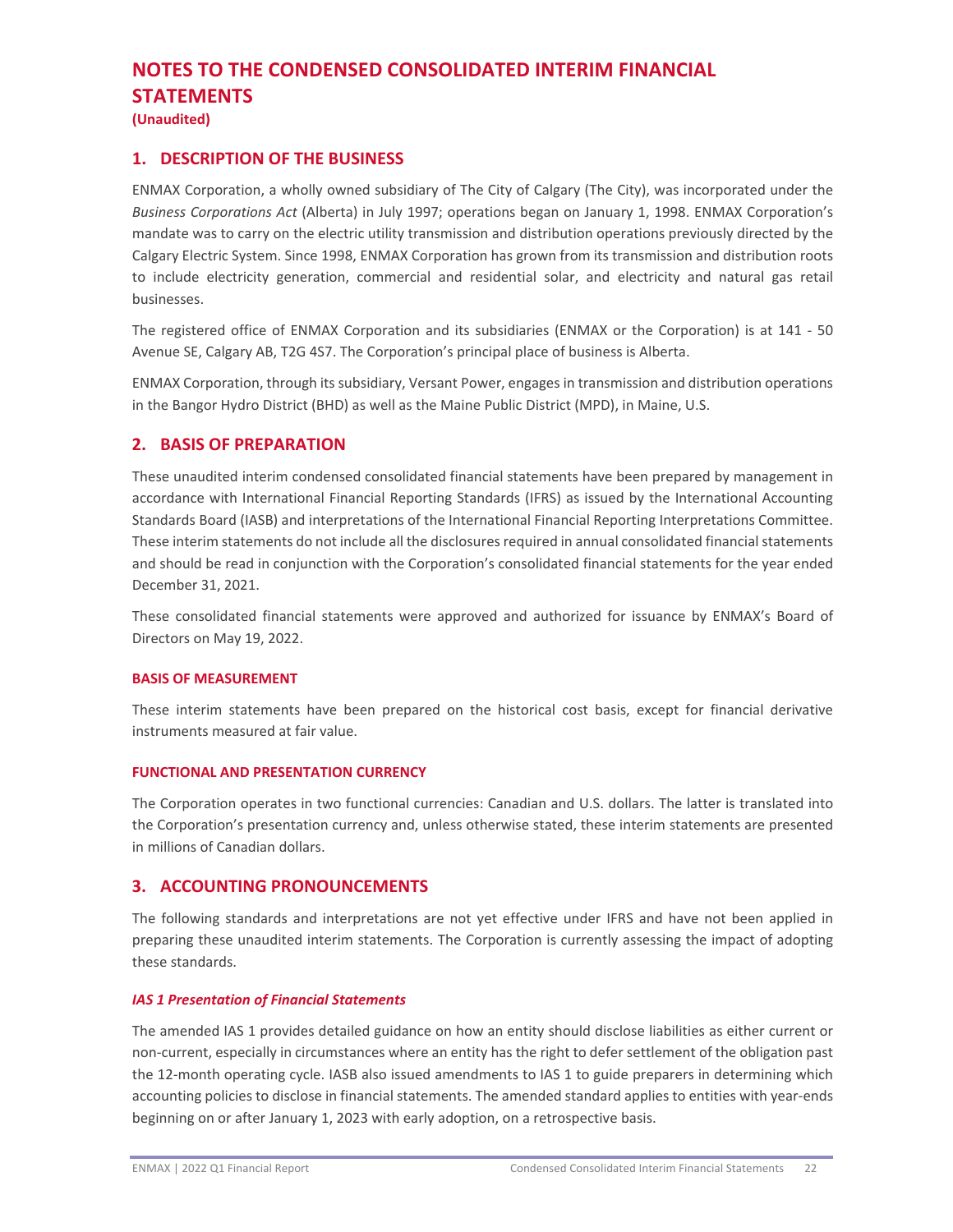# **NOTES TO THE CONDENSED CONSOLIDATED INTERIM FINANCIAL STATEMENTS**

**(Unaudited)**

#### **1. DESCRIPTION OF THE BUSINESS**

ENMAX Corporation, a wholly owned subsidiary of The City of Calgary (The City), was incorporated under the *Business Corporations Act* (Alberta) in July 1997; operations began on January 1, 1998. ENMAX Corporation's mandate was to carry on the electric utility transmission and distribution operations previously directed by the Calgary Electric System. Since 1998, ENMAX Corporation has grown from its transmission and distribution roots to include electricity generation, commercial and residential solar, and electricity and natural gas retail businesses.

The registered office of ENMAX Corporation and its subsidiaries (ENMAX or the Corporation) is at 141 ‐ 50 Avenue SE, Calgary AB, T2G 4S7. The Corporation's principal place of business is Alberta.

ENMAX Corporation, through its subsidiary, Versant Power, engagesin transmission and distribution operations in the Bangor Hydro District (BHD) as well as the Maine Public District (MPD), in Maine, U.S.

#### **2. BASIS OF PREPARATION**

These unaudited interim condensed consolidated financial statements have been prepared by management in accordance with International Financial Reporting Standards (IFRS) as issued by the International Accounting Standards Board (IASB) and interpretations of the International Financial Reporting Interpretations Committee. These interim statements do not include all the disclosures required in annual consolidated financial statements and should be read in conjunction with the Corporation's consolidated financial statements for the year ended December 31, 2021.

These consolidated financial statements were approved and authorized for issuance by ENMAX's Board of Directors on May 19, 2022.

#### **BASIS OF MEASUREMENT**

These interim statements have been prepared on the historical cost basis, except for financial derivative instruments measured at fair value.

#### **FUNCTIONAL AND PRESENTATION CURRENCY**

The Corporation operates in two functional currencies: Canadian and U.S. dollars. The latter is translated into the Corporation's presentation currency and, unless otherwise stated, these interim statements are presented in millions of Canadian dollars.

#### **3. ACCOUNTING PRONOUNCEMENTS**

The following standards and interpretations are not yet effective under IFRS and have not been applied in preparing these unaudited interim statements. The Corporation is currently assessing the impact of adopting these standards.

#### *IAS 1 Presentation of Financial Statements*

The amended IAS 1 provides detailed guidance on how an entity should disclose liabilities as either current or non‐current, especially in circumstances where an entity has the right to defer settlement of the obligation past the 12-month operating cycle. IASB also issued amendments to IAS 1 to guide preparers in determining which accounting policies to disclose in financial statements. The amended standard applies to entities with year-ends beginning on or after January 1, 2023 with early adoption, on a retrospective basis.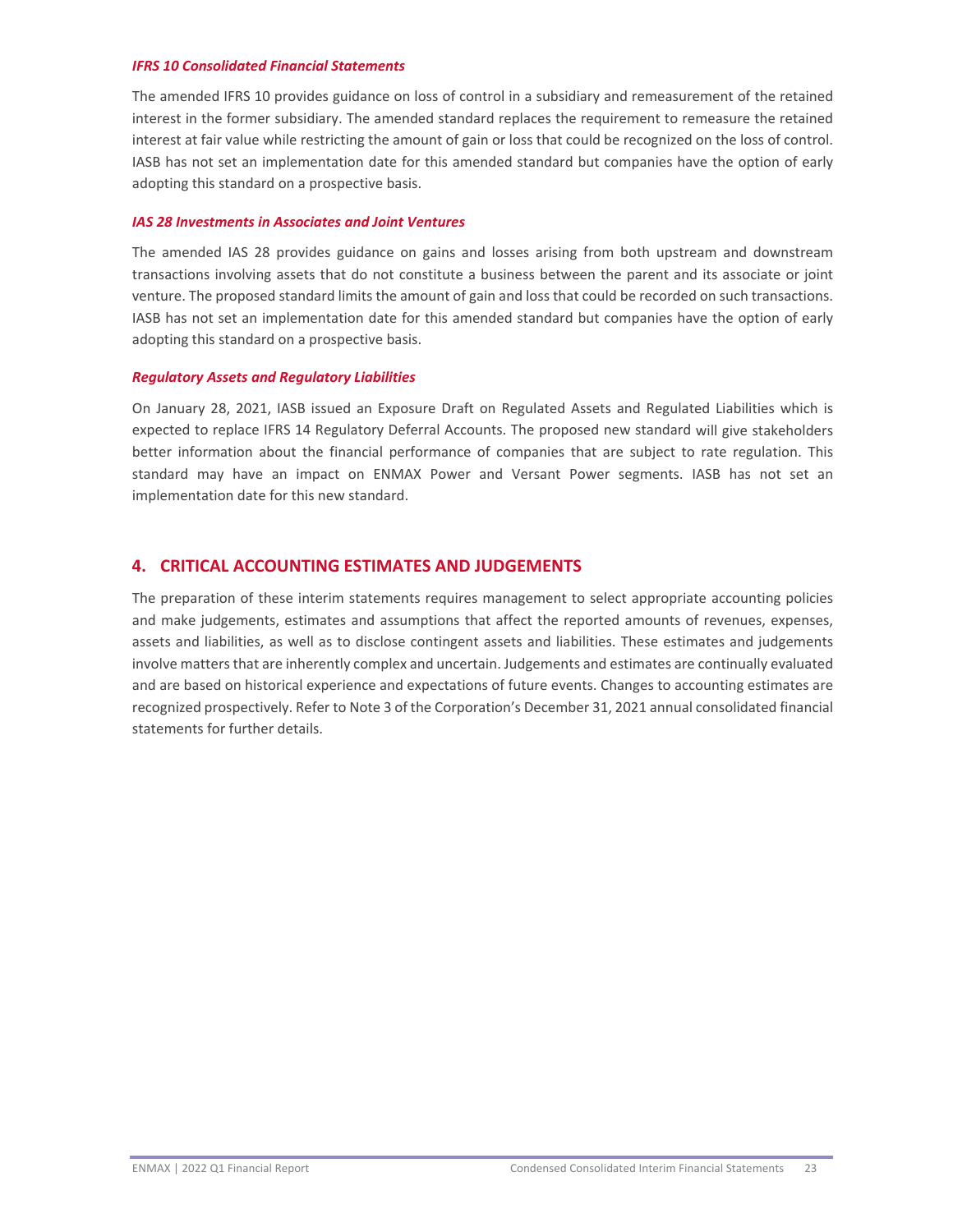#### *IFRS 10 Consolidated Financial Statements*

The amended IFRS 10 provides guidance on loss of control in a subsidiary and remeasurement of the retained interest in the former subsidiary. The amended standard replaces the requirement to remeasure the retained interest at fair value while restricting the amount of gain or loss that could be recognized on the loss of control. IASB has not set an implementation date for this amended standard but companies have the option of early adopting this standard on a prospective basis.

#### *IAS 28 Investments in Associates and Joint Ventures*

The amended IAS 28 provides guidance on gains and losses arising from both upstream and downstream transactions involving assets that do not constitute a business between the parent and its associate or joint venture. The proposed standard limits the amount of gain and loss that could be recorded on such transactions. IASB has not set an implementation date for this amended standard but companies have the option of early adopting this standard on a prospective basis.

#### *Regulatory Assets and Regulatory Liabilities*

On January 28, 2021, IASB issued an Exposure Draft on Regulated Assets and Regulated Liabilities which is expected to replace IFRS 14 Regulatory Deferral Accounts. The proposed new standard will give stakeholders better information about the financial performance of companies that are subject to rate regulation. This standard may have an impact on ENMAX Power and Versant Power segments. IASB has not set an implementation date for this new standard.

#### **4. CRITICAL ACCOUNTING ESTIMATES AND JUDGEMENTS**

The preparation of these interim statements requires management to select appropriate accounting policies and make judgements, estimates and assumptions that affect the reported amounts of revenues, expenses, assets and liabilities, as well as to disclose contingent assets and liabilities. These estimates and judgements involve matters that are inherently complex and uncertain. Judgements and estimates are continually evaluated and are based on historical experience and expectations of future events. Changes to accounting estimates are recognized prospectively. Refer to Note 3 of the Corporation's December 31, 2021 annual consolidated financial statements for further details.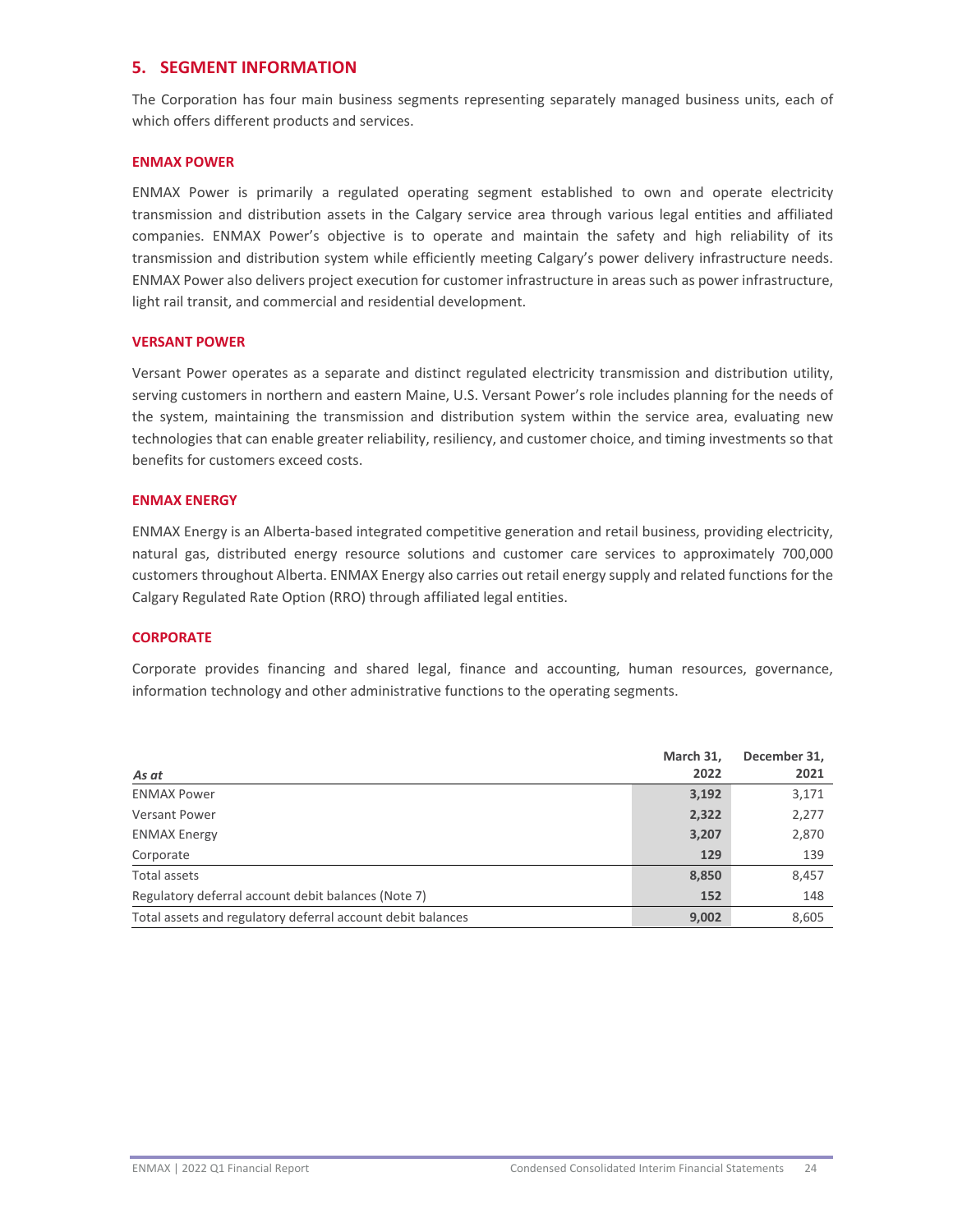#### **5. SEGMENT INFORMATION**

The Corporation has four main business segments representing separately managed business units, each of which offers different products and services.

#### **ENMAX POWER**

ENMAX Power is primarily a regulated operating segment established to own and operate electricity transmission and distribution assets in the Calgary service area through various legal entities and affiliated companies. ENMAX Power's objective is to operate and maintain the safety and high reliability of its transmission and distribution system while efficiently meeting Calgary's power delivery infrastructure needs. ENMAX Power also delivers project execution for customer infrastructure in areas such as power infrastructure, light rail transit, and commercial and residential development.

#### **VERSANT POWER**

Versant Power operates as a separate and distinct regulated electricity transmission and distribution utility, serving customers in northern and eastern Maine, U.S. Versant Power's role includes planning for the needs of the system, maintaining the transmission and distribution system within the service area, evaluating new technologies that can enable greater reliability, resiliency, and customer choice, and timing investments so that benefits for customers exceed costs.

#### **ENMAX ENERGY**

ENMAX Energy is an Alberta‐based integrated competitive generation and retail business, providing electricity, natural gas, distributed energy resource solutions and customer care services to approximately 700,000 customers throughout Alberta. ENMAX Energy also carries out retail energy supply and related functions for the Calgary Regulated Rate Option (RRO) through affiliated legal entities.

#### **CORPORATE**

Corporate provides financing and shared legal, finance and accounting, human resources, governance, information technology and other administrative functions to the operating segments.

|                                                             | March 31, | December 31, |
|-------------------------------------------------------------|-----------|--------------|
| As at                                                       | 2022      | 2021         |
| <b>ENMAX Power</b>                                          | 3,192     | 3,171        |
| <b>Versant Power</b>                                        | 2,322     | 2,277        |
| <b>ENMAX Energy</b>                                         | 3,207     | 2,870        |
| Corporate                                                   | 129       | 139          |
| Total assets                                                | 8,850     | 8,457        |
| Regulatory deferral account debit balances (Note 7)         | 152       | 148          |
| Total assets and regulatory deferral account debit balances | 9,002     | 8,605        |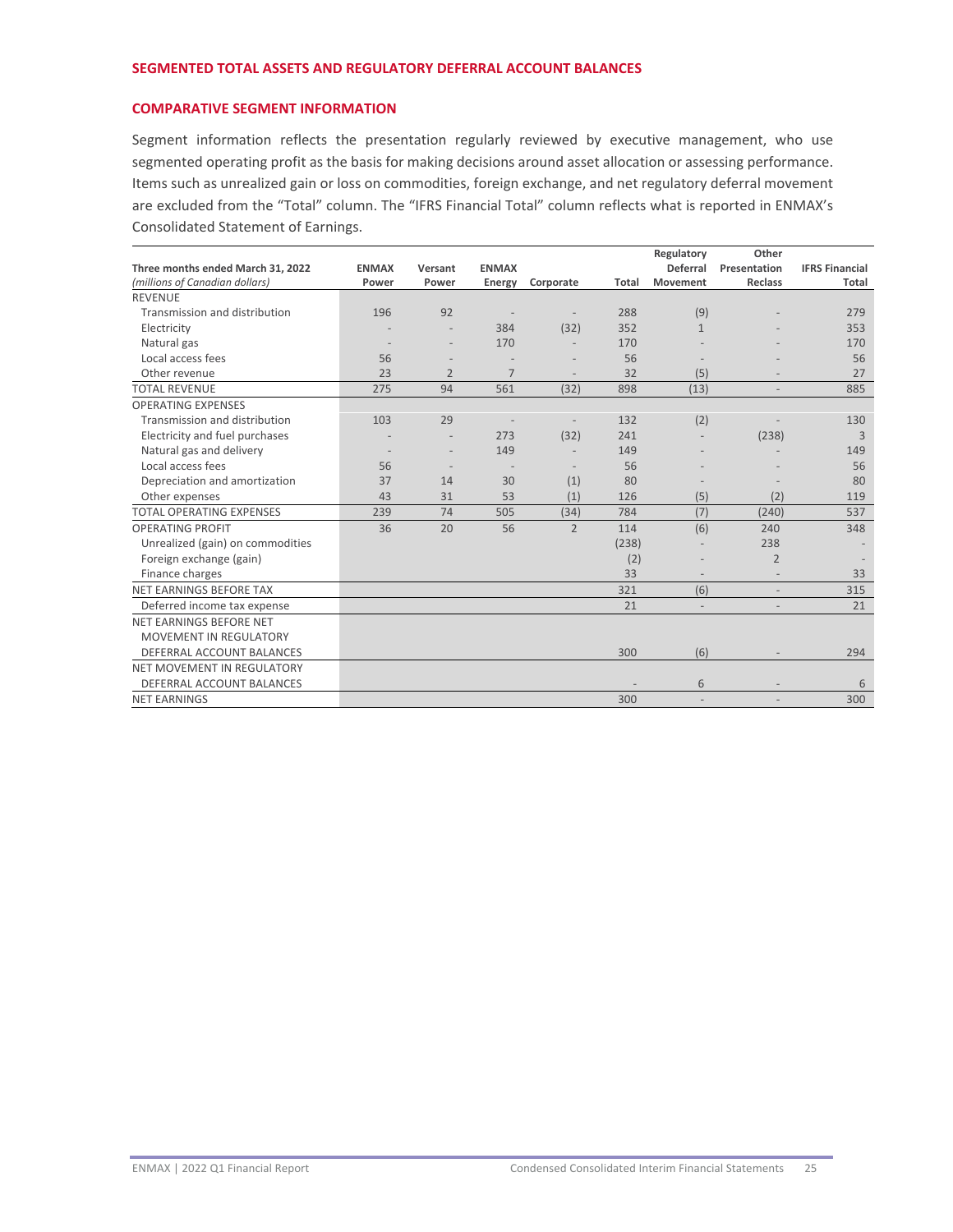#### **SEGMENTED TOTAL ASSETS AND REGULATORY DEFERRAL ACCOUNT BALANCES**

#### **COMPARATIVE SEGMENT INFORMATION**

Segment information reflects the presentation regularly reviewed by executive management, who use segmented operating profit as the basis for making decisions around asset allocation or assessing performance. Items such as unrealized gain or loss on commodities, foreign exchange, and net regulatory deferral movement are excluded from the "Total" column. The "IFRS Financial Total" column reflects what is reported in ENMAX's Consolidated Statement of Earnings.

|                                   |              |                          |                          |                          |       | Regulatory               | Other                    |                       |
|-----------------------------------|--------------|--------------------------|--------------------------|--------------------------|-------|--------------------------|--------------------------|-----------------------|
| Three months ended March 31, 2022 | <b>ENMAX</b> | Versant                  | <b>ENMAX</b>             |                          |       | <b>Deferral</b>          | Presentation             | <b>IFRS Financial</b> |
| (millions of Canadian dollars)    | Power        | Power                    | Energy                   | Corporate                | Total | Movement                 | Reclass                  | Total                 |
| <b>REVENUE</b>                    |              |                          |                          |                          |       |                          |                          |                       |
| Transmission and distribution     | 196          | 92                       |                          |                          | 288   | (9)                      |                          | 279                   |
| Electricity                       |              |                          | 384                      | (32)                     | 352   | $\mathbf{1}$             |                          | 353                   |
| Natural gas                       |              |                          | 170                      |                          | 170   |                          |                          | 170                   |
| Local access fees                 | 56           |                          |                          |                          | 56    |                          |                          | 56                    |
| Other revenue                     | 23           | $\overline{2}$           | $\overline{7}$           |                          | 32    | (5)                      | $\overline{a}$           | 27                    |
| <b>TOTAL REVENUE</b>              | 275          | 94                       | 561                      | (32)                     | 898   | (13)                     | $\overline{a}$           | 885                   |
| <b>OPERATING EXPENSES</b>         |              |                          |                          |                          |       |                          |                          |                       |
| Transmission and distribution     | 103          | 29                       |                          |                          | 132   | (2)                      |                          | 130                   |
| Electricity and fuel purchases    |              | $\overline{\phantom{a}}$ | 273                      | (32)                     | 241   |                          | (238)                    | 3                     |
| Natural gas and delivery          |              | ٠                        | 149                      |                          | 149   |                          |                          | 149                   |
| Local access fees                 | 56           | $\overline{\phantom{a}}$ | $\overline{\phantom{a}}$ | $\overline{\phantom{m}}$ | 56    |                          |                          | 56                    |
| Depreciation and amortization     | 37           | 14                       | 30                       | (1)                      | 80    |                          |                          | 80                    |
| Other expenses                    | 43           | 31                       | 53                       | (1)                      | 126   | (5)                      | (2)                      | 119                   |
| <b>TOTAL OPERATING EXPENSES</b>   | 239          | 74                       | 505                      | (34)                     | 784   | (7)                      | (240)                    | 537                   |
| <b>OPERATING PROFIT</b>           | 36           | 20                       | 56                       | $\overline{2}$           | 114   | (6)                      | 240                      | 348                   |
| Unrealized (gain) on commodities  |              |                          |                          |                          | (238) |                          | 238                      |                       |
| Foreign exchange (gain)           |              |                          |                          |                          | (2)   |                          | $\overline{2}$           |                       |
| Finance charges                   |              |                          |                          |                          | 33    |                          |                          | 33                    |
| NET EARNINGS BEFORE TAX           |              |                          |                          |                          | 321   | (6)                      | $\overline{a}$           | 315                   |
| Deferred income tax expense       |              |                          |                          |                          | 21    | $\overline{\phantom{a}}$ | $\overline{\phantom{a}}$ | 21                    |
| NET EARNINGS BEFORE NET           |              |                          |                          |                          |       |                          |                          |                       |
| <b>MOVEMENT IN REGULATORY</b>     |              |                          |                          |                          |       |                          |                          |                       |
| DEFERRAL ACCOUNT BALANCES         |              |                          |                          |                          | 300   | (6)                      |                          | 294                   |
| NET MOVEMENT IN REGULATORY        |              |                          |                          |                          |       |                          |                          |                       |
| DEFERRAL ACCOUNT BALANCES         |              |                          |                          |                          |       | 6                        |                          | 6                     |
| <b>NET EARNINGS</b>               |              |                          |                          |                          | 300   | $\overline{\phantom{a}}$ |                          | 300                   |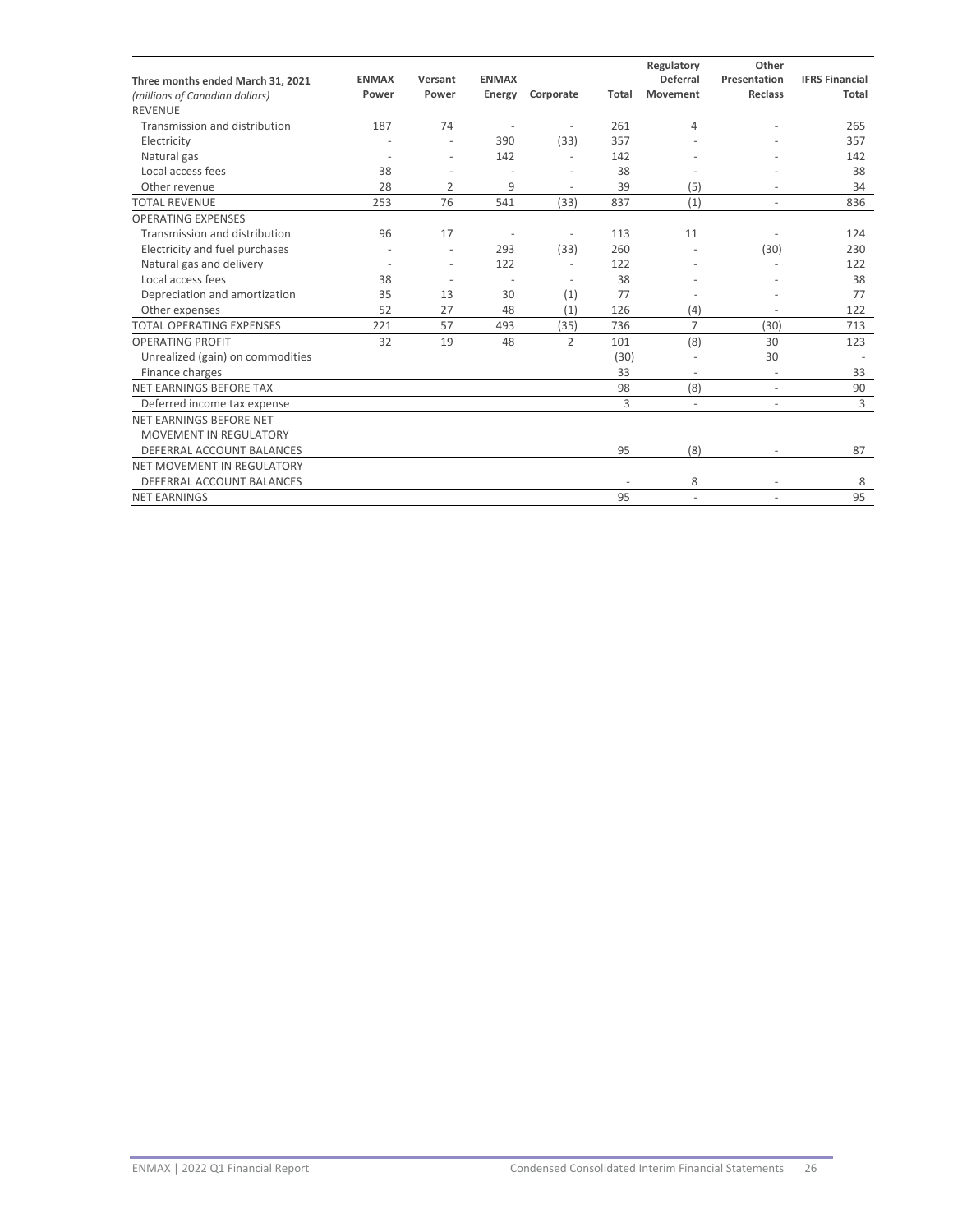|                                   |              |                          |                          |                          |       | Regulatory               | Other                    |                       |
|-----------------------------------|--------------|--------------------------|--------------------------|--------------------------|-------|--------------------------|--------------------------|-----------------------|
| Three months ended March 31, 2021 | <b>ENMAX</b> | Versant                  | <b>ENMAX</b>             |                          |       | Deferral                 | Presentation             | <b>IFRS Financial</b> |
| (millions of Canadian dollars)    | Power        | Power                    | Energy                   | Corporate                | Total | Movement                 | <b>Reclass</b>           | Total                 |
| <b>REVENUE</b>                    |              |                          |                          |                          |       |                          |                          |                       |
| Transmission and distribution     | 187          | 74                       | $\overline{\phantom{a}}$ | $\overline{\phantom{a}}$ | 261   | $\overline{4}$           |                          | 265                   |
| Electricity                       |              | ٠                        | 390                      | (33)                     | 357   |                          |                          | 357                   |
| Natural gas                       | ٠            | $\overline{\phantom{a}}$ | 142                      |                          | 142   |                          |                          | 142                   |
| Local access fees                 | 38           |                          |                          |                          | 38    |                          |                          | 38                    |
| Other revenue                     | 28           | 2                        | 9                        | $\overline{\phantom{a}}$ | 39    | (5)                      |                          | 34                    |
| <b>TOTAL REVENUE</b>              | 253          | 76                       | 541                      | (33)                     | 837   | (1)                      | $\overline{\phantom{a}}$ | 836                   |
| <b>OPERATING EXPENSES</b>         |              |                          |                          |                          |       |                          |                          |                       |
| Transmission and distribution     | 96           | 17                       | $\overline{\phantom{a}}$ | $\overline{\phantom{a}}$ | 113   | 11                       | ÷,                       | 124                   |
| Electricity and fuel purchases    |              | ٠                        | 293                      | (33)                     | 260   |                          | (30)                     | 230                   |
| Natural gas and delivery          | ٠            | $\overline{\phantom{a}}$ | 122                      | ٠                        | 122   |                          |                          | 122                   |
| Local access fees                 | 38           | $\overline{\phantom{a}}$ |                          | ٠                        | 38    |                          |                          | 38                    |
| Depreciation and amortization     | 35           | 13                       | 30                       | (1)                      | 77    |                          |                          | 77                    |
| Other expenses                    | 52           | 27                       | 48                       | (1)                      | 126   | (4)                      |                          | 122                   |
| <b>TOTAL OPERATING EXPENSES</b>   | 221          | 57                       | 493                      | (35)                     | 736   | $\overline{7}$           | (30)                     | 713                   |
| <b>OPERATING PROFIT</b>           | 32           | 19                       | 48                       | $\overline{2}$           | 101   | (8)                      | 30                       | 123                   |
| Unrealized (gain) on commodities  |              |                          |                          |                          | (30)  |                          | 30                       |                       |
| Finance charges                   |              |                          |                          |                          | 33    |                          | $\overline{\phantom{a}}$ | 33                    |
| NET EARNINGS BEFORE TAX           |              |                          |                          |                          | 98    | (8)                      | $\overline{\phantom{a}}$ | 90                    |
| Deferred income tax expense       |              |                          |                          |                          | 3     | $\sim$                   | L.                       | 3                     |
| <b>NET EARNINGS BEFORE NET</b>    |              |                          |                          |                          |       |                          |                          |                       |
| <b>MOVEMENT IN REGULATORY</b>     |              |                          |                          |                          |       |                          |                          |                       |
| DEFERRAL ACCOUNT BALANCES         |              |                          |                          |                          | 95    | (8)                      |                          | 87                    |
| NET MOVEMENT IN REGULATORY        |              |                          |                          |                          |       |                          |                          |                       |
| DEFERRAL ACCOUNT BALANCES         |              |                          |                          |                          |       | 8                        |                          | 8                     |
| <b>NET EARNINGS</b>               |              |                          |                          |                          | 95    | $\overline{\phantom{a}}$ | $\overline{\phantom{a}}$ | 95                    |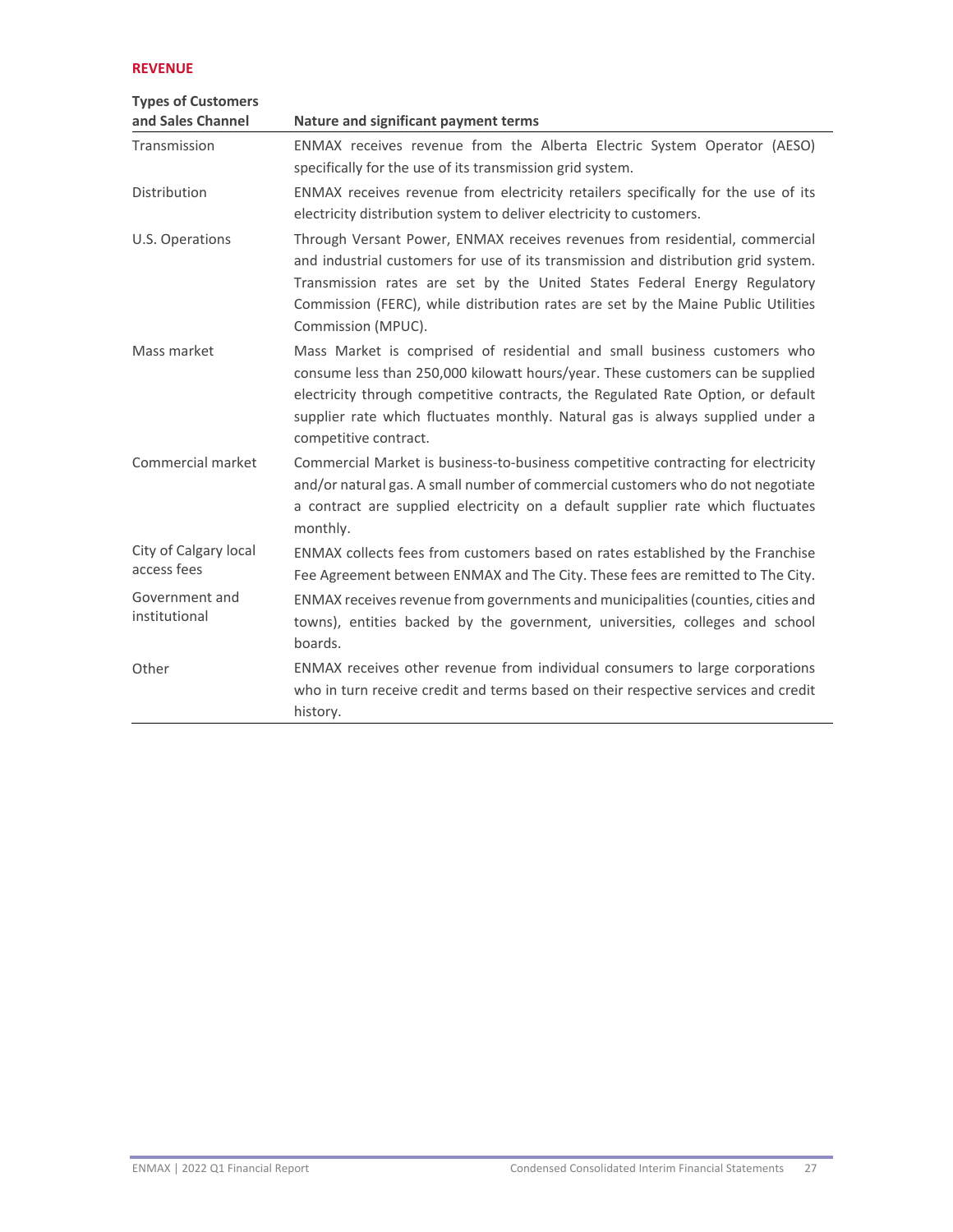#### **REVENUE**

| <b>Types of Customers</b>            |                                                                                    |
|--------------------------------------|------------------------------------------------------------------------------------|
| and Sales Channel                    | Nature and significant payment terms                                               |
| Transmission                         | ENMAX receives revenue from the Alberta Electric System Operator (AESO)            |
|                                      | specifically for the use of its transmission grid system.                          |
| Distribution                         | ENMAX receives revenue from electricity retailers specifically for the use of its  |
|                                      | electricity distribution system to deliver electricity to customers.               |
| U.S. Operations                      | Through Versant Power, ENMAX receives revenues from residential, commercial        |
|                                      | and industrial customers for use of its transmission and distribution grid system. |
|                                      | Transmission rates are set by the United States Federal Energy Regulatory          |
|                                      | Commission (FERC), while distribution rates are set by the Maine Public Utilities  |
|                                      | Commission (MPUC).                                                                 |
| Mass market                          | Mass Market is comprised of residential and small business customers who           |
|                                      | consume less than 250,000 kilowatt hours/year. These customers can be supplied     |
|                                      | electricity through competitive contracts, the Regulated Rate Option, or default   |
|                                      | supplier rate which fluctuates monthly. Natural gas is always supplied under a     |
|                                      | competitive contract.                                                              |
| Commercial market                    | Commercial Market is business-to-business competitive contracting for electricity  |
|                                      | and/or natural gas. A small number of commercial customers who do not negotiate    |
|                                      | a contract are supplied electricity on a default supplier rate which fluctuates    |
|                                      | monthly.                                                                           |
| City of Calgary local<br>access fees | ENMAX collects fees from customers based on rates established by the Franchise     |
|                                      | Fee Agreement between ENMAX and The City. These fees are remitted to The City.     |
| Government and<br>institutional      | ENMAX receives revenue from governments and municipalities (counties, cities and   |
|                                      | towns), entities backed by the government, universities, colleges and school       |
|                                      | boards.                                                                            |
| Other                                | ENMAX receives other revenue from individual consumers to large corporations       |
|                                      | who in turn receive credit and terms based on their respective services and credit |
|                                      | history.                                                                           |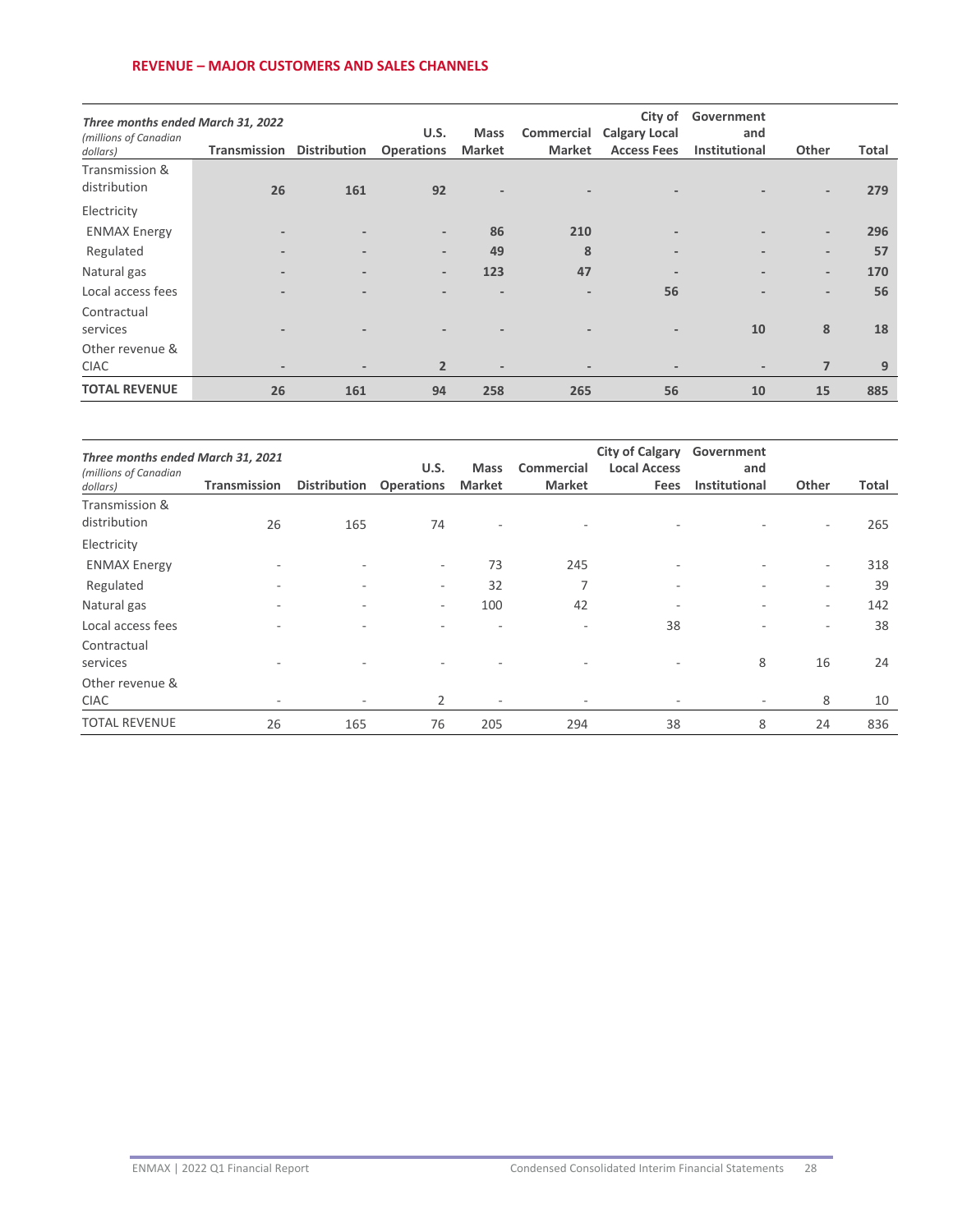#### **REVENUE – MAJOR CUSTOMERS AND SALES CHANNELS**

| Three months ended March 31, 2022<br>(millions of Canadian<br>dollars) | <b>Transmission</b>          | <b>Distribution</b>      | U.S.<br><b>Operations</b> | <b>Mass</b><br><b>Market</b> | Commercial<br><b>Market</b>  | <b>Calgary Local</b><br><b>Access Fees</b> | City of Government<br>and<br>Institutional | Other                    | Total |
|------------------------------------------------------------------------|------------------------------|--------------------------|---------------------------|------------------------------|------------------------------|--------------------------------------------|--------------------------------------------|--------------------------|-------|
| Transmission &<br>distribution                                         | 26                           | 161                      | 92                        | $\qquad \qquad \blacksquare$ |                              | $\qquad \qquad$                            |                                            | $\overline{\phantom{a}}$ | 279   |
| Electricity                                                            |                              |                          |                           |                              |                              |                                            |                                            |                          |       |
| <b>ENMAX Energy</b>                                                    | $\qquad \qquad$              | $\overline{\phantom{0}}$ | $\overline{\phantom{a}}$  | 86                           | 210                          | $\qquad \qquad -$                          | $\overline{\phantom{0}}$                   | $\overline{\phantom{a}}$ | 296   |
| Regulated                                                              | $\qquad \qquad \blacksquare$ | $\overline{\phantom{0}}$ | $\overline{\phantom{a}}$  | 49                           | 8                            | $\overline{\phantom{a}}$                   | $\overline{\phantom{0}}$                   | $\overline{\phantom{a}}$ | 57    |
| Natural gas                                                            | $\qquad \qquad \blacksquare$ | $\overline{\phantom{0}}$ | $\overline{\phantom{0}}$  | 123                          | 47                           | $\overline{\phantom{a}}$                   | $\overline{\phantom{0}}$                   | $\overline{\phantom{a}}$ | 170   |
| Local access fees                                                      | $\overline{\phantom{0}}$     |                          |                           | $\overline{a}$               | $\qquad \qquad$              | 56                                         | $\overline{\phantom{0}}$                   | $\overline{\phantom{a}}$ | 56    |
| Contractual<br>services                                                | $\overline{\phantom{0}}$     |                          |                           |                              |                              | $\overline{\phantom{a}}$                   | 10                                         | 8                        | 18    |
| Other revenue &<br><b>CIAC</b>                                         | $\qquad \qquad \blacksquare$ |                          | $\overline{2}$            | $\overline{\phantom{a}}$     | $\qquad \qquad \blacksquare$ | $\overline{\phantom{a}}$                   | $\overline{\phantom{a}}$                   | $\overline{7}$           | 9     |
| <b>TOTAL REVENUE</b>                                                   | 26                           | 161                      | 94                        | 258                          | 265                          | 56                                         | 10                                         | 15                       | 885   |

| Three months ended March 31, 2021 |                     |                          |                          |                          |                          | <b>City of Calgary Government</b> |               |        |       |
|-----------------------------------|---------------------|--------------------------|--------------------------|--------------------------|--------------------------|-----------------------------------|---------------|--------|-------|
| (millions of Canadian             |                     |                          | U.S.                     | <b>Mass</b>              | Commercial               | <b>Local Access</b>               | and           |        |       |
| dollars)                          | <b>Transmission</b> | <b>Distribution</b>      | <b>Operations</b>        | <b>Market</b>            | <b>Market</b>            | Fees                              | Institutional | Other  | Total |
| Transmission &                    |                     |                          |                          |                          |                          |                                   |               |        |       |
| distribution                      | 26                  | 165                      | 74                       | ٠                        |                          |                                   |               | $\sim$ | 265   |
| Electricity                       |                     |                          |                          |                          |                          |                                   |               |        |       |
| <b>ENMAX Energy</b>               |                     |                          | $\overline{\phantom{a}}$ | 73                       | 245                      | ٠                                 | ٠             | $\sim$ | 318   |
| Regulated                         |                     | $\overline{\phantom{a}}$ | $\overline{\phantom{a}}$ | 32                       | 7                        | $\overline{\phantom{a}}$          | ٠             | ۰      | 39    |
| Natural gas                       |                     | ٠                        | $\overline{\phantom{a}}$ | 100                      | 42                       | $\overline{\phantom{a}}$          | ٠             | $\sim$ | 142   |
| Local access fees                 |                     |                          |                          | $\overline{\phantom{a}}$ | $\overline{\phantom{a}}$ | 38                                | ۰             | $\sim$ | 38    |
| Contractual                       |                     |                          |                          |                          |                          |                                   |               |        |       |
| services                          |                     |                          |                          |                          |                          | $\overline{\phantom{a}}$          | 8             | 16     | 24    |
| Other revenue &                   |                     |                          |                          |                          |                          |                                   |               |        |       |
| <b>CIAC</b>                       | ٠                   |                          | $\overline{2}$           | $\overline{\phantom{a}}$ | ۰                        | $\overline{\phantom{a}}$          | ۰.            | 8      | 10    |
| <b>TOTAL REVENUE</b>              | 26                  | 165                      | 76                       | 205                      | 294                      | 38                                | 8             | 24     | 836   |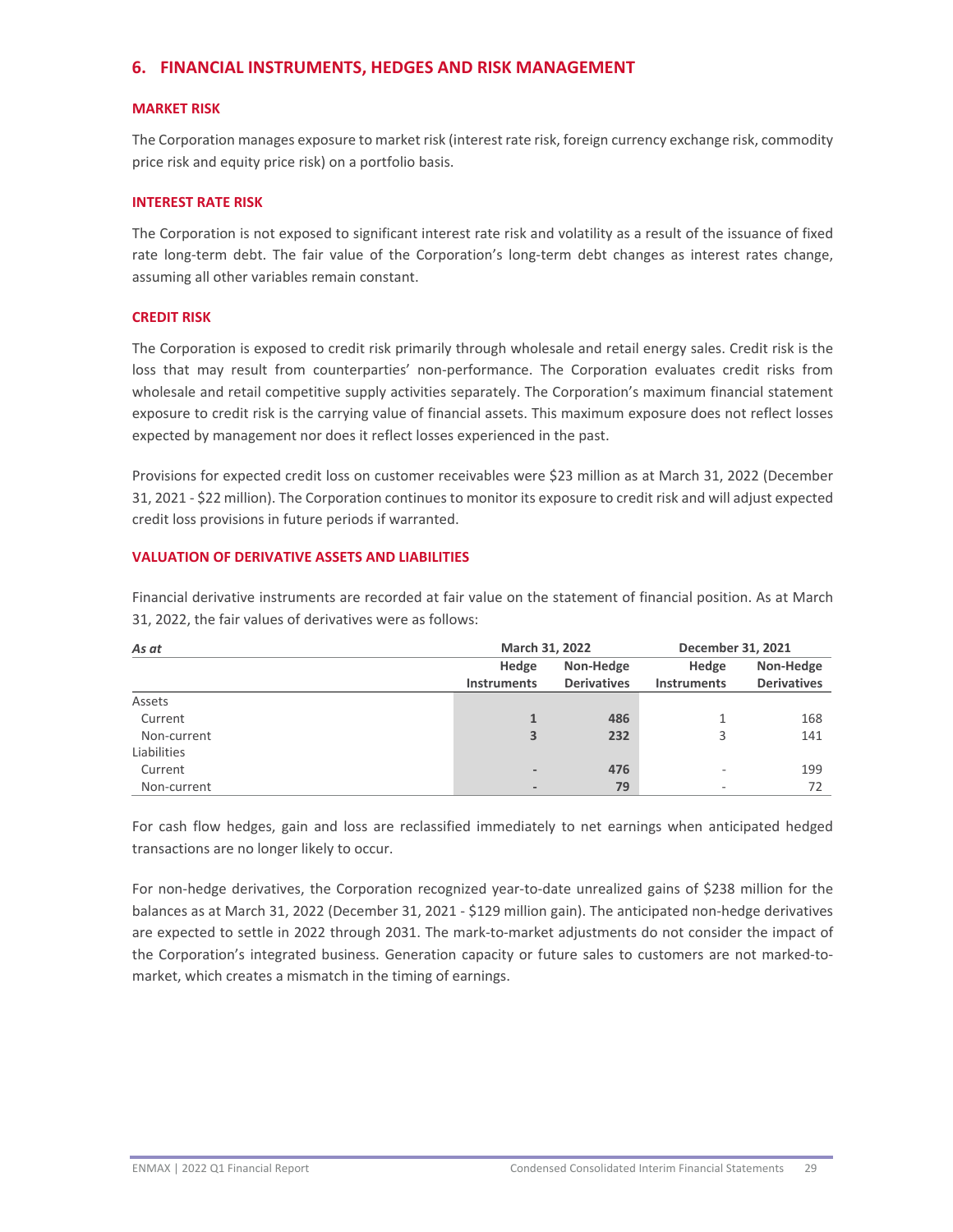#### **6. FINANCIAL INSTRUMENTS, HEDGES AND RISK MANAGEMENT**

#### **MARKET RISK**

The Corporation manages exposure to market risk (interest rate risk, foreign currency exchange risk, commodity price risk and equity price risk) on a portfolio basis.

#### **INTEREST RATE RISK**

The Corporation is not exposed to significant interest rate risk and volatility as a result of the issuance of fixed rate long-term debt. The fair value of the Corporation's long-term debt changes as interest rates change, assuming all other variables remain constant.

#### **CREDIT RISK**

The Corporation is exposed to credit risk primarily through wholesale and retail energy sales. Credit risk is the loss that may result from counterparties' non-performance. The Corporation evaluates credit risks from wholesale and retail competitive supply activities separately. The Corporation's maximum financial statement exposure to credit risk is the carrying value of financial assets. This maximum exposure does not reflect losses expected by management nor does it reflect losses experienced in the past.

Provisions for expected credit loss on customer receivables were \$23 million as at March 31, 2022 (December 31, 2021 ‐ \$22 million). The Corporation continues to monitor its exposure to credit risk and will adjust expected credit loss provisions in future periods if warranted.

#### **VALUATION OF DERIVATIVE ASSETS AND LIABILITIES**

Financial derivative instruments are recorded at fair value on the statement of financial position. As at March 31, 2022, the fair values of derivatives were as follows:

| As at       | March 31, 2022     |                    | December 31, 2021  |                    |  |
|-------------|--------------------|--------------------|--------------------|--------------------|--|
|             | Hedge              | Non-Hedge          | Hedge              | Non-Hedge          |  |
|             | <b>Instruments</b> | <b>Derivatives</b> | <b>Instruments</b> | <b>Derivatives</b> |  |
| Assets      |                    |                    |                    |                    |  |
| Current     |                    | 486                |                    | 168                |  |
| Non-current | 3                  | 232                |                    | 141                |  |
| Liabilities |                    |                    |                    |                    |  |
| Current     | -                  | 476                | -                  | 199                |  |
| Non-current |                    | 79                 | -                  | 72                 |  |

For cash flow hedges, gain and loss are reclassified immediately to net earnings when anticipated hedged transactions are no longer likely to occur.

For non-hedge derivatives, the Corporation recognized year-to-date unrealized gains of \$238 million for the balances as at March 31, 2022 (December 31, 2021 ‐ \$129 million gain). The anticipated non‐hedge derivatives are expected to settle in 2022 through 2031. The mark-to-market adjustments do not consider the impact of the Corporation's integrated business. Generation capacity or future sales to customers are not marked-tomarket, which creates a mismatch in the timing of earnings.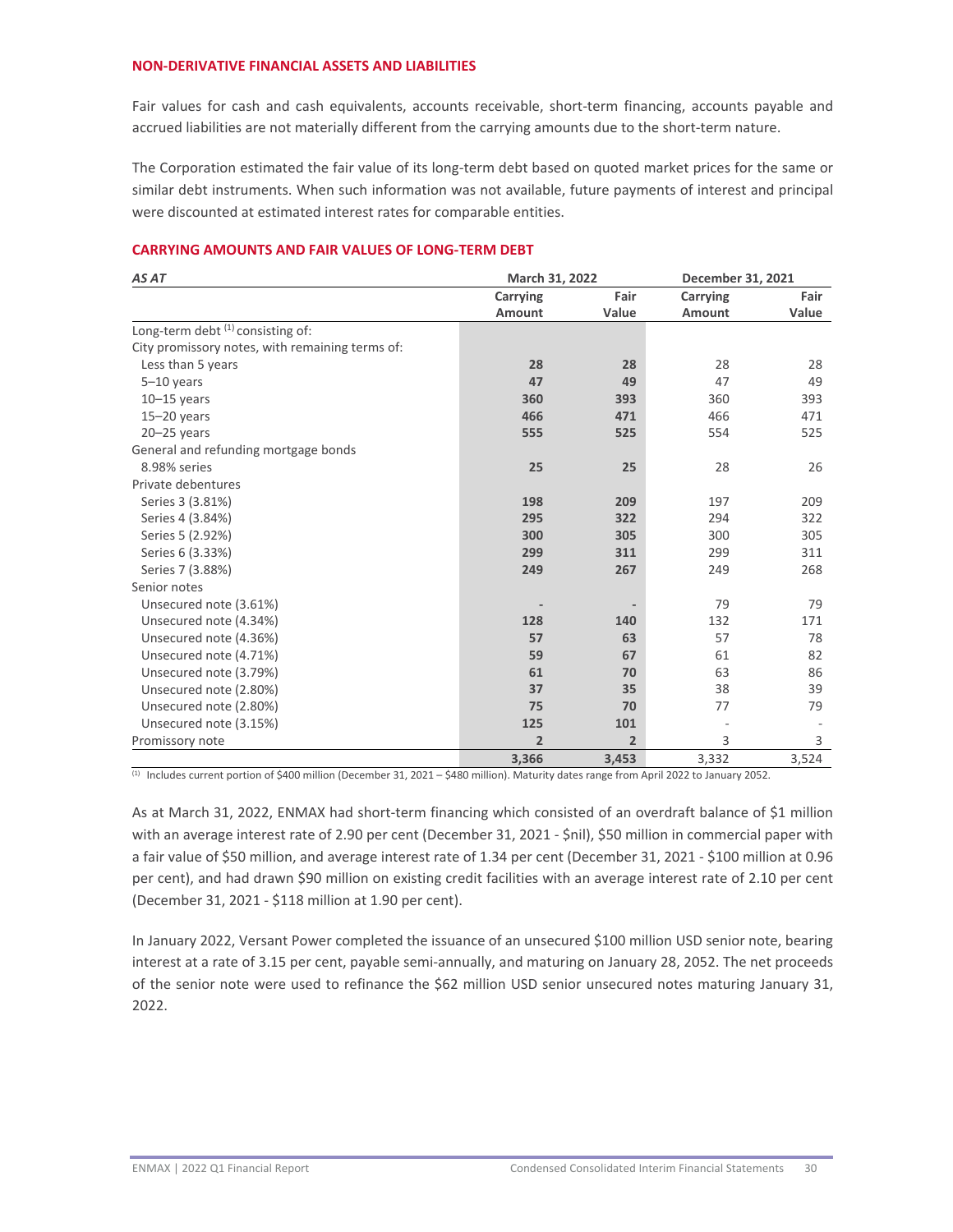#### **NON‐DERIVATIVE FINANCIAL ASSETS AND LIABILITIES**

Fair values for cash and cash equivalents, accounts receivable, short-term financing, accounts payable and accrued liabilities are not materially different from the carrying amounts due to the short-term nature.

The Corporation estimated the fair value of its long-term debt based on quoted market prices for the same or similar debt instruments. When such information was not available, future payments of interest and principal were discounted at estimated interest rates for comparable entities.

#### **CARRYING AMOUNTS AND FAIR VALUES OF LONG‐TERM DEBT**

| AS AT                                           |                | March 31, 2022 | December 31, 2021 |       |
|-------------------------------------------------|----------------|----------------|-------------------|-------|
|                                                 | Carrying       | Fair           | Carrying          | Fair  |
|                                                 | <b>Amount</b>  | Value          | Amount            | Value |
| Long-term debt (1) consisting of:               |                |                |                   |       |
| City promissory notes, with remaining terms of: |                |                |                   |       |
| Less than 5 years                               | 28             | 28             | 28                | 28    |
| $5-10$ years                                    | 47             | 49             | 47                | 49    |
| $10 - 15$ years                                 | 360            | 393            | 360               | 393   |
| $15 - 20$ years                                 | 466            | 471            | 466               | 471   |
| $20 - 25$ years                                 | 555            | 525            | 554               | 525   |
| General and refunding mortgage bonds            |                |                |                   |       |
| 8.98% series                                    | 25             | 25             | 28                | 26    |
| Private debentures                              |                |                |                   |       |
| Series 3 (3.81%)                                | 198            | 209            | 197               | 209   |
| Series 4 (3.84%)                                | 295            | 322            | 294               | 322   |
| Series 5 (2.92%)                                | 300            | 305            | 300               | 305   |
| Series 6 (3.33%)                                | 299            | 311            | 299               | 311   |
| Series 7 (3.88%)                                | 249            | 267            | 249               | 268   |
| Senior notes                                    |                |                |                   |       |
| Unsecured note (3.61%)                          |                |                | 79                | 79    |
| Unsecured note (4.34%)                          | 128            | 140            | 132               | 171   |
| Unsecured note (4.36%)                          | 57             | 63             | 57                | 78    |
| Unsecured note (4.71%)                          | 59             | 67             | 61                | 82    |
| Unsecured note (3.79%)                          | 61             | 70             | 63                | 86    |
| Unsecured note (2.80%)                          | 37             | 35             | 38                | 39    |
| Unsecured note (2.80%)                          | 75             | 70             | 77                | 79    |
| Unsecured note (3.15%)                          | 125            | 101            |                   |       |
| Promissory note                                 | $\overline{2}$ | $\overline{2}$ | 3                 | 3     |
|                                                 | 3,366          | 3,453          | 3,332             | 3,524 |

(1) Includes current portion of \$400 million (December 31, 2021 – \$480 million). Maturity dates range from April 2022 to January 2052.

As at March 31, 2022, ENMAX had short-term financing which consisted of an overdraft balance of \$1 million with an average interest rate of 2.90 per cent (December 31, 2021 ‐ \$nil), \$50 million in commercial paper with a fair value of \$50 million, and average interest rate of 1.34 per cent (December 31, 2021 ‐ \$100 million at 0.96 per cent), and had drawn \$90 million on existing credit facilities with an average interest rate of 2.10 per cent (December 31, 2021 ‐ \$118 million at 1.90 per cent).

In January 2022, Versant Power completed the issuance of an unsecured \$100 million USD senior note, bearing interest at a rate of 3.15 per cent, payable semi‐annually, and maturing on January 28, 2052. The net proceeds of the senior note were used to refinance the \$62 million USD senior unsecured notes maturing January 31, 2022.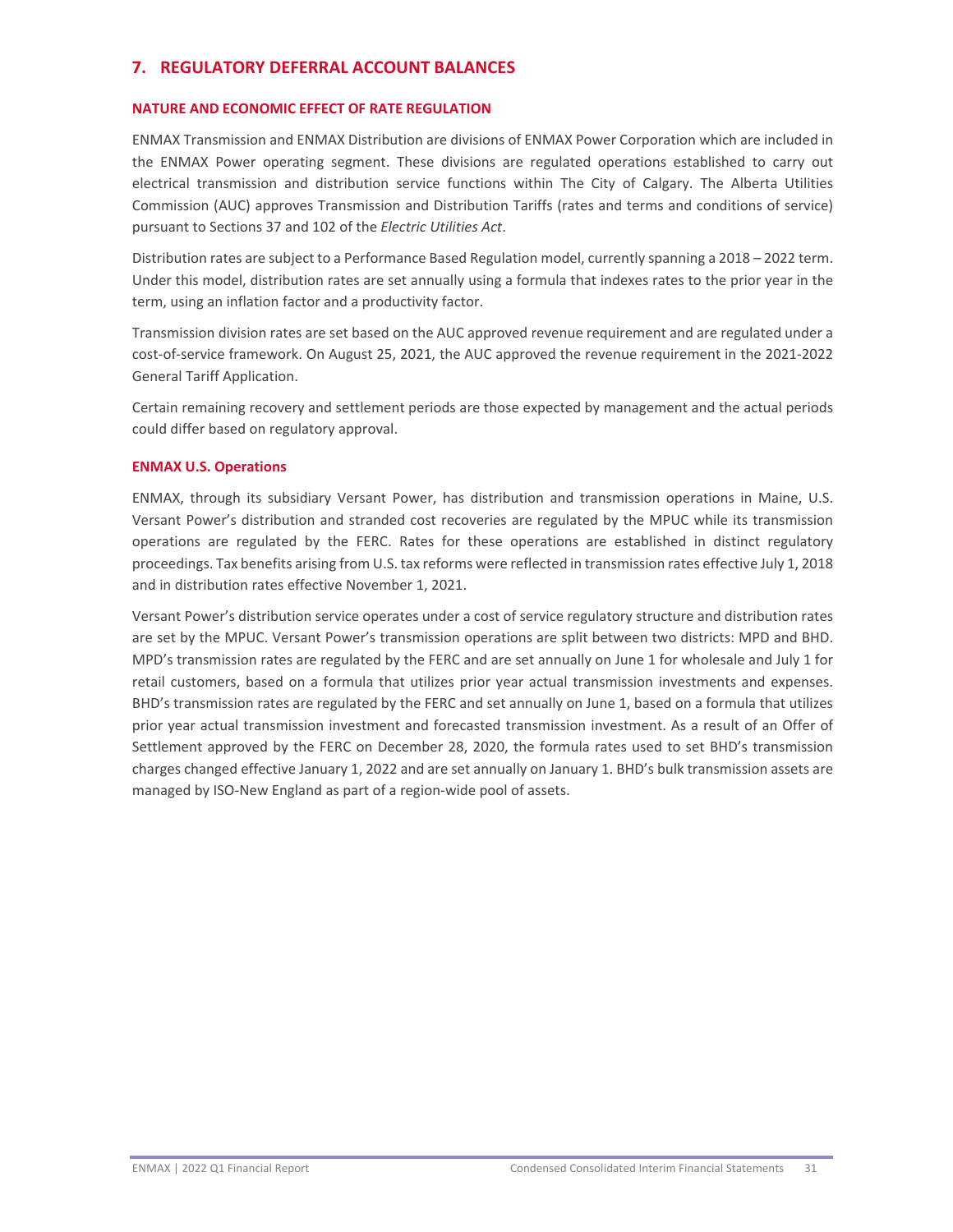# **7. REGULATORY DEFERRAL ACCOUNT BALANCES**

#### **NATURE AND ECONOMIC EFFECT OF RATE REGULATION**

ENMAX Transmission and ENMAX Distribution are divisions of ENMAX Power Corporation which are included in the ENMAX Power operating segment. These divisions are regulated operations established to carry out electrical transmission and distribution service functions within The City of Calgary. The Alberta Utilities Commission (AUC) approves Transmission and Distribution Tariffs (rates and terms and conditions of service) pursuant to Sections 37 and 102 of the *Electric Utilities Act*.

Distribution rates are subject to a Performance Based Regulation model, currently spanning a 2018 – 2022 term. Under this model, distribution rates are set annually using a formula that indexes rates to the prior year in the term, using an inflation factor and a productivity factor.

Transmission division rates are set based on the AUC approved revenue requirement and are regulated under a cost‐of‐service framework. On August 25, 2021, the AUC approved the revenue requirement in the 2021‐2022 General Tariff Application.

Certain remaining recovery and settlement periods are those expected by management and the actual periods could differ based on regulatory approval.

#### **ENMAX U.S. Operations**

ENMAX, through its subsidiary Versant Power, has distribution and transmission operations in Maine, U.S. Versant Power's distribution and stranded cost recoveries are regulated by the MPUC while its transmission operations are regulated by the FERC. Rates for these operations are established in distinct regulatory proceedings. Tax benefits arising from U.S. tax reforms were reflected in transmission rates effective July 1, 2018 and in distribution rates effective November 1, 2021.

Versant Power's distribution service operates under a cost of service regulatory structure and distribution rates are set by the MPUC. Versant Power's transmission operations are split between two districts: MPD and BHD. MPD's transmission rates are regulated by the FERC and are set annually on June 1 for wholesale and July 1 for retail customers, based on a formula that utilizes prior year actual transmission investments and expenses. BHD's transmission rates are regulated by the FERC and set annually on June 1, based on a formula that utilizes prior year actual transmission investment and forecasted transmission investment. As a result of an Offer of Settlement approved by the FERC on December 28, 2020, the formula rates used to set BHD's transmission charges changed effective January 1, 2022 and are set annually on January 1. BHD's bulk transmission assets are managed by ISO‐New England as part of a region‐wide pool of assets.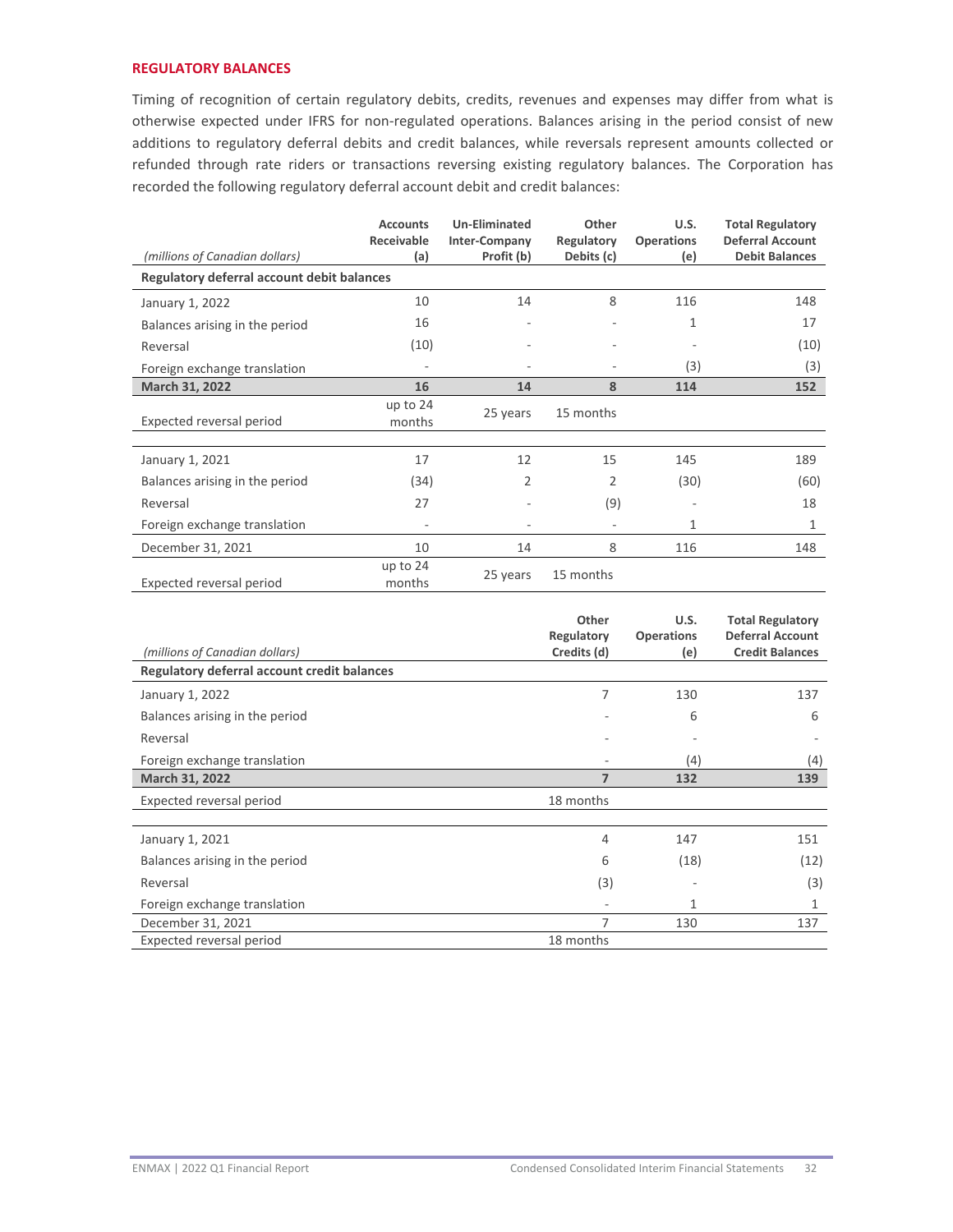#### **REGULATORY BALANCES**

Timing of recognition of certain regulatory debits, credits, revenues and expenses may differ from what is otherwise expected under IFRS for non‐regulated operations. Balances arising in the period consist of new additions to regulatory deferral debits and credit balances, while reversals represent amounts collected or refunded through rate riders or transactions reversing existing regulatory balances. The Corporation has recorded the following regulatory deferral account debit and credit balances:

|                                            | <b>Accounts</b>   | <b>Un-Eliminated</b> | Other        | U.S.              | <b>Total Regulatory</b> |
|--------------------------------------------|-------------------|----------------------|--------------|-------------------|-------------------------|
|                                            | <b>Receivable</b> | <b>Inter-Company</b> | Regulatory   | <b>Operations</b> | <b>Deferral Account</b> |
| (millions of Canadian dollars)             | (a)               | Profit (b)           | Debits (c)   | (e)               | <b>Debit Balances</b>   |
| Regulatory deferral account debit balances |                   |                      |              |                   |                         |
| January 1, 2022                            | 10                | 14                   | $\mathsf{R}$ | 116               | 148                     |
| Balances arising in the period             | 16                |                      |              | 1                 | 17                      |
| Reversal                                   | (10)              |                      |              |                   | (10)                    |
| Foreign exchange translation               |                   |                      |              | (3)               | (3)                     |
| March 31, 2022                             | 16                | 14                   | 8            | 114               | 152                     |
|                                            | up to 24          | 25 years             | 15 months    |                   |                         |
| Expected reversal period                   | months            |                      |              |                   |                         |
|                                            |                   |                      |              |                   |                         |
| January 1, 2021                            | 17                | 12                   | 15           | 145               | 189                     |
| Balances arising in the period             | (34)              | $\overline{2}$       | 2            | (30)              | (60)                    |
| Reversal                                   | 27                |                      | (9)          |                   | 18                      |
| Foreign exchange translation               |                   |                      |              | 1                 | 1                       |
| December 31, 2021                          | 10                | 14                   | 8            | 116               | 148                     |
|                                            | up to 24          |                      | 15 months    |                   |                         |
| Expected reversal period                   | months            | 25 years             |              |                   |                         |

|                                             | Other<br>Regulatory | U.S.<br><b>Operations</b> | <b>Total Regulatory</b><br><b>Deferral Account</b> |
|---------------------------------------------|---------------------|---------------------------|----------------------------------------------------|
| (millions of Canadian dollars)              | Credits (d)         | (e)                       | <b>Credit Balances</b>                             |
| Regulatory deferral account credit balances |                     |                           |                                                    |
| January 1, 2022                             | 7                   | 130                       | 137                                                |
| Balances arising in the period              |                     | 6                         | 6                                                  |
| Reversal                                    |                     | ۰                         |                                                    |
| Foreign exchange translation                |                     | (4)                       | (4)                                                |
| March 31, 2022                              | 7                   | 132                       | 139                                                |
| Expected reversal period                    | 18 months           |                           |                                                    |
|                                             |                     |                           |                                                    |
| January 1, 2021                             | 4                   | 147                       | 151                                                |
| Balances arising in the period              | 6                   | (18)                      | (12)                                               |
| Reversal                                    | (3)                 | ۰                         | (3)                                                |
| Foreign exchange translation                |                     | 1                         | 1                                                  |
| December 31, 2021                           | 7                   | 130                       | 137                                                |
| Expected reversal period                    | 18 months           |                           |                                                    |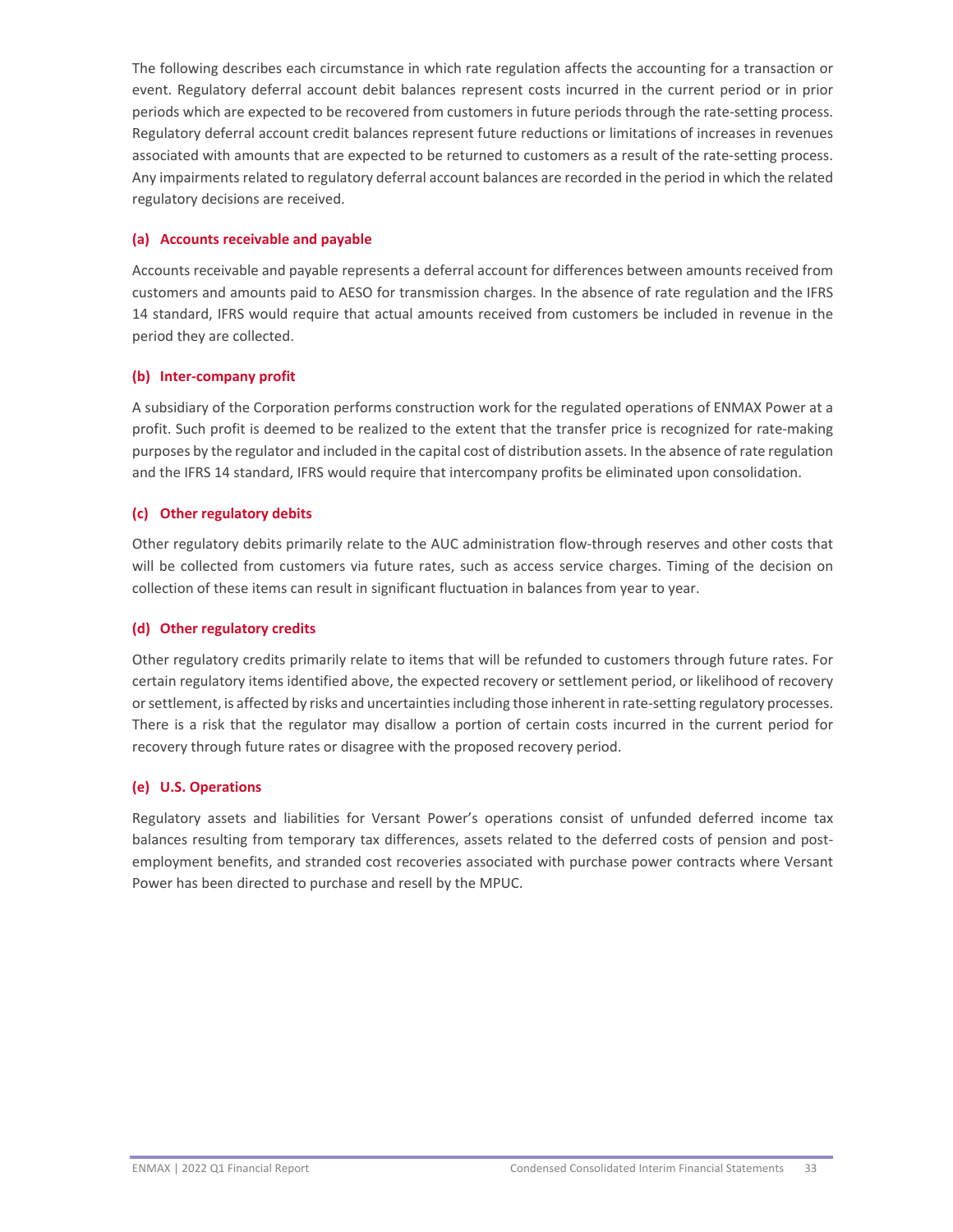The following describes each circumstance in which rate regulation affects the accounting for a transaction or event. Regulatory deferral account debit balances represent costs incurred in the current period or in prior periods which are expected to be recovered from customers in future periods through the rate‐setting process. Regulatory deferral account credit balances represent future reductions or limitations of increases in revenues associated with amounts that are expected to be returned to customers as a result of the rate‐setting process. Any impairments related to regulatory deferral account balances are recorded in the period in which the related regulatory decisions are received.

#### **(a) Accounts receivable and payable**

Accounts receivable and payable represents a deferral account for differences between amounts received from customers and amounts paid to AESO for transmission charges. In the absence of rate regulation and the IFRS 14 standard, IFRS would require that actual amounts received from customers be included in revenue in the period they are collected.

#### **(b) Inter‐company profit**

A subsidiary of the Corporation performs construction work for the regulated operations of ENMAX Power at a profit. Such profit is deemed to be realized to the extent that the transfer price is recognized for rate-making purposes by the regulator and included in the capital cost of distribution assets. In the absence of rate regulation and the IFRS 14 standard, IFRS would require that intercompany profits be eliminated upon consolidation.

#### **(c) Other regulatory debits**

Other regulatory debits primarily relate to the AUC administration flow‐through reserves and other costs that will be collected from customers via future rates, such as access service charges. Timing of the decision on collection of these items can result in significant fluctuation in balances from year to year.

#### **(d) Other regulatory credits**

Other regulatory credits primarily relate to items that will be refunded to customers through future rates. For certain regulatory items identified above, the expected recovery or settlement period, or likelihood of recovery or settlement, is affected by risks and uncertainties including those inherent in rate-setting regulatory processes. There is a risk that the regulator may disallow a portion of certain costs incurred in the current period for recovery through future rates or disagree with the proposed recovery period.

#### **(e) U.S. Operations**

Regulatory assets and liabilities for Versant Power's operations consist of unfunded deferred income tax balances resulting from temporary tax differences, assets related to the deferred costs of pension and postemployment benefits, and stranded cost recoveries associated with purchase power contracts where Versant Power has been directed to purchase and resell by the MPUC.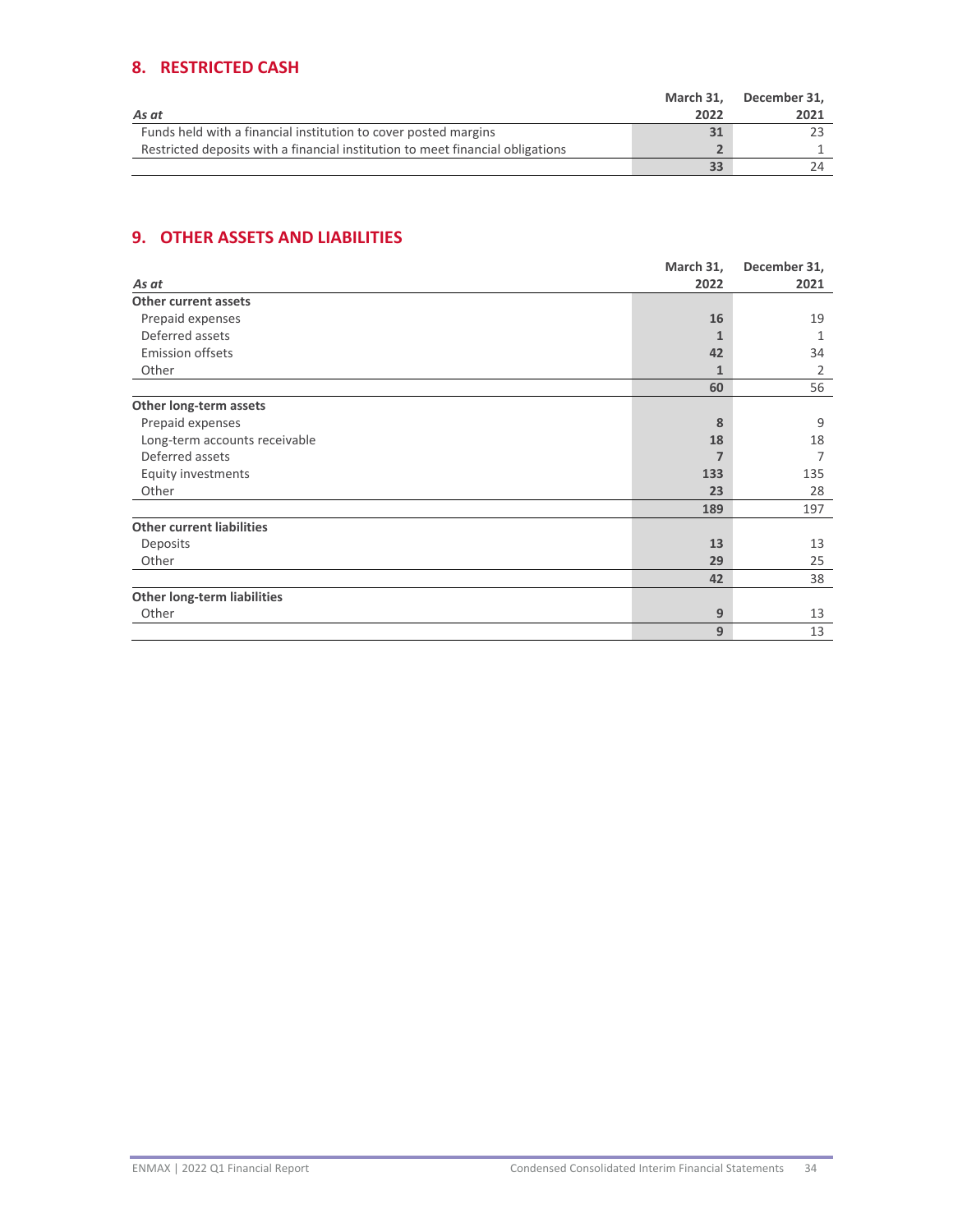### **8. RESTRICTED CASH**

|                                                                                | March 31. | December 31, |
|--------------------------------------------------------------------------------|-----------|--------------|
| As at                                                                          | 2022      | 2021         |
| Funds held with a financial institution to cover posted margins                | 31        |              |
| Restricted deposits with a financial institution to meet financial obligations |           |              |
|                                                                                | 33        |              |

# **9. OTHER ASSETS AND LIABILITIES**

|                                    | March 31, | December 31, |
|------------------------------------|-----------|--------------|
| As at                              | 2022      | 2021         |
| <b>Other current assets</b>        |           |              |
| Prepaid expenses                   | 16        | 19           |
| Deferred assets                    | 1         |              |
| <b>Emission offsets</b>            | 42        | 34           |
| Other                              | 1         | 2            |
|                                    | 60        | 56           |
| Other long-term assets             |           |              |
| Prepaid expenses                   | 8         | 9            |
| Long-term accounts receivable      | 18        | 18           |
| Deferred assets                    | 7         |              |
| Equity investments                 | 133       | 135          |
| Other                              | 23        | 28           |
|                                    | 189       | 197          |
| <b>Other current liabilities</b>   |           |              |
| Deposits                           | 13        | 13           |
| Other                              | 29        | 25           |
|                                    | 42        | 38           |
| <b>Other long-term liabilities</b> |           |              |
| Other                              | 9         | 13           |
|                                    | 9         | 13           |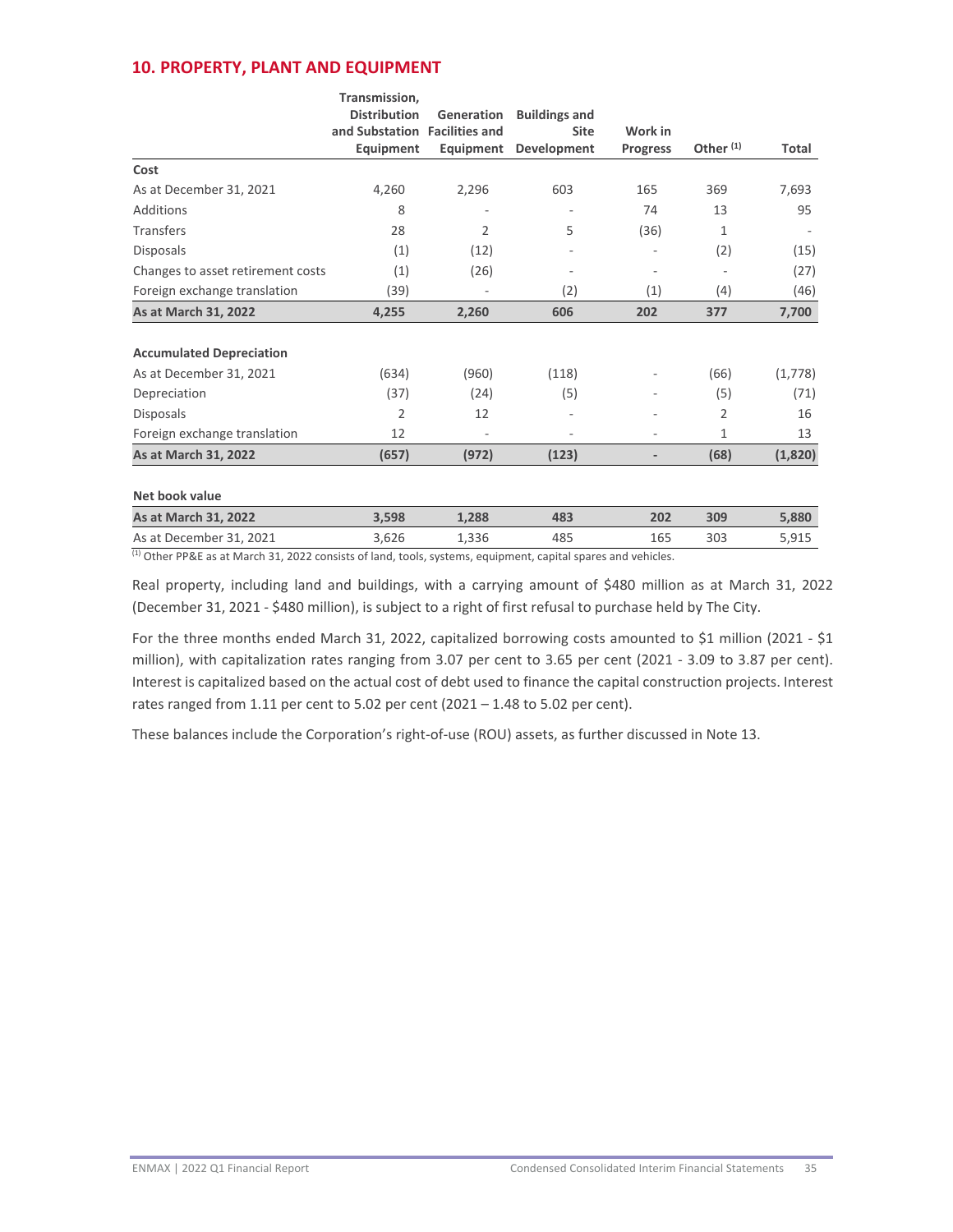#### **10. PROPERTY, PLANT AND EQUIPMENT**

|                                   | Transmission,                              |                          |                            |                            |                          |         |
|-----------------------------------|--------------------------------------------|--------------------------|----------------------------|----------------------------|--------------------------|---------|
|                                   | <b>Distribution</b>                        | Generation               | <b>Buildings and</b>       |                            |                          |         |
|                                   | and Substation Facilities and<br>Equipment | Equipment                | <b>Site</b><br>Development | Work in<br><b>Progress</b> | Other $(1)$              | Total   |
| Cost                              |                                            |                          |                            |                            |                          |         |
| As at December 31, 2021           | 4,260                                      | 2,296                    | 603                        | 165                        | 369                      | 7,693   |
| Additions                         | 8                                          |                          |                            | 74                         | 13                       | 95      |
| <b>Transfers</b>                  | 28                                         | $\overline{2}$           | 5                          | (36)                       | 1                        |         |
| <b>Disposals</b>                  | (1)                                        | (12)                     |                            | $\overline{\phantom{0}}$   | (2)                      | (15)    |
| Changes to asset retirement costs | (1)                                        | (26)                     |                            | $\overline{\phantom{a}}$   | $\overline{\phantom{a}}$ | (27)    |
| Foreign exchange translation      | (39)                                       |                          | (2)                        | (1)                        | (4)                      | (46)    |
| As at March 31, 2022              | 4,255                                      | 2,260                    | 606                        | 202                        | 377                      | 7,700   |
|                                   |                                            |                          |                            |                            |                          |         |
| <b>Accumulated Depreciation</b>   |                                            |                          |                            |                            |                          |         |
| As at December 31, 2021           | (634)                                      | (960)                    | (118)                      |                            | (66)                     | (1,778) |
| Depreciation                      | (37)                                       | (24)                     | (5)                        |                            | (5)                      | (71)    |
| <b>Disposals</b>                  | $\overline{2}$                             | 12                       |                            |                            | 2                        | 16      |
| Foreign exchange translation      | 12                                         | $\overline{\phantom{a}}$ |                            | $\overline{\phantom{0}}$   | 1                        | 13      |
| As at March 31, 2022              | (657)                                      | (972)                    | (123)                      | $\overline{\phantom{0}}$   | (68)                     | (1,820) |
|                                   |                                            |                          |                            |                            |                          |         |
| Net book value                    |                                            |                          |                            |                            |                          |         |
| As at March 31, 2022              | 3,598                                      | 1,288                    | 483                        | 202                        | 309                      | 5,880   |
| As at December 31, 2021           | 3,626                                      | 1,336                    | 485                        | 165                        | 303                      | 5,915   |

(1) Other PP&E as at March 31, 2022 consists of land, tools, systems, equipment, capital spares and vehicles.

Real property, including land and buildings, with a carrying amount of \$480 million as at March 31, 2022 (December 31, 2021 ‐ \$480 million), is subject to a right of first refusal to purchase held by The City.

For the three months ended March 31, 2022, capitalized borrowing costs amounted to \$1 million (2021 - \$1 million), with capitalization rates ranging from 3.07 per cent to 3.65 per cent (2021 - 3.09 to 3.87 per cent). Interest is capitalized based on the actual cost of debt used to finance the capital construction projects. Interest rates ranged from 1.11 per cent to 5.02 per cent (2021 – 1.48 to 5.02 per cent).

These balances include the Corporation's right-of-use (ROU) assets, as further discussed in Note 13.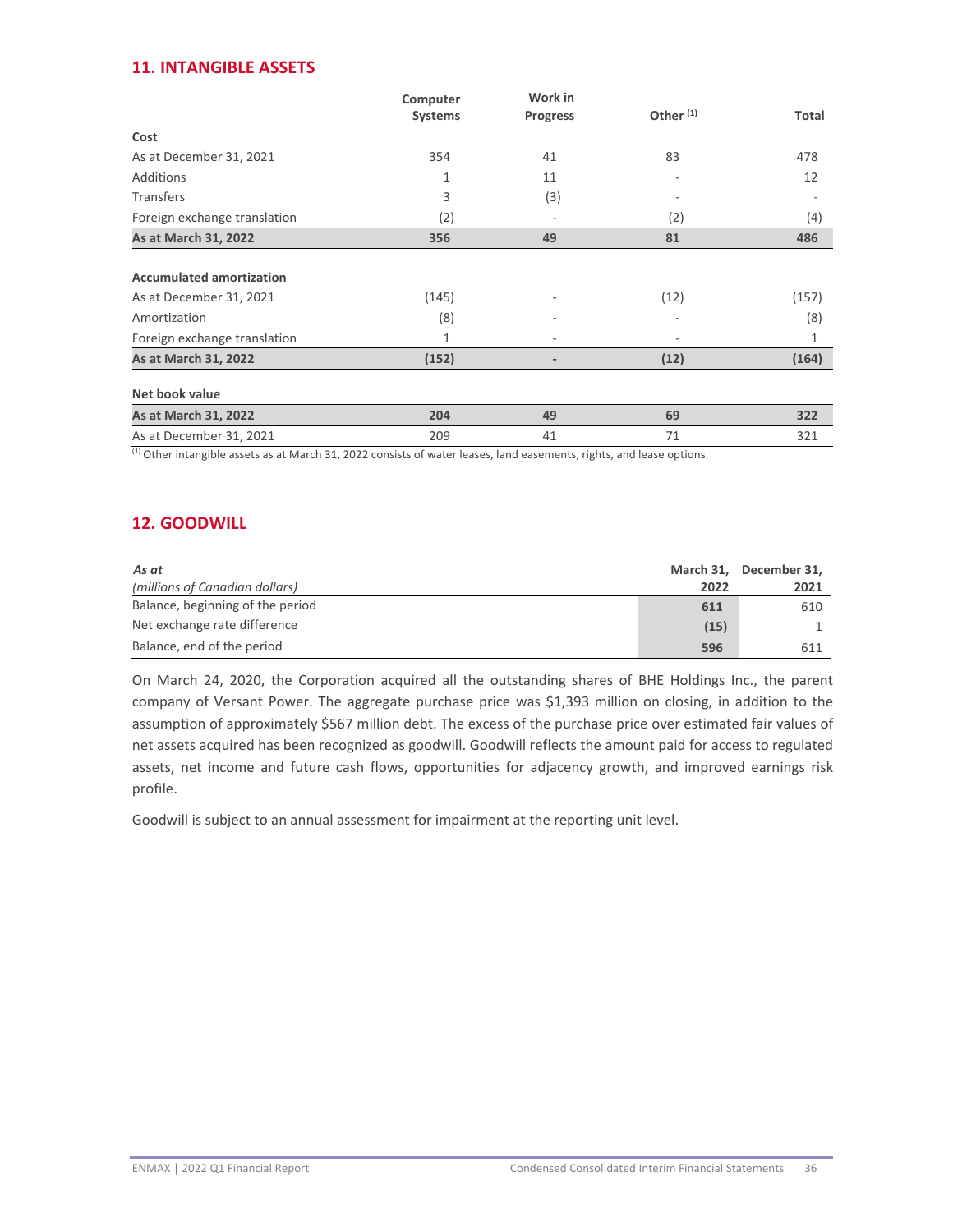#### **11. INTANGIBLE ASSETS**

|                                                                                                                    | Computer       | Work in         |                      |       |
|--------------------------------------------------------------------------------------------------------------------|----------------|-----------------|----------------------|-------|
|                                                                                                                    | <b>Systems</b> | <b>Progress</b> | Other <sup>(1)</sup> | Total |
| Cost                                                                                                               |                |                 |                      |       |
| As at December 31, 2021                                                                                            | 354            | 41              | 83                   | 478   |
| Additions                                                                                                          | 1              | 11              |                      | 12    |
| <b>Transfers</b>                                                                                                   | 3              | (3)             |                      |       |
| Foreign exchange translation                                                                                       | (2)            | ۰               | (2)                  | (4)   |
| As at March 31, 2022                                                                                               | 356            | 49              | 81                   | 486   |
|                                                                                                                    |                |                 |                      |       |
| <b>Accumulated amortization</b>                                                                                    |                |                 |                      |       |
| As at December 31, 2021                                                                                            | (145)          | ٠               | (12)                 | (157) |
| Amortization                                                                                                       | (8)            |                 |                      | (8)   |
| Foreign exchange translation                                                                                       | 1              |                 |                      | 1     |
| As at March 31, 2022                                                                                               | (152)          | -               | (12)                 | (164) |
| Net book value                                                                                                     |                |                 |                      |       |
| As at March 31, 2022                                                                                               | 204            | 49              | 69                   | 322   |
| As at December 31, 2021                                                                                            | 209            | 41              | 71                   | 321   |
| (1) Other intensible ceeds as at March 21, 2022 consists of water leases land cocoments, rights, and lease ontions |                |                 |                      |       |

Other intangible assets as at March 31, 2022 consists of water leases, land easements, rights, and lease options.

### **12. GOODWILL**

| As at                            |      | March 31, December 31, |
|----------------------------------|------|------------------------|
| (millions of Canadian dollars)   | 2022 | 2021                   |
| Balance, beginning of the period | 611  | 610                    |
| Net exchange rate difference     | (15) |                        |
| Balance, end of the period       | 596  | 611                    |

On March 24, 2020, the Corporation acquired all the outstanding shares of BHE Holdings Inc., the parent company of Versant Power. The aggregate purchase price was \$1,393 million on closing, in addition to the assumption of approximately \$567 million debt. The excess of the purchase price over estimated fair values of net assets acquired has been recognized as goodwill. Goodwill reflects the amount paid for access to regulated assets, net income and future cash flows, opportunities for adjacency growth, and improved earnings risk profile.

Goodwill is subject to an annual assessment for impairment at the reporting unit level.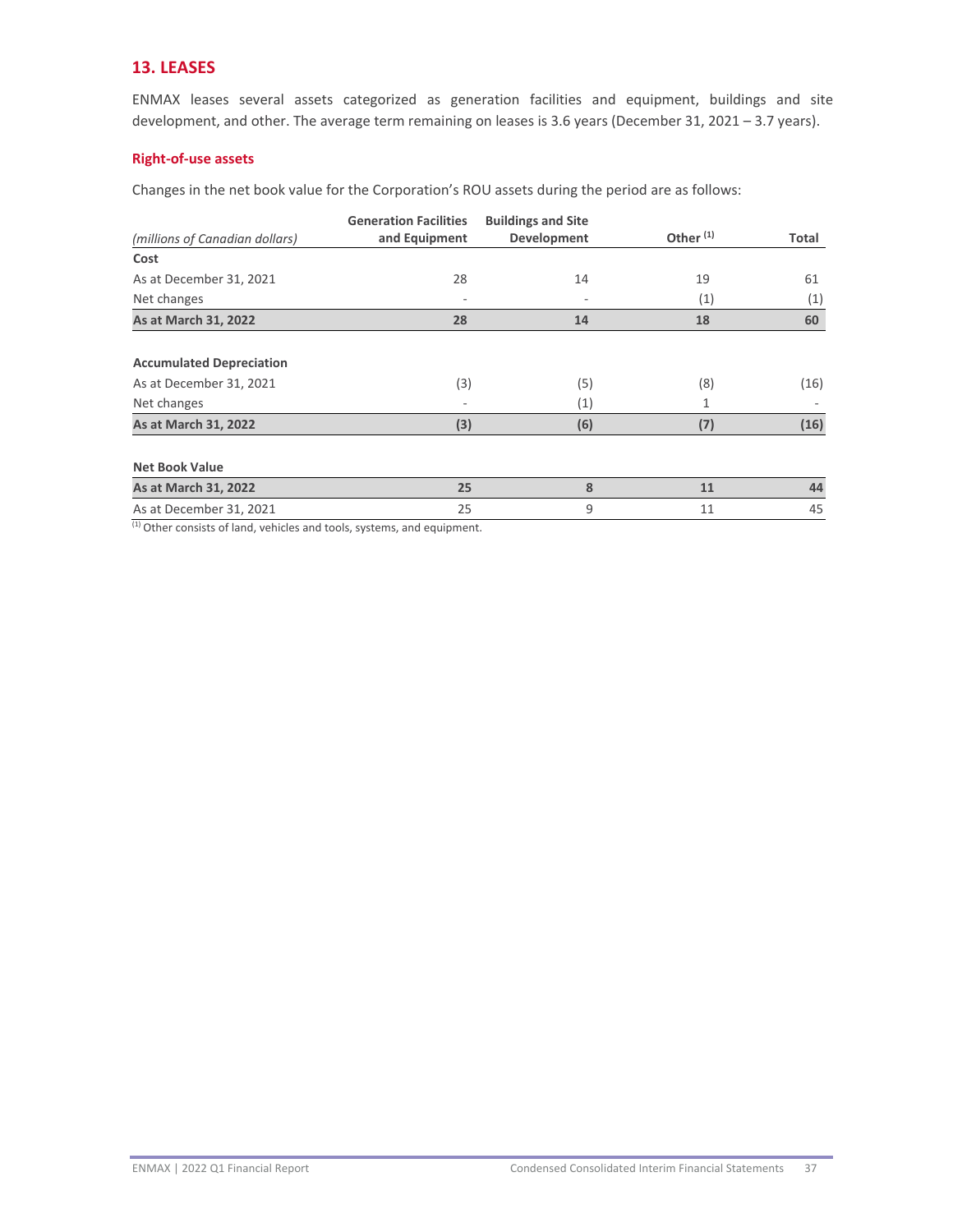#### **13. LEASES**

ENMAX leases several assets categorized as generation facilities and equipment, buildings and site development, and other. The average term remaining on leases is 3.6 years (December 31, 2021 – 3.7 years).

#### **Right‐of‐use assets**

Changes in the net book value for the Corporation's ROU assets during the period are as follows:

|                                 | <b>Generation Facilities</b> | <b>Buildings and Site</b> |                      |       |
|---------------------------------|------------------------------|---------------------------|----------------------|-------|
| (millions of Canadian dollars)  | and Equipment                | Development               | Other <sup>(1)</sup> | Total |
| Cost                            |                              |                           |                      |       |
| As at December 31, 2021         | 28                           | 14                        | 19                   | 61    |
| Net changes                     | -                            | -                         | (1)                  | (1)   |
| As at March 31, 2022            | 28                           | 14                        | 18                   | 60    |
|                                 |                              |                           |                      |       |
| <b>Accumulated Depreciation</b> |                              |                           |                      |       |
| As at December 31, 2021         | (3)                          | (5)                       | (8)                  | (16)  |
| Net changes                     |                              | (1)                       | 1                    |       |
| As at March 31, 2022            | (3)                          | (6)                       | (7)                  | (16)  |
|                                 |                              |                           |                      |       |
| <b>Net Book Value</b>           |                              |                           |                      |       |
| As at March 31, 2022            | 25                           | 8                         | 11                   | 44    |
| As at December 31, 2021         | 25                           | 9                         | 11                   | 45    |
| TAX                             |                              |                           |                      |       |

<sup>(1)</sup> Other consists of land, vehicles and tools, systems, and equipment.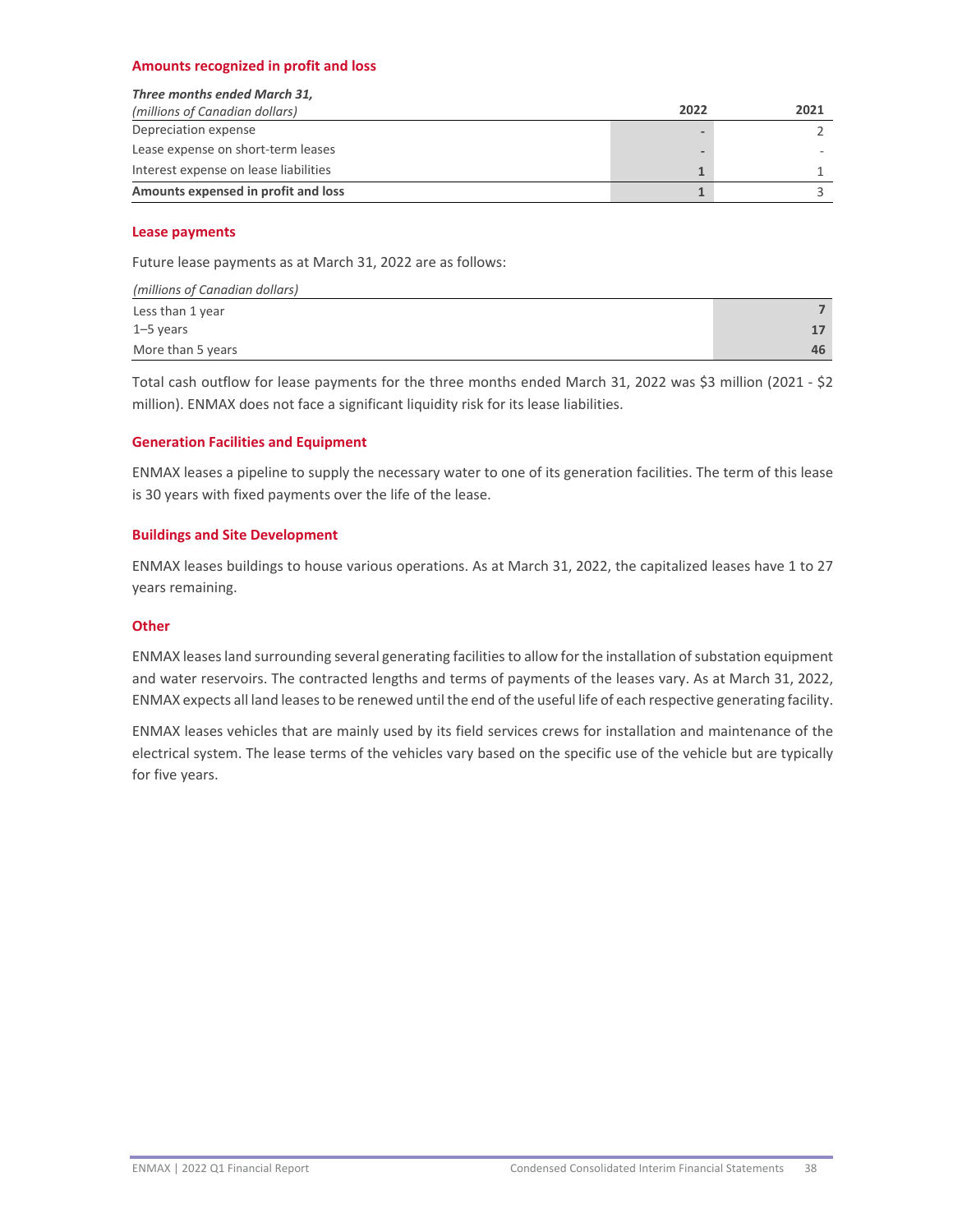#### **Amounts recognized in profit and loss**

| Three months ended March 31,          |      |      |
|---------------------------------------|------|------|
| (millions of Canadian dollars)        | 2022 | 2021 |
| Depreciation expense                  |      |      |
| Lease expense on short-term leases    |      |      |
| Interest expense on lease liabilities |      |      |
| Amounts expensed in profit and loss   |      |      |

#### **Lease payments**

Future lease payments as at March 31, 2022 are as follows:

| (millions of Canadian dollars) |    |
|--------------------------------|----|
| Less than 1 year               |    |
| $1 - 5$ years                  |    |
| More than 5 years              | 46 |

Total cash outflow for lease payments for the three months ended March 31, 2022 was \$3 million (2021 ‐ \$2 million). ENMAX does not face a significant liquidity risk for its lease liabilities.

#### **Generation Facilities and Equipment**

ENMAX leases a pipeline to supply the necessary water to one of its generation facilities. The term of this lease is 30 years with fixed payments over the life of the lease.

#### **Buildings and Site Development**

ENMAX leases buildings to house various operations. As at March 31, 2022, the capitalized leases have 1 to 27 years remaining.

#### **Other**

ENMAX leasesland surrounding several generating facilitiesto allow for the installation ofsubstation equipment and water reservoirs. The contracted lengths and terms of payments of the leases vary. As at March 31, 2022, ENMAX expects all land leasesto be renewed until the end of the useful life of each respective generating facility.

ENMAX leases vehicles that are mainly used by its field services crews for installation and maintenance of the electrical system. The lease terms of the vehicles vary based on the specific use of the vehicle but are typically for five years.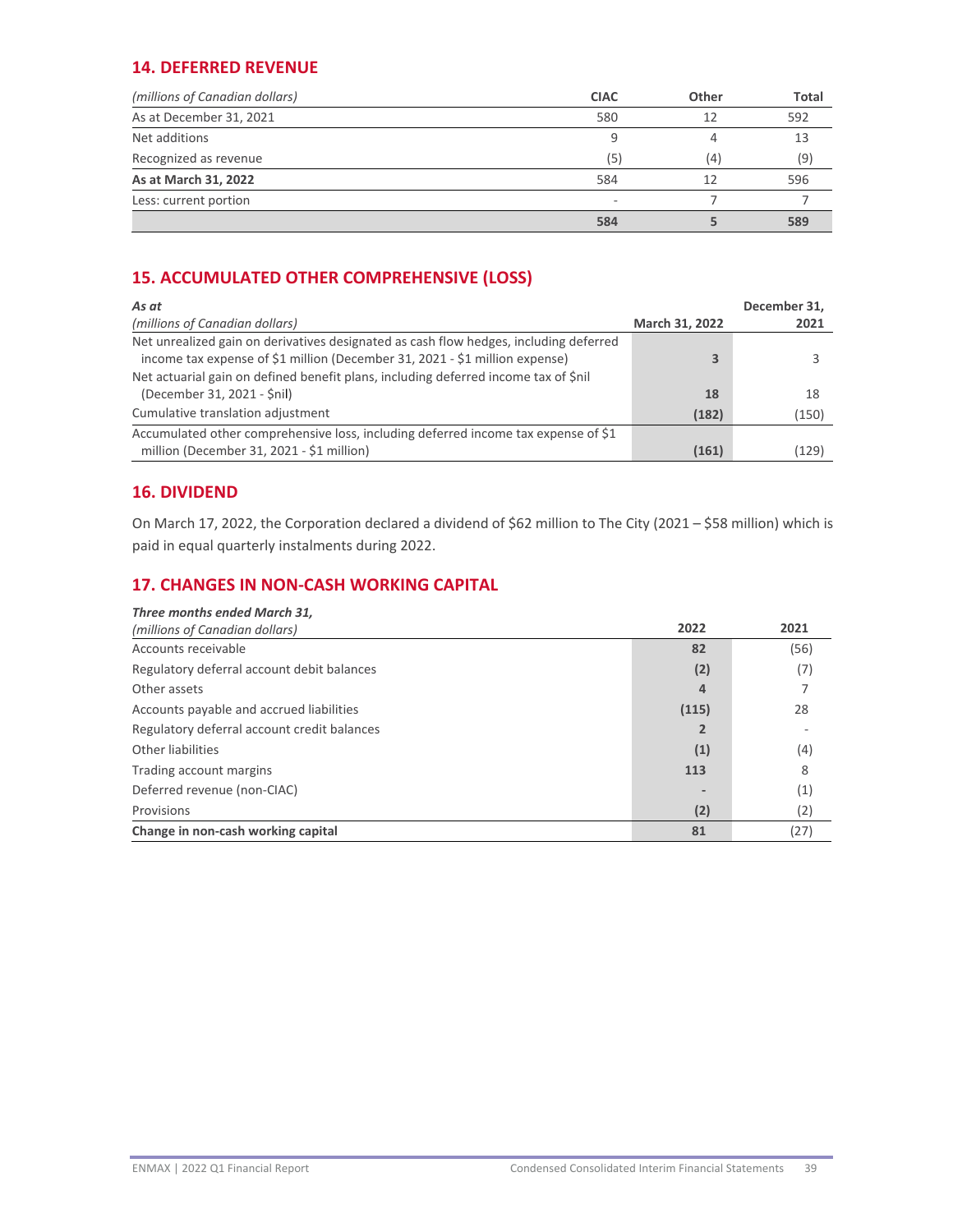## **14. DEFERRED REVENUE**

| (millions of Canadian dollars) | <b>CIAC</b> | Other | Total |
|--------------------------------|-------------|-------|-------|
| As at December 31, 2021        | 580         | 12    | 592   |
| Net additions                  | 9           | 4     | 13    |
| Recognized as revenue          | (5)         | (4)   | (9)   |
| As at March 31, 2022           | 584         | 12    | 596   |
| Less: current portion          |             |       |       |
|                                | 584         |       | 589   |

# **15. ACCUMULATED OTHER COMPREHENSIVE (LOSS)**

| As at                                                                                 |                | December 31, |
|---------------------------------------------------------------------------------------|----------------|--------------|
| (millions of Canadian dollars)                                                        | March 31, 2022 | 2021         |
| Net unrealized gain on derivatives designated as cash flow hedges, including deferred |                |              |
| income tax expense of \$1 million (December 31, 2021 - \$1 million expense)           | 3              |              |
| Net actuarial gain on defined benefit plans, including deferred income tax of \$nil   |                |              |
| (December 31, 2021 - \$nil)                                                           | 18             | 18           |
| Cumulative translation adjustment                                                     | (182)          | (150)        |
| Accumulated other comprehensive loss, including deferred income tax expense of \$1    |                |              |
| million (December 31, 2021 - \$1 million)                                             | (161)          | (129)        |

#### **16. DIVIDEND**

On March 17, 2022, the Corporation declared a dividend of \$62 million to The City (2021 – \$58 million) which is paid in equal quarterly instalments during 2022.

### **17. CHANGES IN NON‐CASH WORKING CAPITAL**

| Three months ended March 31,                |                |      |
|---------------------------------------------|----------------|------|
| (millions of Canadian dollars)              | 2022           | 2021 |
| Accounts receivable                         | 82             | (56) |
| Regulatory deferral account debit balances  | (2)            | (7)  |
| Other assets                                | 4              |      |
| Accounts payable and accrued liabilities    | (115)          | 28   |
| Regulatory deferral account credit balances |                |      |
| Other liabilities                           | (1)            | (4)  |
| Trading account margins                     | 113            | 8    |
| Deferred revenue (non-CIAC)                 | $\overline{a}$ | (1)  |
| Provisions                                  | (2)            | (2)  |
| Change in non-cash working capital          | 81             | (27) |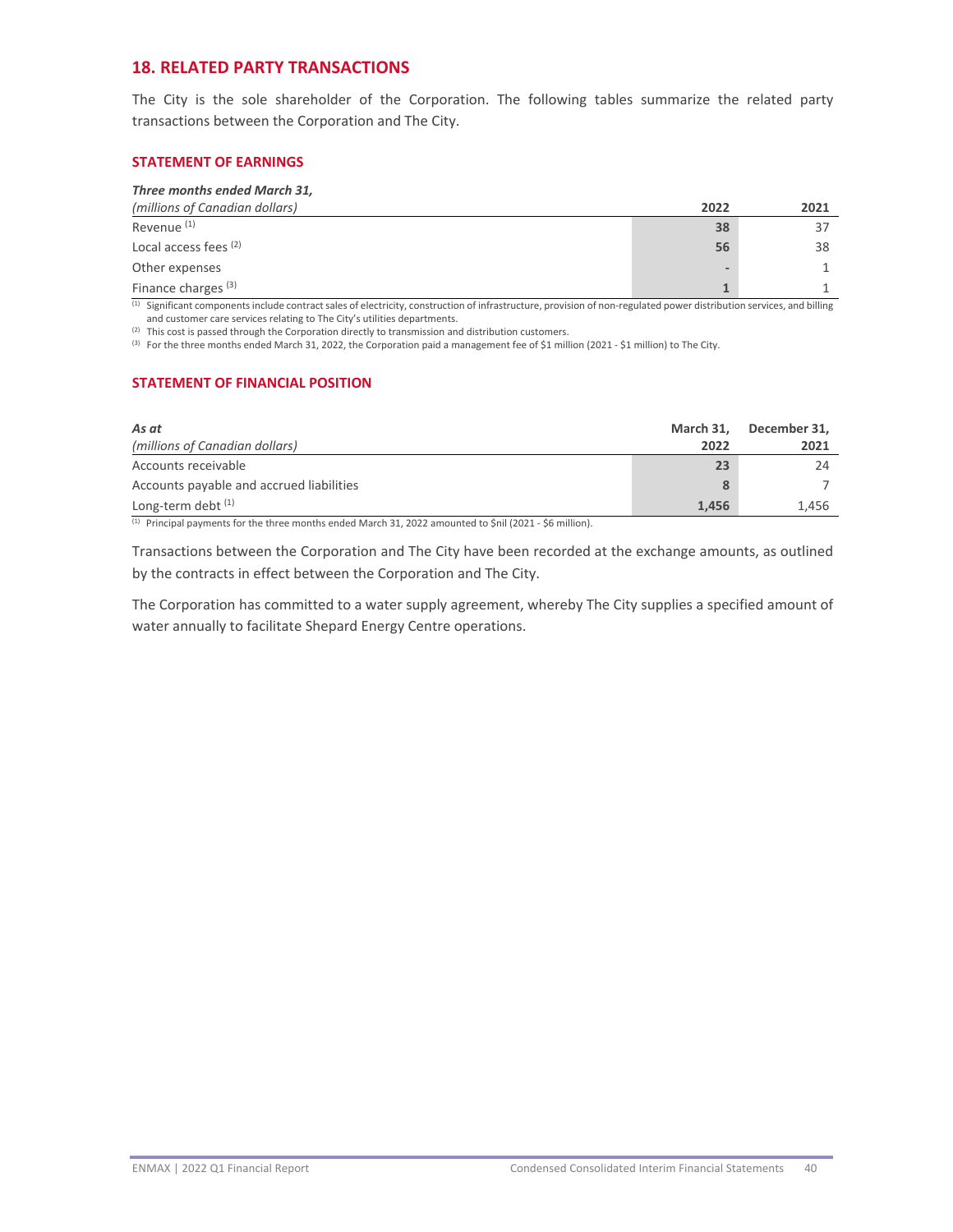#### **18. RELATED PARTY TRANSACTIONS**

The City is the sole shareholder of the Corporation. The following tables summarize the related party transactions between the Corporation and The City.

#### **STATEMENT OF EARNINGS**

| Three months ended March 31,   |      |      |
|--------------------------------|------|------|
| (millions of Canadian dollars) | 2022 | 2021 |
| Revenue <sup>(1)</sup>         | 38   | 37   |
| Local access fees $(2)$        | 56   | 38   |
| Other expenses                 |      |      |
| Finance charges <sup>(3)</sup> |      |      |

 $\overline{1}$  Significant components include contract sales of electricity, construction of infrastructure, provision of non-regulated power distribution services, and billing and customer care services relating to The City's utilities departments.

(2) This cost is passed through the Corporation directly to transmission and distribution customers.

(3) For the three months ended March 31, 2022, the Corporation paid a management fee of \$1 million (2021 ‐ \$1 million) to The City.

#### **STATEMENT OF FINANCIAL POSITION**

| As at<br>(millions of Canadian dollars)  | March 31,<br>2022 | December 31.<br>2021 |
|------------------------------------------|-------------------|----------------------|
| Accounts receivable                      | 23                | 24                   |
| Accounts payable and accrued liabilities |                   |                      |
| Long-term debt $(1)$<br>.                | 1.456             | 1.456                |

(1) Principal payments for the three months ended March 31, 2022 amounted to \$nil (2021 ‐ \$6 million).

Transactions between the Corporation and The City have been recorded at the exchange amounts, as outlined by the contracts in effect between the Corporation and The City.

The Corporation has committed to a water supply agreement, whereby The City supplies a specified amount of water annually to facilitate Shepard Energy Centre operations.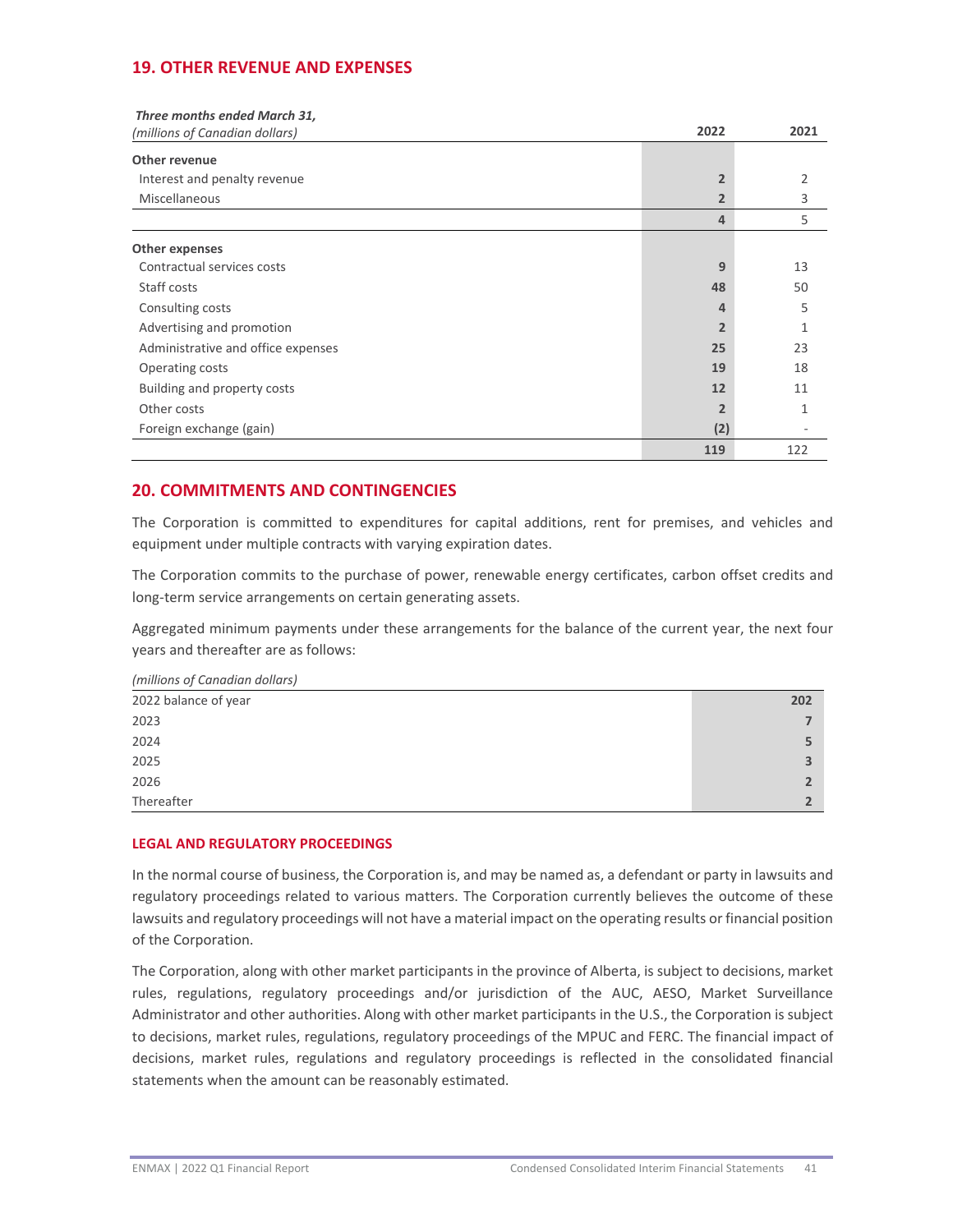#### **19. OTHER REVENUE AND EXPENSES**

| Three months ended March 31,       |      |                     |
|------------------------------------|------|---------------------|
| (millions of Canadian dollars)     | 2022 | 2021                |
| Other revenue                      |      |                     |
| Interest and penalty revenue       |      | $\overline{2}$<br>2 |
| Miscellaneous                      |      | $\overline{2}$<br>3 |
|                                    |      | 5<br>4              |
| Other expenses                     |      |                     |
| Contractual services costs         |      | 9<br>13             |
| Staff costs                        | 48   | 50                  |
| Consulting costs                   |      | 5<br>4              |
| Advertising and promotion          |      | $\overline{2}$<br>1 |
| Administrative and office expenses | 25   | 23                  |
| Operating costs                    | 19   | 18                  |
| Building and property costs        |      | 12<br>11            |
| Other costs                        |      | $\overline{2}$<br>1 |
| Foreign exchange (gain)            |      | (2)                 |
|                                    | 119  | 122                 |

#### **20. COMMITMENTS AND CONTINGENCIES**

The Corporation is committed to expenditures for capital additions, rent for premises, and vehicles and equipment under multiple contracts with varying expiration dates.

The Corporation commits to the purchase of power, renewable energy certificates, carbon offset credits and long‐term service arrangements on certain generating assets.

Aggregated minimum payments under these arrangements for the balance of the current year, the next four years and thereafter are as follows:

*(millions of Canadian dollars)* 

| 2022 balance of year | 202 |
|----------------------|-----|
| 2023                 |     |
| 2024                 |     |
| 2025                 |     |
| 2026                 |     |
| Thereafter           |     |

#### **LEGAL AND REGULATORY PROCEEDINGS**

In the normal course of business, the Corporation is, and may be named as, a defendant or party in lawsuits and regulatory proceedings related to various matters. The Corporation currently believes the outcome of these lawsuits and regulatory proceedings will not have a material impact on the operating results or financial position of the Corporation.

The Corporation, along with other market participants in the province of Alberta, is subject to decisions, market rules, regulations, regulatory proceedings and/or jurisdiction of the AUC, AESO, Market Surveillance Administrator and other authorities. Along with other market participants in the U.S., the Corporation is subject to decisions, market rules, regulations, regulatory proceedings of the MPUC and FERC. The financial impact of decisions, market rules, regulations and regulatory proceedings is reflected in the consolidated financial statements when the amount can be reasonably estimated.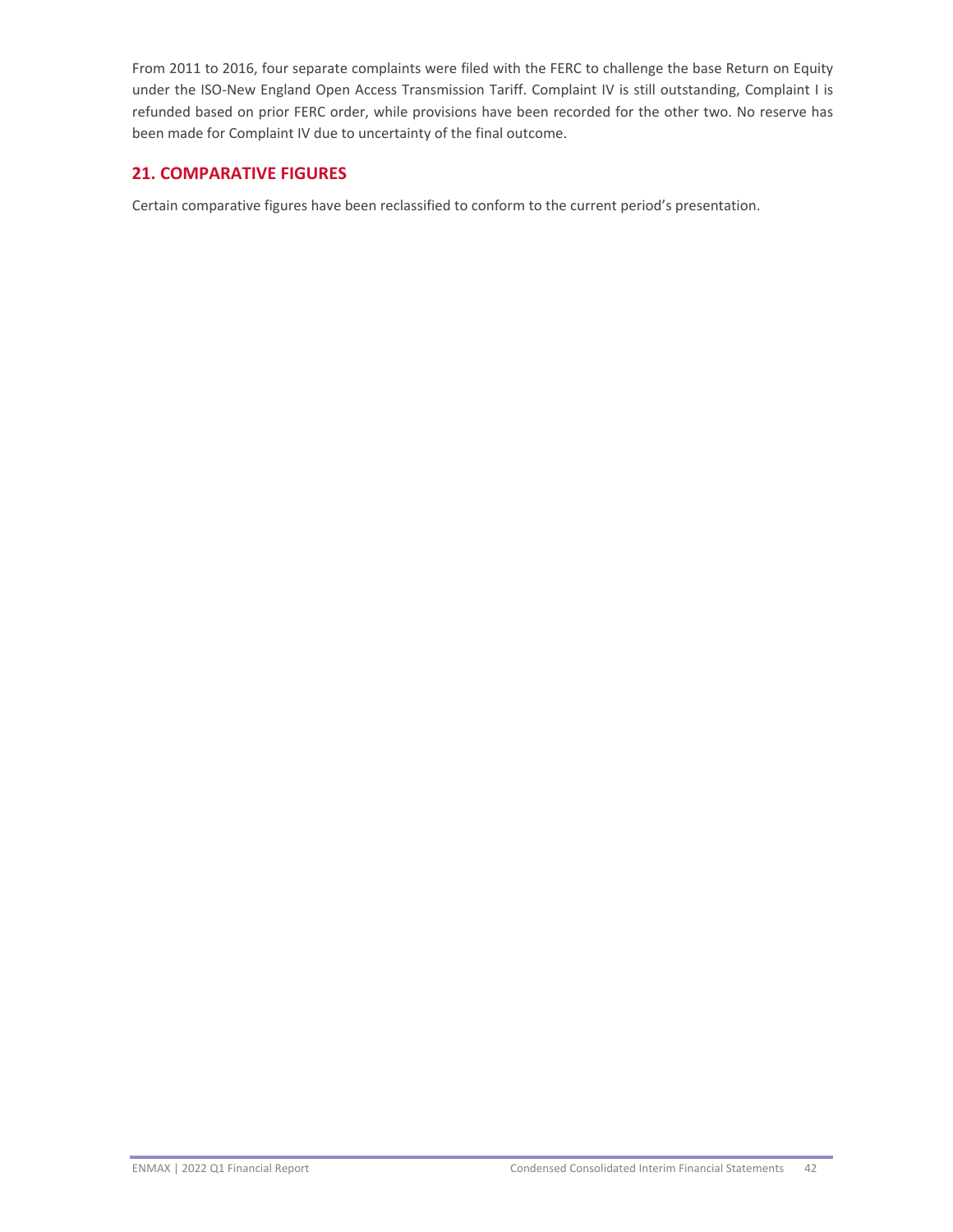From 2011 to 2016, four separate complaints were filed with the FERC to challenge the base Return on Equity under the ISO-New England Open Access Transmission Tariff. Complaint IV is still outstanding, Complaint I is refunded based on prior FERC order, while provisions have been recorded for the other two. No reserve has been made for Complaint IV due to uncertainty of the final outcome.

#### **21. COMPARATIVE FIGURES**

Certain comparative figures have been reclassified to conform to the current period's presentation.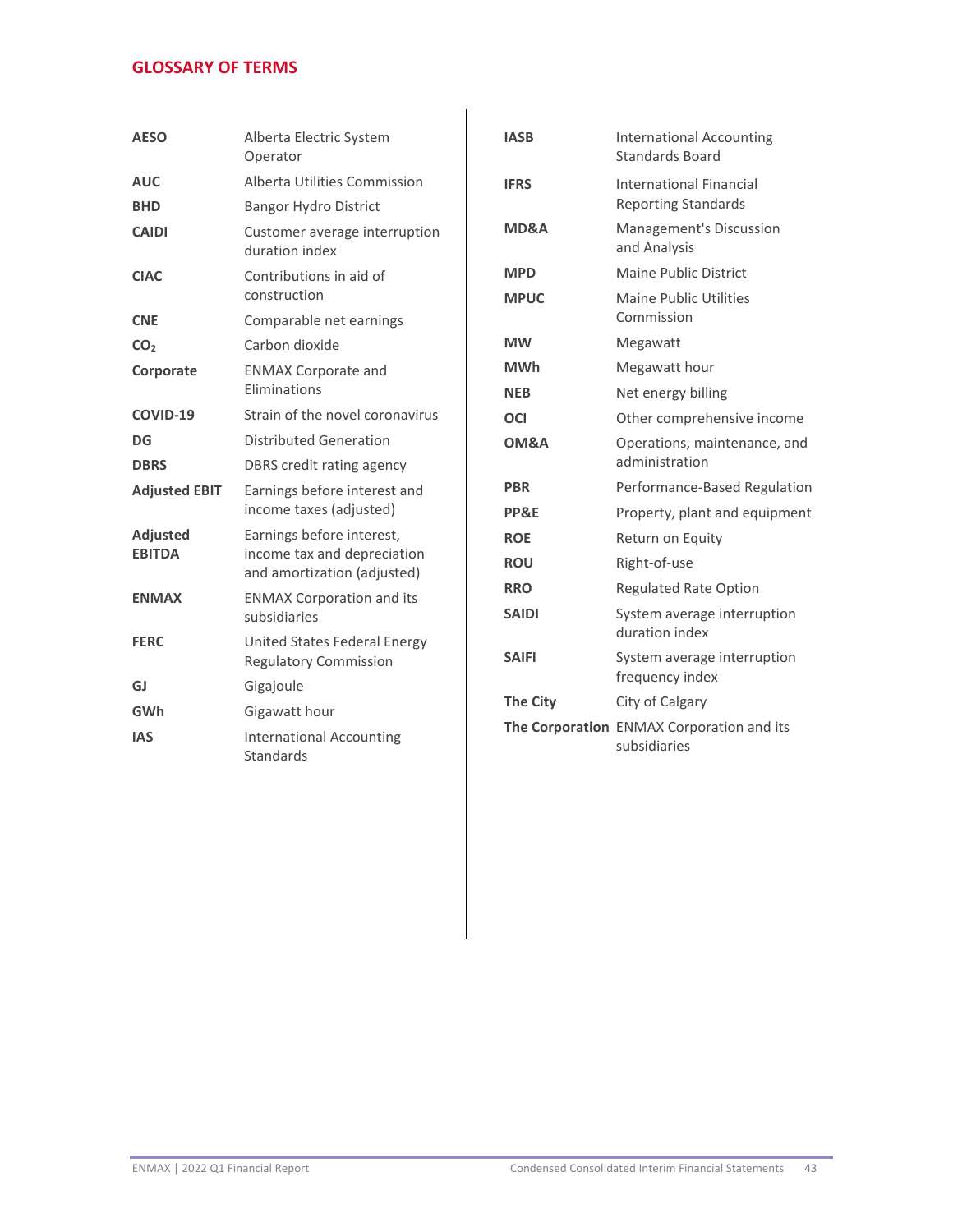#### **GLOSSARY OF TERMS**

| Alberta Electric System<br>Operator             | <b>IASB</b>                                                                                                                                                                                                            | <b>International Accounting</b><br><b>Standards Board</b> |  |
|-------------------------------------------------|------------------------------------------------------------------------------------------------------------------------------------------------------------------------------------------------------------------------|-----------------------------------------------------------|--|
| Alberta Utilities Commission                    | <b>IFRS</b>                                                                                                                                                                                                            | <b>International Financial</b>                            |  |
| <b>Bangor Hydro District</b>                    |                                                                                                                                                                                                                        | <b>Reporting Standards</b>                                |  |
| Customer average interruption<br>duration index | MD&A                                                                                                                                                                                                                   | Management's Discussion<br>and Analysis                   |  |
| Contributions in aid of<br>construction         | <b>MPD</b>                                                                                                                                                                                                             | Maine Public District<br><b>Maine Public Utilities</b>    |  |
| Comparable net earnings                         |                                                                                                                                                                                                                        | Commission                                                |  |
| Carbon dioxide                                  | <b>MW</b>                                                                                                                                                                                                              | Megawatt                                                  |  |
| <b>ENMAX Corporate and</b>                      | <b>MWh</b>                                                                                                                                                                                                             | Megawatt hour                                             |  |
| Eliminations                                    | <b>NEB</b>                                                                                                                                                                                                             | Net energy billing                                        |  |
| Strain of the novel coronavirus                 | <b>OCI</b>                                                                                                                                                                                                             | Other comprehensive income                                |  |
| <b>Distributed Generation</b>                   | OM&A                                                                                                                                                                                                                   | Operations, maintenance, and                              |  |
| DBRS credit rating agency                       |                                                                                                                                                                                                                        | administration                                            |  |
|                                                 | <b>PBR</b>                                                                                                                                                                                                             | Performance-Based Regulation                              |  |
|                                                 | PP&E                                                                                                                                                                                                                   | Property, plant and equipment                             |  |
|                                                 | <b>ROE</b>                                                                                                                                                                                                             | Return on Equity                                          |  |
|                                                 | <b>ROU</b>                                                                                                                                                                                                             | Right-of-use                                              |  |
|                                                 | <b>RRO</b>                                                                                                                                                                                                             | <b>Regulated Rate Option</b>                              |  |
| subsidiaries                                    | <b>SAIDI</b>                                                                                                                                                                                                           | System average interruption<br>duration index             |  |
| <b>Regulatory Commission</b>                    | <b>SAIFI</b>                                                                                                                                                                                                           | System average interruption<br>frequency index            |  |
| Gigajoule                                       |                                                                                                                                                                                                                        | City of Calgary                                           |  |
| Gigawatt hour                                   |                                                                                                                                                                                                                        |                                                           |  |
| <b>International Accounting</b><br>Standards    |                                                                                                                                                                                                                        | The Corporation ENMAX Corporation and its<br>subsidiaries |  |
|                                                 | Earnings before interest and<br>income taxes (adjusted)<br>Earnings before interest,<br>income tax and depreciation<br>and amortization (adjusted)<br><b>ENMAX Corporation and its</b><br>United States Federal Energy | <b>MPUC</b><br>The City                                   |  |

 $\overline{\phantom{a}}$